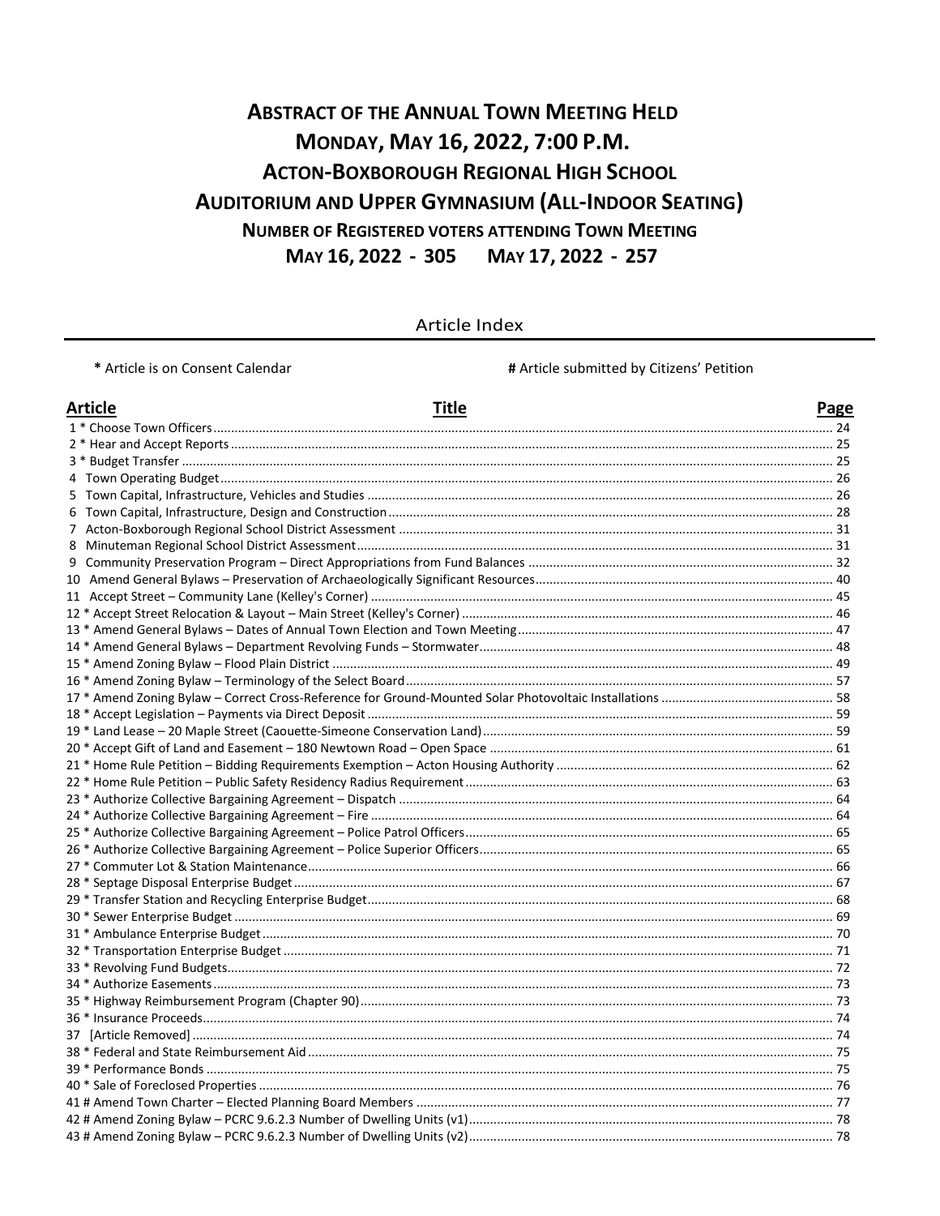# **ABSTRACT OF THE ANNUAL TOWN MEETING HELD** MONDAY, MAY 16, 2022, 7:00 P.M. **ACTON-BOXBOROUGH REGIONAL HIGH SCHOOL AUDITORIUM AND UPPER GYMNASIUM (ALL-INDOOR SEATING) NUMBER OF REGISTERED VOTERS ATTENDING TOWN MEETING** MAY 16, 2022 - 305 MAY 17, 2022 - 257

#### Article Index

\* Article is on Consent Calendar

# Article submitted by Citizens' Petition

| <b>Article</b> | <b>Title</b> | <b>Page</b> |
|----------------|--------------|-------------|
|                |              |             |
|                |              |             |
|                |              |             |
|                |              |             |
|                |              |             |
|                |              |             |
|                |              |             |
|                |              |             |
|                |              |             |
|                |              |             |
|                |              |             |
|                |              |             |
|                |              |             |
|                |              |             |
|                |              |             |
|                |              |             |
|                |              |             |
|                |              |             |
|                |              |             |
|                |              |             |
|                |              |             |
|                |              |             |
|                |              |             |
|                |              |             |
|                |              |             |
|                |              |             |
|                |              |             |
|                |              |             |
|                |              |             |
|                |              |             |
|                |              |             |
|                |              |             |
|                |              |             |
|                |              |             |
|                |              |             |
|                |              |             |
|                |              |             |
|                |              |             |
|                |              |             |
|                |              |             |
|                |              |             |
|                |              |             |
|                |              |             |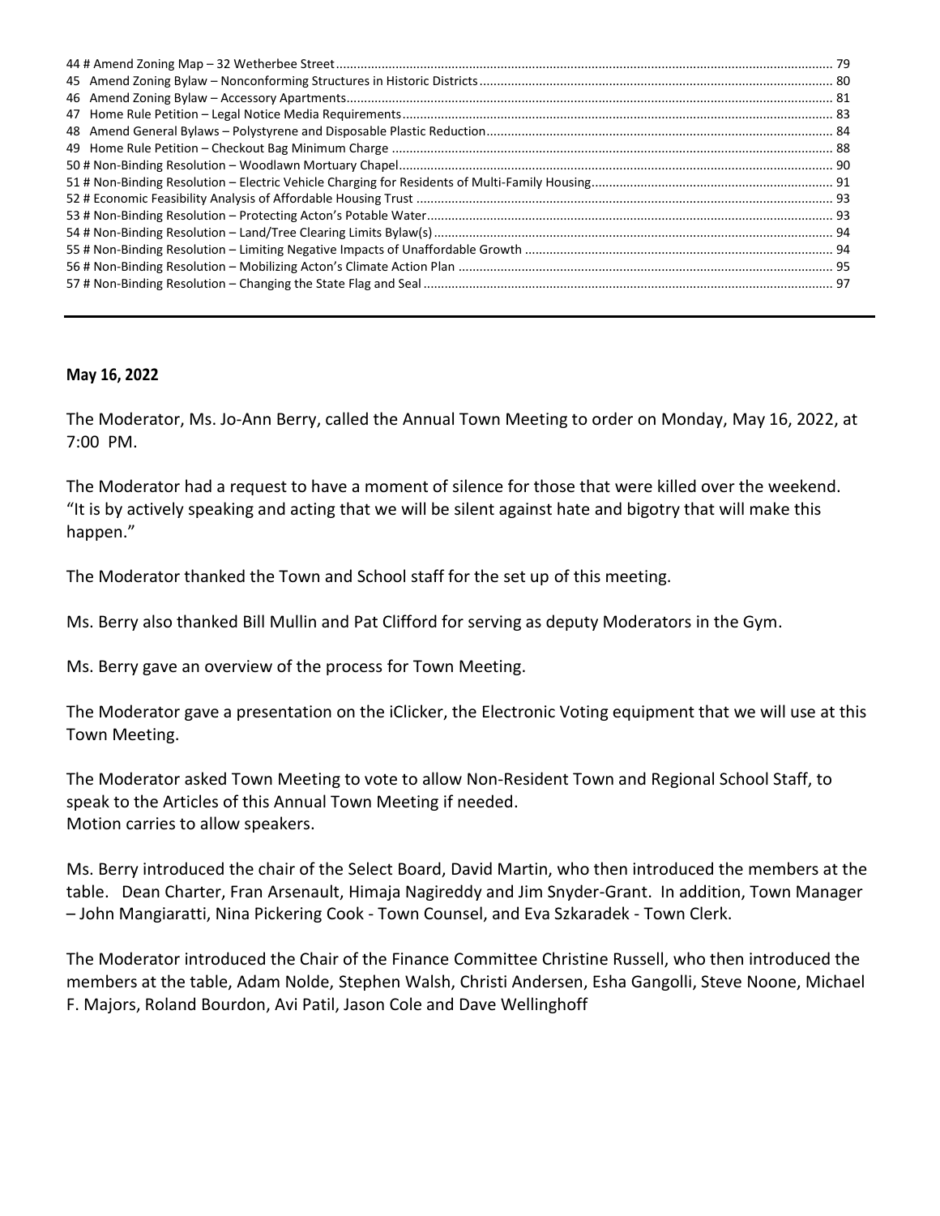#### **May 16, 2022**

The Moderator, Ms. Jo-Ann Berry, called the Annual Town Meeting to order on Monday, May 16, 2022, at 7:00 PM.

The Moderator had a request to have a moment of silence for those that were killed over the weekend. "It is by actively speaking and acting that we will be silent against hate and bigotry that will make this happen."

The Moderator thanked the Town and School staff for the set up of this meeting.

Ms. Berry also thanked Bill Mullin and Pat Clifford for serving as deputy Moderators in the Gym.

Ms. Berry gave an overview of the process for Town Meeting.

The Moderator gave a presentation on the iClicker, the Electronic Voting equipment that we will use at this Town Meeting.

The Moderator asked Town Meeting to vote to allow Non-Resident Town and Regional School Staff, to speak to the Articles of this Annual Town Meeting if needed. Motion carries to allow speakers.

Ms. Berry introduced the chair of the Select Board, David Martin, who then introduced the members at the table. Dean Charter, Fran Arsenault, Himaja Nagireddy and Jim Snyder-Grant. In addition, Town Manager – John Mangiaratti, Nina Pickering Cook - Town Counsel, and Eva Szkaradek - Town Clerk.

The Moderator introduced the Chair of the Finance Committee Christine Russell, who then introduced the members at the table, Adam Nolde, Stephen Walsh, Christi Andersen, Esha Gangolli, Steve Noone, Michael F. Majors, Roland Bourdon, Avi Patil, Jason Cole and Dave Wellinghoff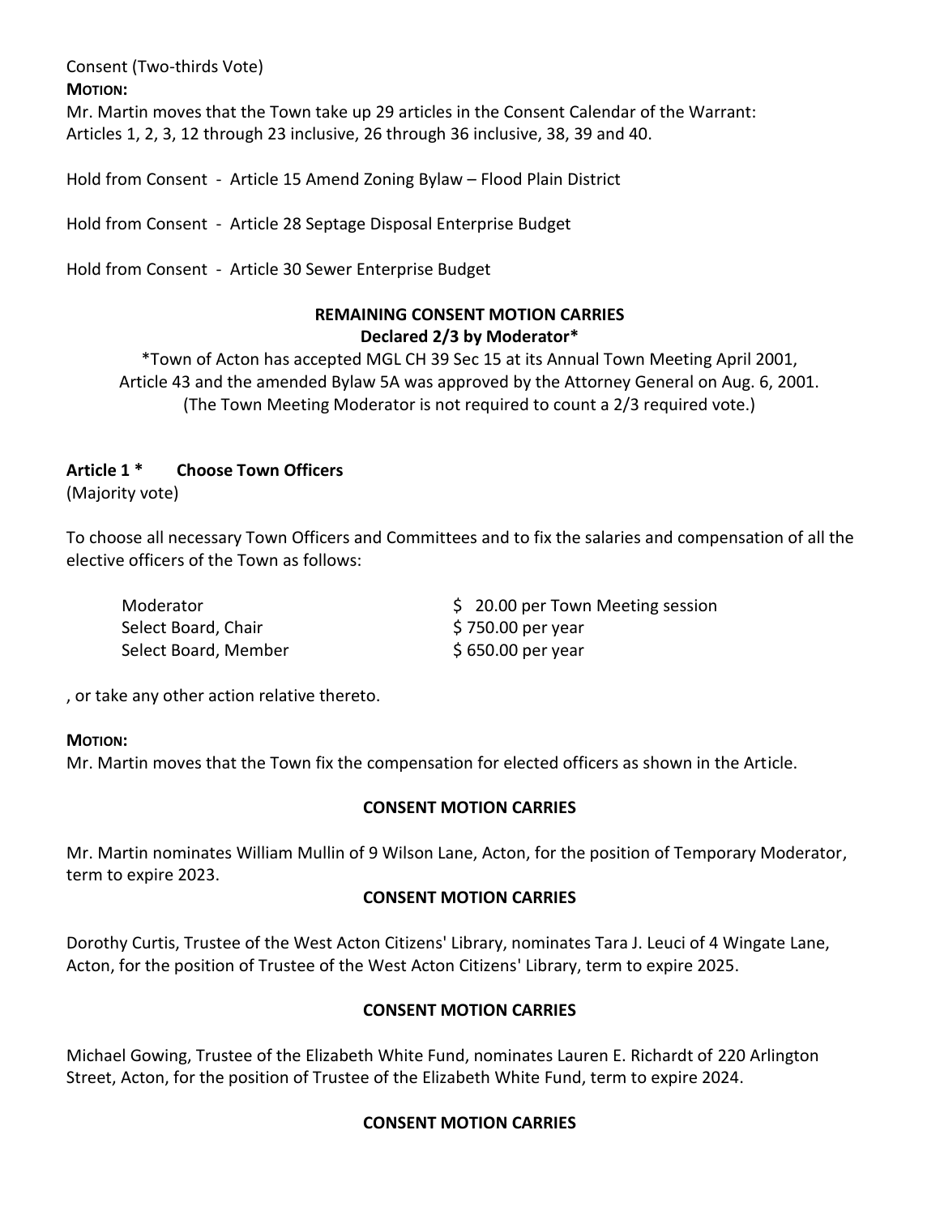Consent (Two-thirds Vote)

**MOTION:**

Mr. Martin moves that the Town take up 29 articles in the Consent Calendar of the Warrant: Articles 1, 2, 3, 12 through 23 inclusive, 26 through 36 inclusive, 38, 39 and 40.

Hold from Consent - Article 15 Amend Zoning Bylaw – Flood Plain District

Hold from Consent - Article 28 Septage Disposal Enterprise Budget

Hold from Consent - Article 30 Sewer Enterprise Budget

# **REMAINING CONSENT MOTION CARRIES Declared 2/3 by Moderator\***

\*Town of Acton has accepted MGL CH 39 Sec 15 at its Annual Town Meeting April 2001, Article 43 and the amended Bylaw 5A was approved by the Attorney General on Aug. 6, 2001. (The Town Meeting Moderator is not required to count a 2/3 required vote.)

# **Article 1 \* Choose Town Officers**

(Majority vote)

To choose all necessary Town Officers and Committees and to fix the salaries and compensation of all the elective officers of the Town as follows:

| Moderator            | \$ 20.00 per Town Meeting session |
|----------------------|-----------------------------------|
| Select Board, Chair  | $$750.00$ per year                |
| Select Board, Member | $$650.00$ per year                |

, or take any other action relative thereto.

### **MOTION:**

Mr. Martin moves that the Town fix the compensation for elected officers as shown in the Article.

# **CONSENT MOTION CARRIES**

Mr. Martin nominates William Mullin of 9 Wilson Lane, Acton, for the position of Temporary Moderator, term to expire 2023.

### **CONSENT MOTION CARRIES**

Dorothy Curtis, Trustee of the West Acton Citizens' Library, nominates Tara J. Leuci of 4 Wingate Lane, Acton, for the position of Trustee of the West Acton Citizens' Library, term to expire 2025.

# **CONSENT MOTION CARRIES**

Michael Gowing, Trustee of the Elizabeth White Fund, nominates Lauren E. Richardt of 220 Arlington Street, Acton, for the position of Trustee of the Elizabeth White Fund, term to expire 2024.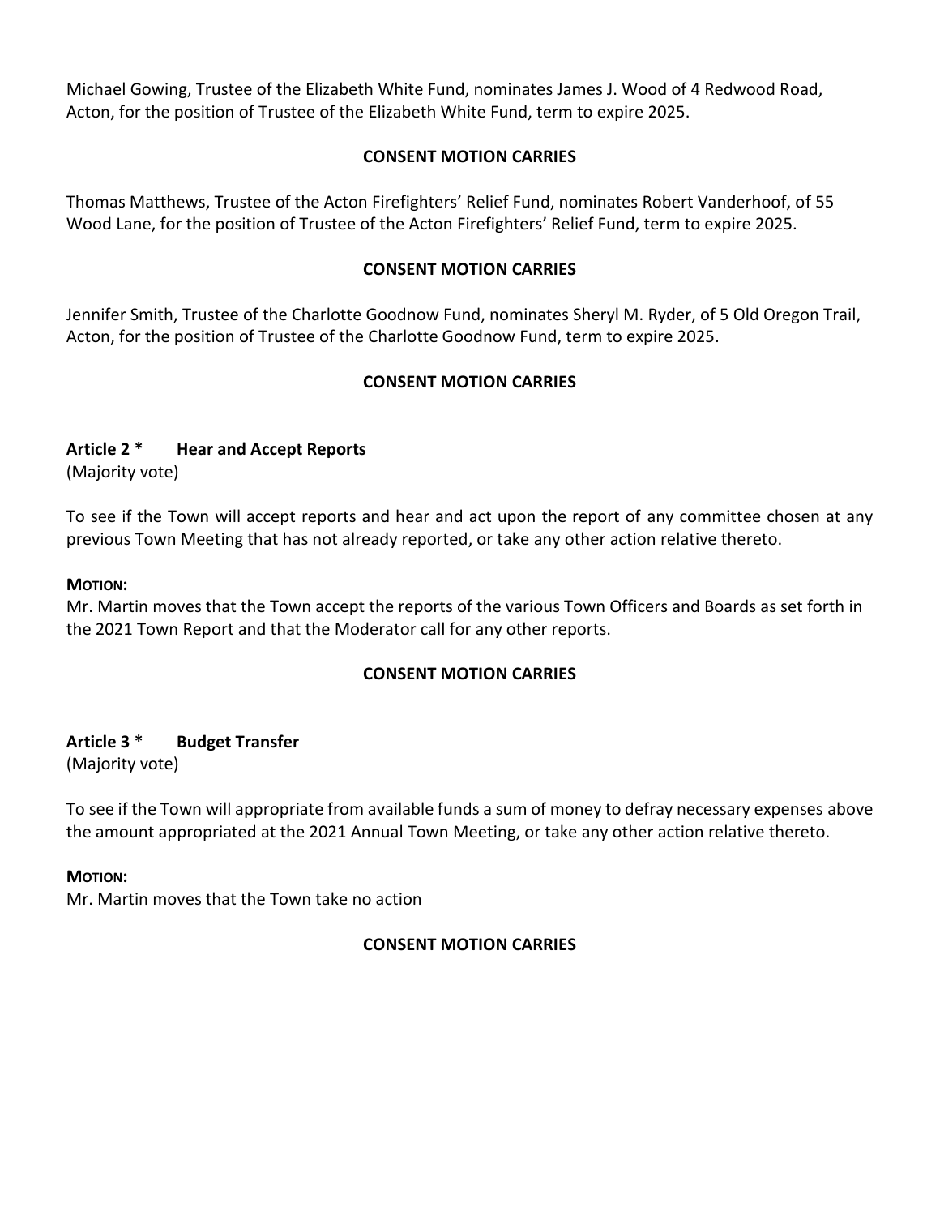Michael Gowing, Trustee of the Elizabeth White Fund, nominates James J. Wood of 4 Redwood Road, Acton, for the position of Trustee of the Elizabeth White Fund, term to expire 2025.

## **CONSENT MOTION CARRIES**

Thomas Matthews, Trustee of the Acton Firefighters' Relief Fund, nominates Robert Vanderhoof, of 55 Wood Lane, for the position of Trustee of the Acton Firefighters' Relief Fund, term to expire 2025.

## **CONSENT MOTION CARRIES**

Jennifer Smith, Trustee of the Charlotte Goodnow Fund, nominates Sheryl M. Ryder, of 5 Old Oregon Trail, Acton, for the position of Trustee of the Charlotte Goodnow Fund, term to expire 2025.

## **CONSENT MOTION CARRIES**

## **Article 2 \* Hear and Accept Reports**

(Majority vote)

To see if the Town will accept reports and hear and act upon the report of any committee chosen at any previous Town Meeting that has not already reported, or take any other action relative thereto.

#### **MOTION:**

Mr. Martin moves that the Town accept the reports of the various Town Officers and Boards as set forth in the 2021 Town Report and that the Moderator call for any other reports.

### **CONSENT MOTION CARRIES**

# **Article 3 \* Budget Transfer**

(Majority vote)

To see if the Town will appropriate from available funds a sum of money to defray necessary expenses above the amount appropriated at the 2021 Annual Town Meeting, or take any other action relative thereto.

### **MOTION:**

Mr. Martin moves that the Town take no action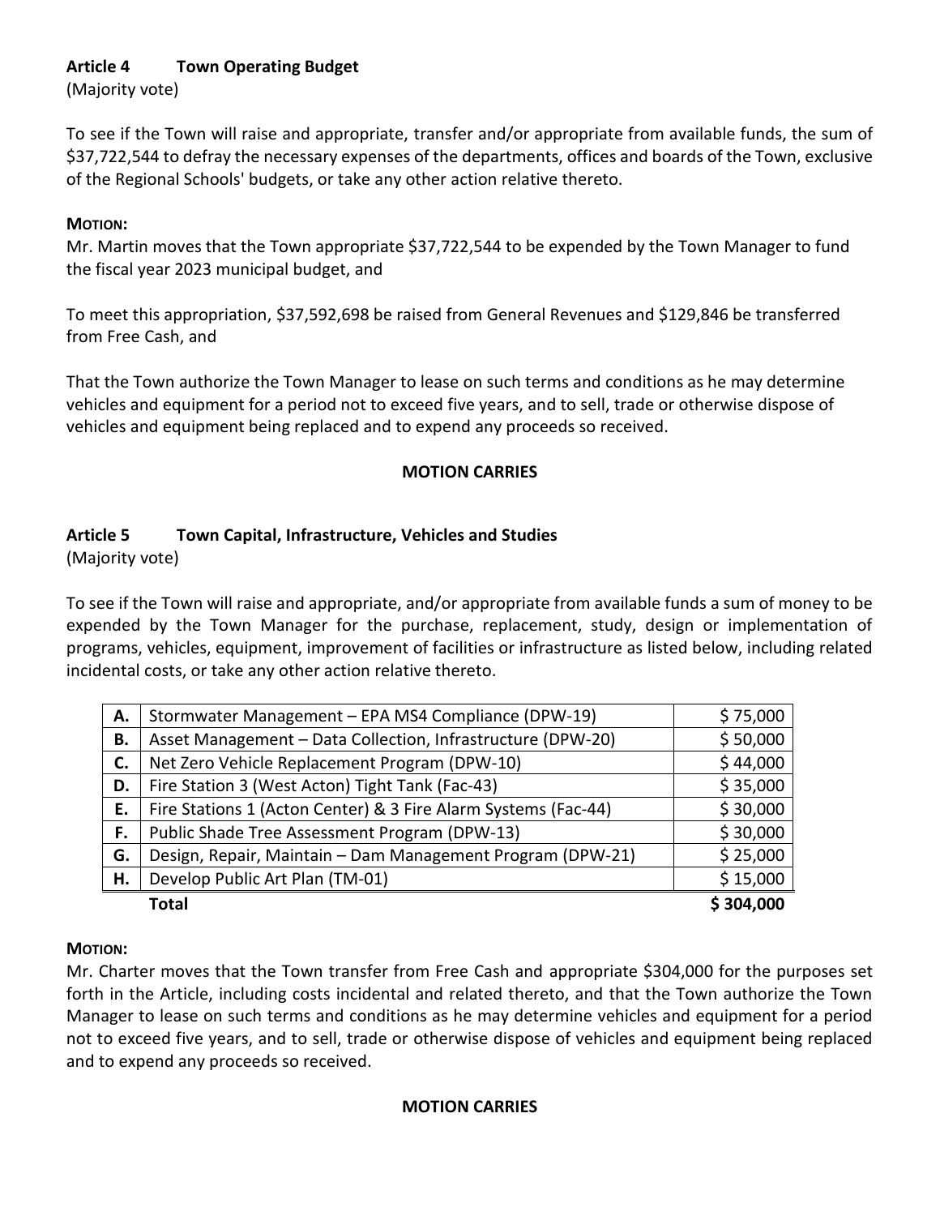# **Article 4 Town Operating Budget**

(Majority vote)

To see if the Town will raise and appropriate, transfer and/or appropriate from available funds, the sum of \$37,722,544 to defray the necessary expenses of the departments, offices and boards of the Town, exclusive of the Regional Schools' budgets, or take any other action relative thereto.

## **MOTION:**

Mr. Martin moves that the Town appropriate \$37,722,544 to be expended by the Town Manager to fund the fiscal year 2023 municipal budget, and

To meet this appropriation, \$37,592,698 be raised from General Revenues and \$129,846 be transferred from Free Cash, and

That the Town authorize the Town Manager to lease on such terms and conditions as he may determine vehicles and equipment for a period not to exceed five years, and to sell, trade or otherwise dispose of vehicles and equipment being replaced and to expend any proceeds so received.

# **MOTION CARRIES**

# **Article 5 Town Capital, Infrastructure, Vehicles and Studies**

(Majority vote)

To see if the Town will raise and appropriate, and/or appropriate from available funds a sum of money to be expended by the Town Manager for the purchase, replacement, study, design or implementation of programs, vehicles, equipment, improvement of facilities or infrastructure as listed below, including related incidental costs, or take any other action relative thereto.

| А. | Stormwater Management - EPA MS4 Compliance (DPW-19)            | \$75,000  |
|----|----------------------------------------------------------------|-----------|
| В. | Asset Management - Data Collection, Infrastructure (DPW-20)    | \$50,000  |
| C. | Net Zero Vehicle Replacement Program (DPW-10)                  | \$44,000  |
| D. | Fire Station 3 (West Acton) Tight Tank (Fac-43)                | \$35,000  |
| Е. | Fire Stations 1 (Acton Center) & 3 Fire Alarm Systems (Fac-44) | \$30,000  |
| F. | Public Shade Tree Assessment Program (DPW-13)                  | \$30,000  |
| G. | Design, Repair, Maintain - Dam Management Program (DPW-21)     | \$25,000  |
| Н. | Develop Public Art Plan (TM-01)                                | \$15,000  |
|    | Total                                                          | \$304,000 |

# **MOTION:**

Mr. Charter moves that the Town transfer from Free Cash and appropriate \$304,000 for the purposes set forth in the Article, including costs incidental and related thereto, and that the Town authorize the Town Manager to lease on such terms and conditions as he may determine vehicles and equipment for a period not to exceed five years, and to sell, trade or otherwise dispose of vehicles and equipment being replaced and to expend any proceeds so received.

### **MOTION CARRIES**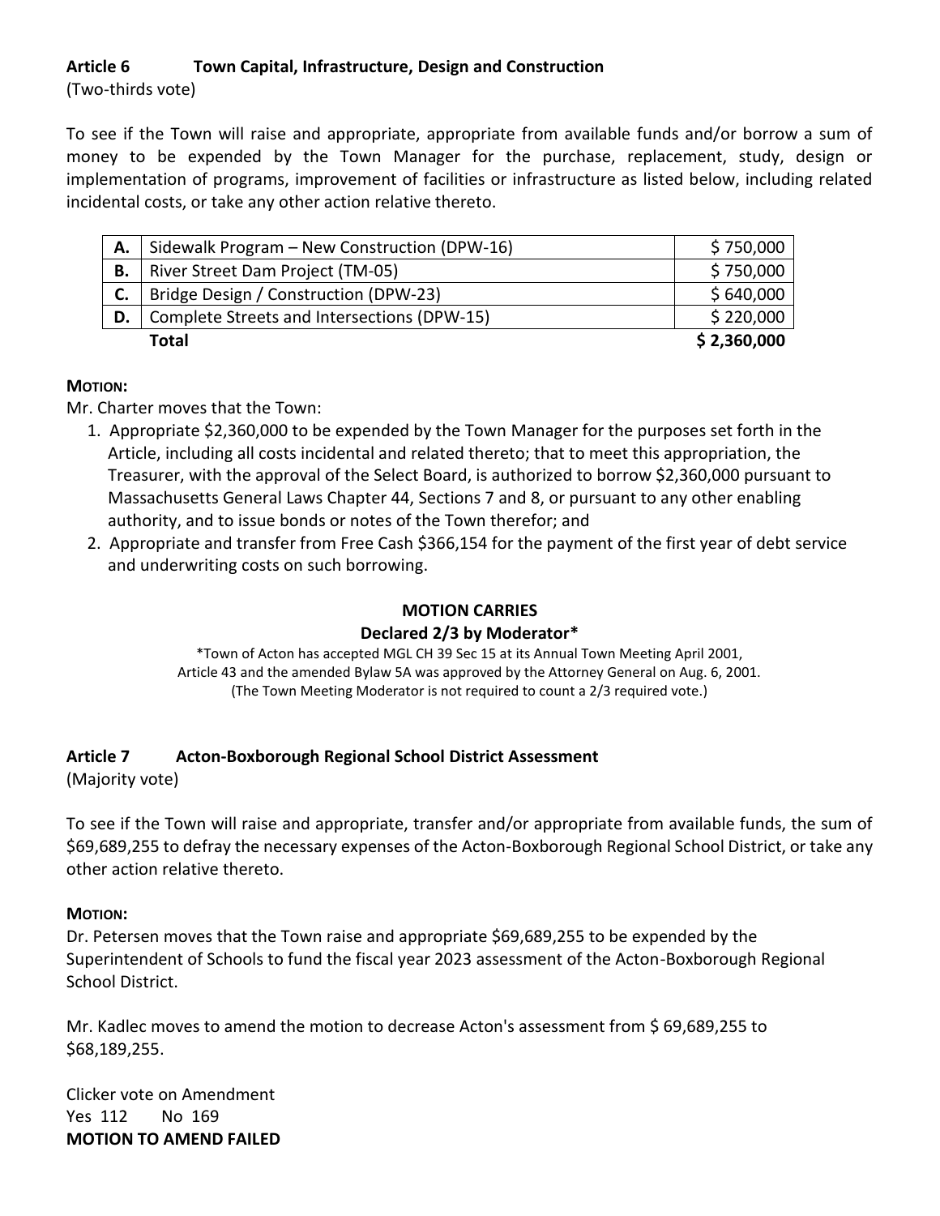# **Article 6 Town Capital, Infrastructure, Design and Construction**

(Two-thirds vote)

To see if the Town will raise and appropriate, appropriate from available funds and/or borrow a sum of money to be expended by the Town Manager for the purchase, replacement, study, design or implementation of programs, improvement of facilities or infrastructure as listed below, including related incidental costs, or take any other action relative thereto.

| А. | Sidewalk Program - New Construction (DPW-16) | \$750,000   |
|----|----------------------------------------------|-------------|
| В. | River Street Dam Project (TM-05)             | \$750,000   |
|    | Bridge Design / Construction (DPW-23)        | \$640,000   |
| D. | Complete Streets and Intersections (DPW-15)  | \$220,000   |
|    | Total                                        | \$2,360,000 |

## **MOTION:**

Mr. Charter moves that the Town:

- 1. Appropriate \$2,360,000 to be expended by the Town Manager for the purposes set forth in the Article, including all costs incidental and related thereto; that to meet this appropriation, the Treasurer, with the approval of the Select Board, is authorized to borrow \$2,360,000 pursuant to Massachusetts General Laws Chapter 44, Sections 7 and 8, or pursuant to any other enabling authority, and to issue bonds or notes of the Town therefor; and
- 2. Appropriate and transfer from Free Cash \$366,154 for the payment of the first year of debt service and underwriting costs on such borrowing.

## **MOTION CARRIES**

### **Declared 2/3 by Moderator\***

\*Town of Acton has accepted MGL CH 39 Sec 15 at its Annual Town Meeting April 2001, Article 43 and the amended Bylaw 5A was approved by the Attorney General on Aug. 6, 2001. (The Town Meeting Moderator is not required to count a 2/3 required vote.)

# **Article 7 Acton-Boxborough Regional School District Assessment**

(Majority vote)

To see if the Town will raise and appropriate, transfer and/or appropriate from available funds, the sum of \$69,689,255 to defray the necessary expenses of the Acton-Boxborough Regional School District, or take any other action relative thereto.

### **MOTION:**

Dr. Petersen moves that the Town raise and appropriate \$69,689,255 to be expended by the Superintendent of Schools to fund the fiscal year 2023 assessment of the Acton-Boxborough Regional School District.

Mr. Kadlec moves to amend the motion to decrease Acton's assessment from \$ 69,689,255 to \$68,189,255.

Clicker vote on Amendment Yes 112 No 169 **MOTION TO AMEND FAILED**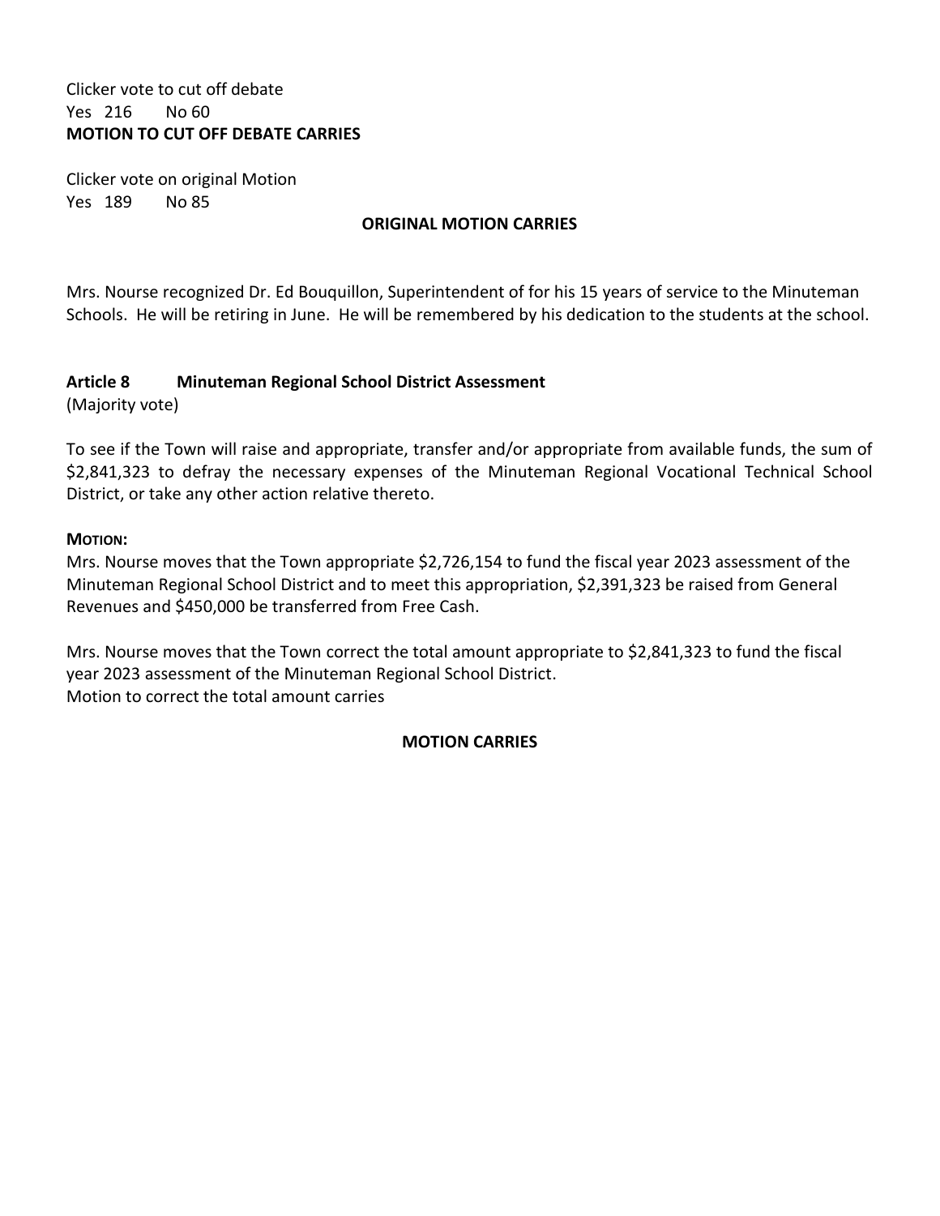## Clicker vote to cut off debate Yes 216 No 60 **MOTION TO CUT OFF DEBATE CARRIES**

Clicker vote on original Motion Yes 189 No 85

## **ORIGINAL MOTION CARRIES**

Mrs. Nourse recognized Dr. Ed Bouquillon, Superintendent of for his 15 years of service to the Minuteman Schools. He will be retiring in June. He will be remembered by his dedication to the students at the school.

## **Article 8 Minuteman Regional School District Assessment**

(Majority vote)

To see if the Town will raise and appropriate, transfer and/or appropriate from available funds, the sum of \$2,841,323 to defray the necessary expenses of the Minuteman Regional Vocational Technical School District, or take any other action relative thereto.

### **MOTION:**

Mrs. Nourse moves that the Town appropriate \$2,726,154 to fund the fiscal year 2023 assessment of the Minuteman Regional School District and to meet this appropriation, \$2,391,323 be raised from General Revenues and \$450,000 be transferred from Free Cash.

Mrs. Nourse moves that the Town correct the total amount appropriate to \$2,841,323 to fund the fiscal year 2023 assessment of the Minuteman Regional School District. Motion to correct the total amount carries

# **MOTION CARRIES**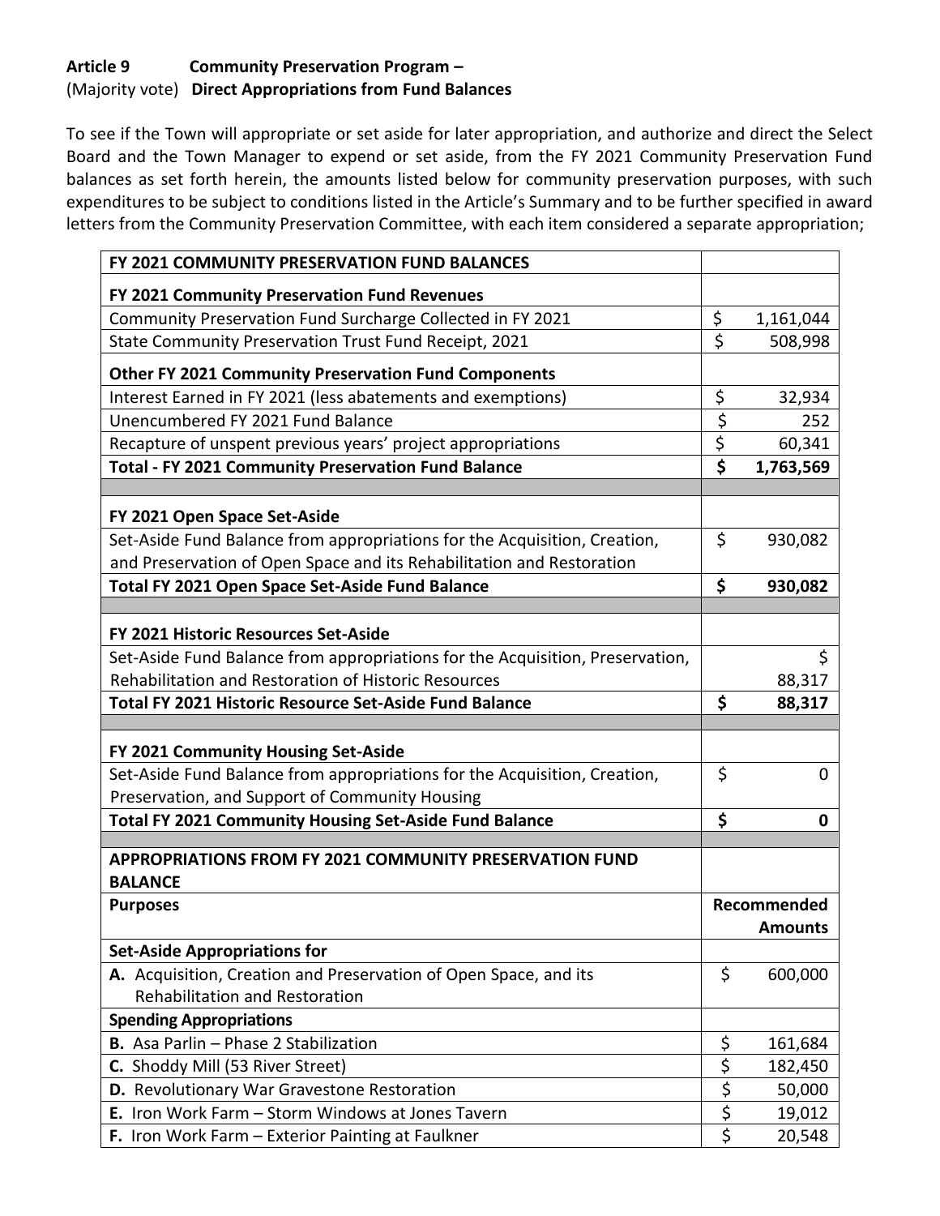# **Article 9 Community Preservation Program –** (Majority vote) **Direct Appropriations from Fund Balances**

To see if the Town will appropriate or set aside for later appropriation, and authorize and direct the Select Board and the Town Manager to expend or set aside, from the FY 2021 Community Preservation Fund balances as set forth herein, the amounts listed below for community preservation purposes, with such expenditures to be subject to conditions listed in the Article's Summary and to be further specified in award letters from the Community Preservation Committee, with each item considered a separate appropriation;

| FY 2021 COMMUNITY PRESERVATION FUND BALANCES                                  |                                 |                |
|-------------------------------------------------------------------------------|---------------------------------|----------------|
| FY 2021 Community Preservation Fund Revenues                                  |                                 |                |
| Community Preservation Fund Surcharge Collected in FY 2021                    | \$                              | 1,161,044      |
| State Community Preservation Trust Fund Receipt, 2021                         | $\overline{\xi}$                | 508,998        |
| <b>Other FY 2021 Community Preservation Fund Components</b>                   |                                 |                |
| Interest Earned in FY 2021 (less abatements and exemptions)                   | \$                              | 32,934         |
| Unencumbered FY 2021 Fund Balance                                             | \$                              | 252            |
| Recapture of unspent previous years' project appropriations                   | \$                              | 60,341         |
| <b>Total - FY 2021 Community Preservation Fund Balance</b>                    | $\overline{\boldsymbol{\zeta}}$ | 1,763,569      |
|                                                                               |                                 |                |
| FY 2021 Open Space Set-Aside                                                  |                                 |                |
| Set-Aside Fund Balance from appropriations for the Acquisition, Creation,     | \$                              | 930,082        |
| and Preservation of Open Space and its Rehabilitation and Restoration         |                                 |                |
| Total FY 2021 Open Space Set-Aside Fund Balance                               | \$                              | 930,082        |
|                                                                               |                                 |                |
| FY 2021 Historic Resources Set-Aside                                          |                                 |                |
| Set-Aside Fund Balance from appropriations for the Acquisition, Preservation, |                                 | \$             |
| Rehabilitation and Restoration of Historic Resources                          |                                 | 88,317         |
| <b>Total FY 2021 Historic Resource Set-Aside Fund Balance</b>                 | \$                              | 88,317         |
|                                                                               |                                 |                |
| FY 2021 Community Housing Set-Aside                                           |                                 |                |
| Set-Aside Fund Balance from appropriations for the Acquisition, Creation,     | \$                              | 0              |
| Preservation, and Support of Community Housing                                |                                 |                |
| <b>Total FY 2021 Community Housing Set-Aside Fund Balance</b>                 | \$                              | $\mathbf 0$    |
| <b>APPROPRIATIONS FROM FY 2021 COMMUNITY PRESERVATION FUND</b>                |                                 |                |
| <b>BALANCE</b>                                                                |                                 |                |
| <b>Purposes</b>                                                               |                                 | Recommended    |
|                                                                               |                                 | <b>Amounts</b> |
| <b>Set-Aside Appropriations for</b>                                           |                                 |                |
| A. Acquisition, Creation and Preservation of Open Space, and its              | \$                              | 600,000        |
| <b>Rehabilitation and Restoration</b>                                         |                                 |                |
| <b>Spending Appropriations</b>                                                |                                 |                |
| B. Asa Parlin - Phase 2 Stabilization                                         | \$                              | 161,684        |
| C. Shoddy Mill (53 River Street)                                              | \$                              | 182,450        |
| D. Revolutionary War Gravestone Restoration                                   | \$                              | 50,000         |
|                                                                               |                                 |                |
| E. Iron Work Farm - Storm Windows at Jones Tavern                             | \$<br>$\overline{\xi}$          | 19,012         |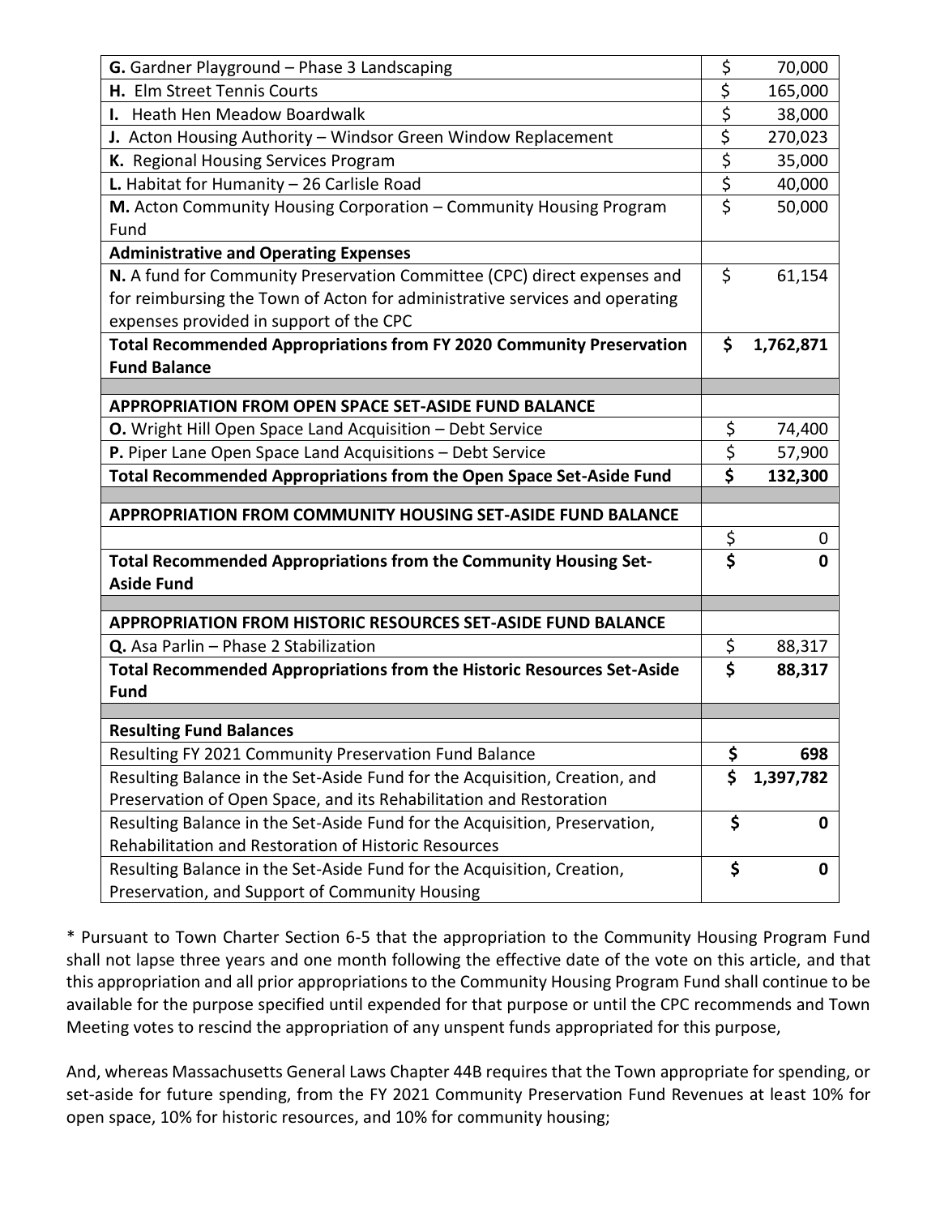| $\overline{\xi}$<br>H. Elm Street Tennis Courts<br>165,000<br>$\overline{\xi}$<br>38,000<br>I. Heath Hen Meadow Boardwalk<br>\$<br>J. Acton Housing Authority - Windsor Green Window Replacement<br>270,023<br>$\overline{\boldsymbol{\zeta}}$<br>K. Regional Housing Services Program<br>35,000<br>$\overline{\xi}$<br>L. Habitat for Humanity $-26$ Carlisle Road<br>40,000<br>$\overline{\boldsymbol{\zeta}}$<br>50,000<br>M. Acton Community Housing Corporation - Community Housing Program<br>Fund<br><b>Administrative and Operating Expenses</b><br>\$<br>N. A fund for Community Preservation Committee (CPC) direct expenses and<br>61,154<br>for reimbursing the Town of Acton for administrative services and operating<br>expenses provided in support of the CPC<br><b>Total Recommended Appropriations from FY 2020 Community Preservation</b><br>\$<br>1,762,871<br><b>Fund Balance</b><br><b>APPROPRIATION FROM OPEN SPACE SET-ASIDE FUND BALANCE</b><br>\$<br><b>O.</b> Wright Hill Open Space Land Acquisition - Debt Service<br>74,400<br>\$<br>P. Piper Lane Open Space Land Acquisitions - Debt Service<br>57,900<br>\$<br>Total Recommended Appropriations from the Open Space Set-Aside Fund<br>132,300<br><b>APPROPRIATION FROM COMMUNITY HOUSING SET-ASIDE FUND BALANCE</b><br>\$<br>0<br>$\overline{\boldsymbol{\zeta}}$<br>Total Recommended Appropriations from the Community Housing Set-<br>Ω<br><b>Aside Fund</b><br><b>APPROPRIATION FROM HISTORIC RESOURCES SET-ASIDE FUND BALANCE</b><br>\$<br>Q. Asa Parlin - Phase 2 Stabilization<br>88,317<br>$\overline{\boldsymbol{\zeta}}$<br>Total Recommended Appropriations from the Historic Resources Set-Aside<br>88,317 |
|----------------------------------------------------------------------------------------------------------------------------------------------------------------------------------------------------------------------------------------------------------------------------------------------------------------------------------------------------------------------------------------------------------------------------------------------------------------------------------------------------------------------------------------------------------------------------------------------------------------------------------------------------------------------------------------------------------------------------------------------------------------------------------------------------------------------------------------------------------------------------------------------------------------------------------------------------------------------------------------------------------------------------------------------------------------------------------------------------------------------------------------------------------------------------------------------------------------------------------------------------------------------------------------------------------------------------------------------------------------------------------------------------------------------------------------------------------------------------------------------------------------------------------------------------------------------------------------------------------------------------------------------------------------------------------------------------------|
|                                                                                                                                                                                                                                                                                                                                                                                                                                                                                                                                                                                                                                                                                                                                                                                                                                                                                                                                                                                                                                                                                                                                                                                                                                                                                                                                                                                                                                                                                                                                                                                                                                                                                                          |
|                                                                                                                                                                                                                                                                                                                                                                                                                                                                                                                                                                                                                                                                                                                                                                                                                                                                                                                                                                                                                                                                                                                                                                                                                                                                                                                                                                                                                                                                                                                                                                                                                                                                                                          |
|                                                                                                                                                                                                                                                                                                                                                                                                                                                                                                                                                                                                                                                                                                                                                                                                                                                                                                                                                                                                                                                                                                                                                                                                                                                                                                                                                                                                                                                                                                                                                                                                                                                                                                          |
|                                                                                                                                                                                                                                                                                                                                                                                                                                                                                                                                                                                                                                                                                                                                                                                                                                                                                                                                                                                                                                                                                                                                                                                                                                                                                                                                                                                                                                                                                                                                                                                                                                                                                                          |
|                                                                                                                                                                                                                                                                                                                                                                                                                                                                                                                                                                                                                                                                                                                                                                                                                                                                                                                                                                                                                                                                                                                                                                                                                                                                                                                                                                                                                                                                                                                                                                                                                                                                                                          |
|                                                                                                                                                                                                                                                                                                                                                                                                                                                                                                                                                                                                                                                                                                                                                                                                                                                                                                                                                                                                                                                                                                                                                                                                                                                                                                                                                                                                                                                                                                                                                                                                                                                                                                          |
|                                                                                                                                                                                                                                                                                                                                                                                                                                                                                                                                                                                                                                                                                                                                                                                                                                                                                                                                                                                                                                                                                                                                                                                                                                                                                                                                                                                                                                                                                                                                                                                                                                                                                                          |
|                                                                                                                                                                                                                                                                                                                                                                                                                                                                                                                                                                                                                                                                                                                                                                                                                                                                                                                                                                                                                                                                                                                                                                                                                                                                                                                                                                                                                                                                                                                                                                                                                                                                                                          |
|                                                                                                                                                                                                                                                                                                                                                                                                                                                                                                                                                                                                                                                                                                                                                                                                                                                                                                                                                                                                                                                                                                                                                                                                                                                                                                                                                                                                                                                                                                                                                                                                                                                                                                          |
|                                                                                                                                                                                                                                                                                                                                                                                                                                                                                                                                                                                                                                                                                                                                                                                                                                                                                                                                                                                                                                                                                                                                                                                                                                                                                                                                                                                                                                                                                                                                                                                                                                                                                                          |
|                                                                                                                                                                                                                                                                                                                                                                                                                                                                                                                                                                                                                                                                                                                                                                                                                                                                                                                                                                                                                                                                                                                                                                                                                                                                                                                                                                                                                                                                                                                                                                                                                                                                                                          |
|                                                                                                                                                                                                                                                                                                                                                                                                                                                                                                                                                                                                                                                                                                                                                                                                                                                                                                                                                                                                                                                                                                                                                                                                                                                                                                                                                                                                                                                                                                                                                                                                                                                                                                          |
|                                                                                                                                                                                                                                                                                                                                                                                                                                                                                                                                                                                                                                                                                                                                                                                                                                                                                                                                                                                                                                                                                                                                                                                                                                                                                                                                                                                                                                                                                                                                                                                                                                                                                                          |
|                                                                                                                                                                                                                                                                                                                                                                                                                                                                                                                                                                                                                                                                                                                                                                                                                                                                                                                                                                                                                                                                                                                                                                                                                                                                                                                                                                                                                                                                                                                                                                                                                                                                                                          |
|                                                                                                                                                                                                                                                                                                                                                                                                                                                                                                                                                                                                                                                                                                                                                                                                                                                                                                                                                                                                                                                                                                                                                                                                                                                                                                                                                                                                                                                                                                                                                                                                                                                                                                          |
|                                                                                                                                                                                                                                                                                                                                                                                                                                                                                                                                                                                                                                                                                                                                                                                                                                                                                                                                                                                                                                                                                                                                                                                                                                                                                                                                                                                                                                                                                                                                                                                                                                                                                                          |
|                                                                                                                                                                                                                                                                                                                                                                                                                                                                                                                                                                                                                                                                                                                                                                                                                                                                                                                                                                                                                                                                                                                                                                                                                                                                                                                                                                                                                                                                                                                                                                                                                                                                                                          |
|                                                                                                                                                                                                                                                                                                                                                                                                                                                                                                                                                                                                                                                                                                                                                                                                                                                                                                                                                                                                                                                                                                                                                                                                                                                                                                                                                                                                                                                                                                                                                                                                                                                                                                          |
|                                                                                                                                                                                                                                                                                                                                                                                                                                                                                                                                                                                                                                                                                                                                                                                                                                                                                                                                                                                                                                                                                                                                                                                                                                                                                                                                                                                                                                                                                                                                                                                                                                                                                                          |
|                                                                                                                                                                                                                                                                                                                                                                                                                                                                                                                                                                                                                                                                                                                                                                                                                                                                                                                                                                                                                                                                                                                                                                                                                                                                                                                                                                                                                                                                                                                                                                                                                                                                                                          |
|                                                                                                                                                                                                                                                                                                                                                                                                                                                                                                                                                                                                                                                                                                                                                                                                                                                                                                                                                                                                                                                                                                                                                                                                                                                                                                                                                                                                                                                                                                                                                                                                                                                                                                          |
|                                                                                                                                                                                                                                                                                                                                                                                                                                                                                                                                                                                                                                                                                                                                                                                                                                                                                                                                                                                                                                                                                                                                                                                                                                                                                                                                                                                                                                                                                                                                                                                                                                                                                                          |
|                                                                                                                                                                                                                                                                                                                                                                                                                                                                                                                                                                                                                                                                                                                                                                                                                                                                                                                                                                                                                                                                                                                                                                                                                                                                                                                                                                                                                                                                                                                                                                                                                                                                                                          |
|                                                                                                                                                                                                                                                                                                                                                                                                                                                                                                                                                                                                                                                                                                                                                                                                                                                                                                                                                                                                                                                                                                                                                                                                                                                                                                                                                                                                                                                                                                                                                                                                                                                                                                          |
|                                                                                                                                                                                                                                                                                                                                                                                                                                                                                                                                                                                                                                                                                                                                                                                                                                                                                                                                                                                                                                                                                                                                                                                                                                                                                                                                                                                                                                                                                                                                                                                                                                                                                                          |
|                                                                                                                                                                                                                                                                                                                                                                                                                                                                                                                                                                                                                                                                                                                                                                                                                                                                                                                                                                                                                                                                                                                                                                                                                                                                                                                                                                                                                                                                                                                                                                                                                                                                                                          |
| <b>Fund</b>                                                                                                                                                                                                                                                                                                                                                                                                                                                                                                                                                                                                                                                                                                                                                                                                                                                                                                                                                                                                                                                                                                                                                                                                                                                                                                                                                                                                                                                                                                                                                                                                                                                                                              |
| <b>Resulting Fund Balances</b>                                                                                                                                                                                                                                                                                                                                                                                                                                                                                                                                                                                                                                                                                                                                                                                                                                                                                                                                                                                                                                                                                                                                                                                                                                                                                                                                                                                                                                                                                                                                                                                                                                                                           |
| \$<br>Resulting FY 2021 Community Preservation Fund Balance<br>698                                                                                                                                                                                                                                                                                                                                                                                                                                                                                                                                                                                                                                                                                                                                                                                                                                                                                                                                                                                                                                                                                                                                                                                                                                                                                                                                                                                                                                                                                                                                                                                                                                       |
| \$<br>Resulting Balance in the Set-Aside Fund for the Acquisition, Creation, and<br>1,397,782                                                                                                                                                                                                                                                                                                                                                                                                                                                                                                                                                                                                                                                                                                                                                                                                                                                                                                                                                                                                                                                                                                                                                                                                                                                                                                                                                                                                                                                                                                                                                                                                            |
| Preservation of Open Space, and its Rehabilitation and Restoration                                                                                                                                                                                                                                                                                                                                                                                                                                                                                                                                                                                                                                                                                                                                                                                                                                                                                                                                                                                                                                                                                                                                                                                                                                                                                                                                                                                                                                                                                                                                                                                                                                       |
| \$<br>Resulting Balance in the Set-Aside Fund for the Acquisition, Preservation,<br>0                                                                                                                                                                                                                                                                                                                                                                                                                                                                                                                                                                                                                                                                                                                                                                                                                                                                                                                                                                                                                                                                                                                                                                                                                                                                                                                                                                                                                                                                                                                                                                                                                    |
| Rehabilitation and Restoration of Historic Resources                                                                                                                                                                                                                                                                                                                                                                                                                                                                                                                                                                                                                                                                                                                                                                                                                                                                                                                                                                                                                                                                                                                                                                                                                                                                                                                                                                                                                                                                                                                                                                                                                                                     |
|                                                                                                                                                                                                                                                                                                                                                                                                                                                                                                                                                                                                                                                                                                                                                                                                                                                                                                                                                                                                                                                                                                                                                                                                                                                                                                                                                                                                                                                                                                                                                                                                                                                                                                          |
| \$<br>Resulting Balance in the Set-Aside Fund for the Acquisition, Creation,<br>0                                                                                                                                                                                                                                                                                                                                                                                                                                                                                                                                                                                                                                                                                                                                                                                                                                                                                                                                                                                                                                                                                                                                                                                                                                                                                                                                                                                                                                                                                                                                                                                                                        |

\* Pursuant to Town Charter Section 6-5 that the appropriation to the Community Housing Program Fund shall not lapse three years and one month following the effective date of the vote on this article, and that this appropriation and all prior appropriations to the Community Housing Program Fund shall continue to be available for the purpose specified until expended for that purpose or until the CPC recommends and Town Meeting votes to rescind the appropriation of any unspent funds appropriated for this purpose,

And, whereas Massachusetts General Laws Chapter 44B requires that the Town appropriate for spending, or set-aside for future spending, from the FY 2021 Community Preservation Fund Revenues at least 10% for open space, 10% for historic resources, and 10% for community housing;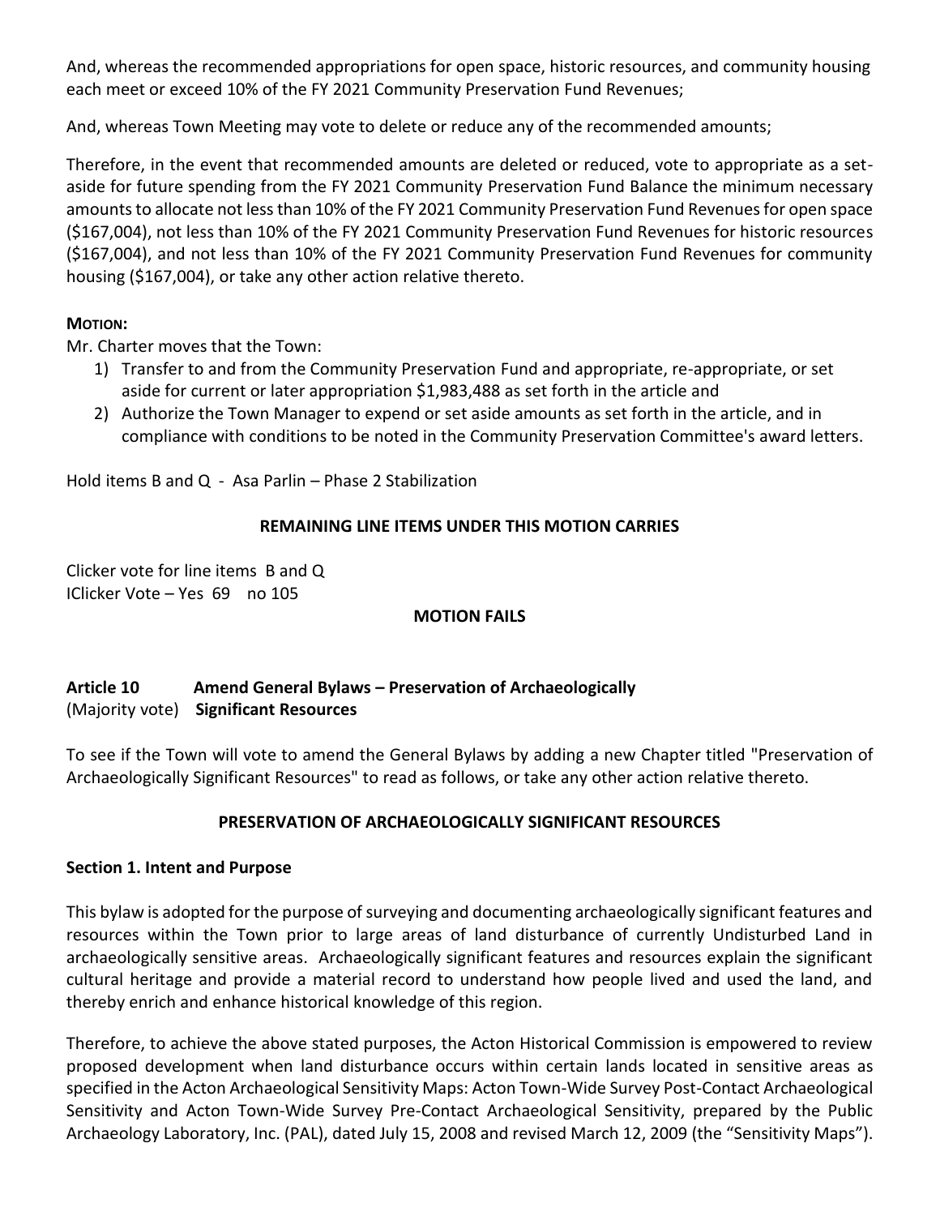And, whereas the recommended appropriations for open space, historic resources, and community housing each meet or exceed 10% of the FY 2021 Community Preservation Fund Revenues;

And, whereas Town Meeting may vote to delete or reduce any of the recommended amounts;

Therefore, in the event that recommended amounts are deleted or reduced, vote to appropriate as a setaside for future spending from the FY 2021 Community Preservation Fund Balance the minimum necessary amounts to allocate not less than 10% of the FY 2021 Community Preservation Fund Revenues for open space (\$167,004), not less than 10% of the FY 2021 Community Preservation Fund Revenues for historic resources (\$167,004), and not less than 10% of the FY 2021 Community Preservation Fund Revenues for community housing (\$167,004), or take any other action relative thereto.

# **MOTION:**

Mr. Charter moves that the Town:

- 1) Transfer to and from the Community Preservation Fund and appropriate, re-appropriate, or set aside for current or later appropriation \$1,983,488 as set forth in the article and
- 2) Authorize the Town Manager to expend or set aside amounts as set forth in the article, and in compliance with conditions to be noted in the Community Preservation Committee's award letters.

Hold items B and Q - Asa Parlin – Phase 2 Stabilization

## **REMAINING LINE ITEMS UNDER THIS MOTION CARRIES**

Clicker vote for line items B and Q IClicker Vote – Yes 69 no 105

### **MOTION FAILS**

# **Article 10 Amend General Bylaws – Preservation of Archaeologically** (Majority vote) **Significant Resources**

To see if the Town will vote to amend the General Bylaws by adding a new Chapter titled "Preservation of Archaeologically Significant Resources" to read as follows, or take any other action relative thereto.

# **PRESERVATION OF ARCHAEOLOGICALLY SIGNIFICANT RESOURCES**

### **Section 1. Intent and Purpose**

This bylaw is adopted for the purpose of surveying and documenting archaeologically significant features and resources within the Town prior to large areas of land disturbance of currently Undisturbed Land in archaeologically sensitive areas. Archaeologically significant features and resources explain the significant cultural heritage and provide a material record to understand how people lived and used the land, and thereby enrich and enhance historical knowledge of this region.

Therefore, to achieve the above stated purposes, the Acton Historical Commission is empowered to review proposed development when land disturbance occurs within certain lands located in sensitive areas as specified in the Acton Archaeological Sensitivity Maps: Acton Town-Wide Survey Post-Contact Archaeological Sensitivity and Acton Town-Wide Survey Pre-Contact Archaeological Sensitivity, prepared by the Public Archaeology Laboratory, Inc. (PAL), dated July 15, 2008 and revised March 12, 2009 (the "Sensitivity Maps").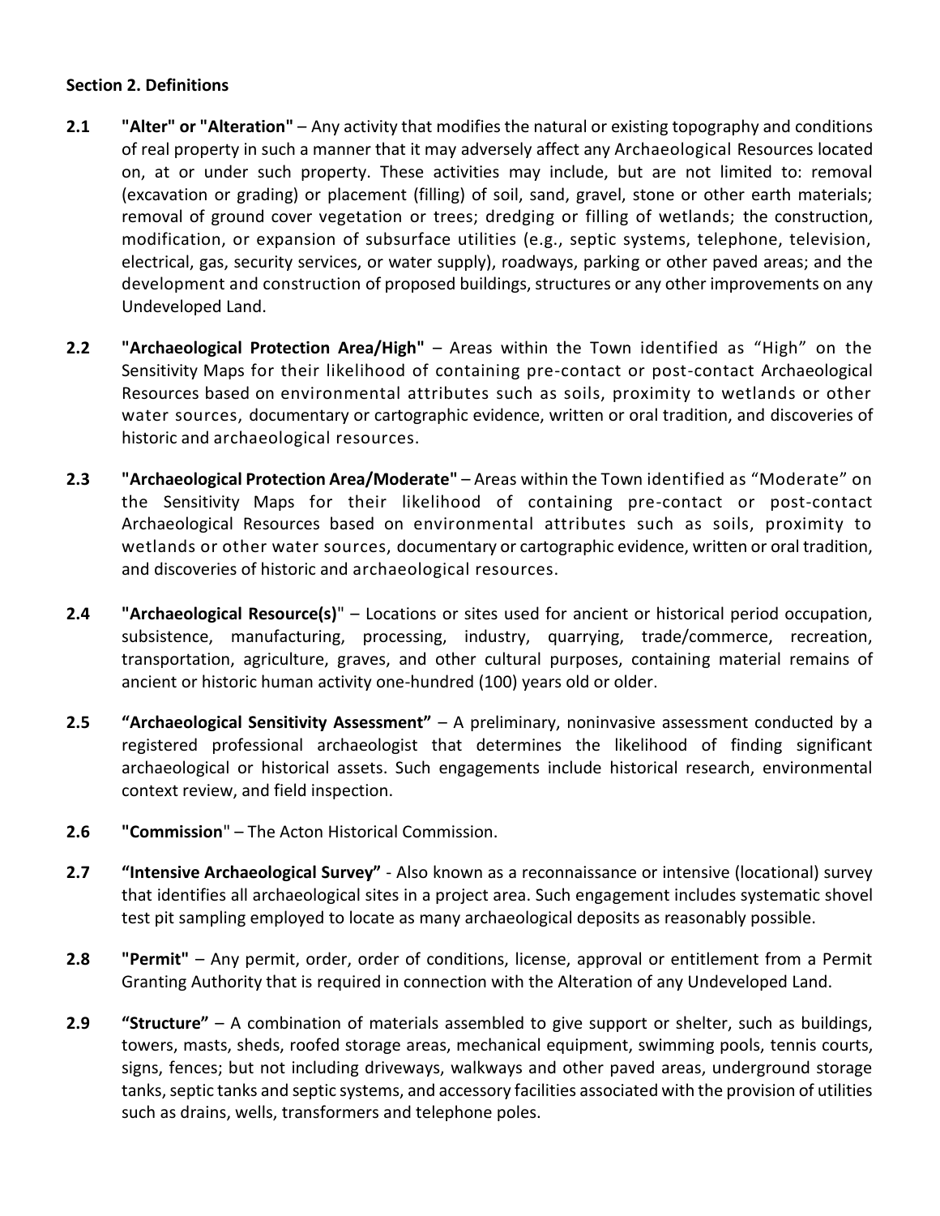### **Section 2. Definitions**

- **2.1 "Alter" or "Alteration"** Any activity that modifies the natural or existing topography and conditions of real property in such a manner that it may adversely affect any Archaeological Resources located on, at or under such property. These activities may include, but are not limited to: removal (excavation or grading) or placement (filling) of soil, sand, gravel, stone or other earth materials; removal of ground cover vegetation or trees; dredging or filling of wetlands; the construction, modification, or expansion of subsurface utilities (e.g., septic systems, telephone, television, electrical, gas, security services, or water supply), roadways, parking or other paved areas; and the development and construction of proposed buildings, structures or any other improvements on any Undeveloped Land.
- **2.2 "Archaeological Protection Area/High"** Areas within the Town identified as "High" on the Sensitivity Maps for their likelihood of containing pre-contact or post-contact Archaeological Resources based on environmental attributes such as soils, proximity to wetlands or other water sources, documentary or cartographic evidence, written or oral tradition, and discoveries of historic and archaeological resources.
- **2.3 "Archaeological Protection Area/Moderate"** Areas within the Town identified as "Moderate" on the Sensitivity Maps for their likelihood of containing pre-contact or post-contact Archaeological Resources based on environmental attributes such as soils, proximity to wetlands or other water sources, documentary or cartographic evidence, written or oral tradition, and discoveries of historic and archaeological resources.
- **2.4 "Archaeological Resource(s)**" Locations or sites used for ancient or historical period occupation, subsistence, manufacturing, processing, industry, quarrying, trade/commerce, recreation, transportation, agriculture, graves, and other cultural purposes, containing material remains of ancient or historic human activity one-hundred (100) years old or older.
- **2.5 "Archaeological Sensitivity Assessment"** A preliminary, noninvasive assessment conducted by a registered professional archaeologist that determines the likelihood of finding significant archaeological or historical assets. Such engagements include historical research, environmental context review, and field inspection.
- **2.6 "Commission**" The Acton Historical Commission.
- **2.7 "Intensive Archaeological Survey"** Also known as a reconnaissance or intensive (locational) survey that identifies all archaeological sites in a project area. Such engagement includes systematic shovel test pit sampling employed to locate as many archaeological deposits as reasonably possible.
- **2.8 "Permit"**  Any permit, order, order of conditions, license, approval or entitlement from a Permit Granting Authority that is required in connection with the Alteration of any Undeveloped Land.
- **2.9 "Structure"** A combination of materials assembled to give support or shelter, such as buildings, towers, masts, sheds, roofed storage areas, mechanical equipment, swimming pools, tennis courts, signs, fences; but not including driveways, walkways and other paved areas, underground storage tanks, septic tanks and septic systems, and accessory facilities associated with the provision of utilities such as drains, wells, transformers and telephone poles.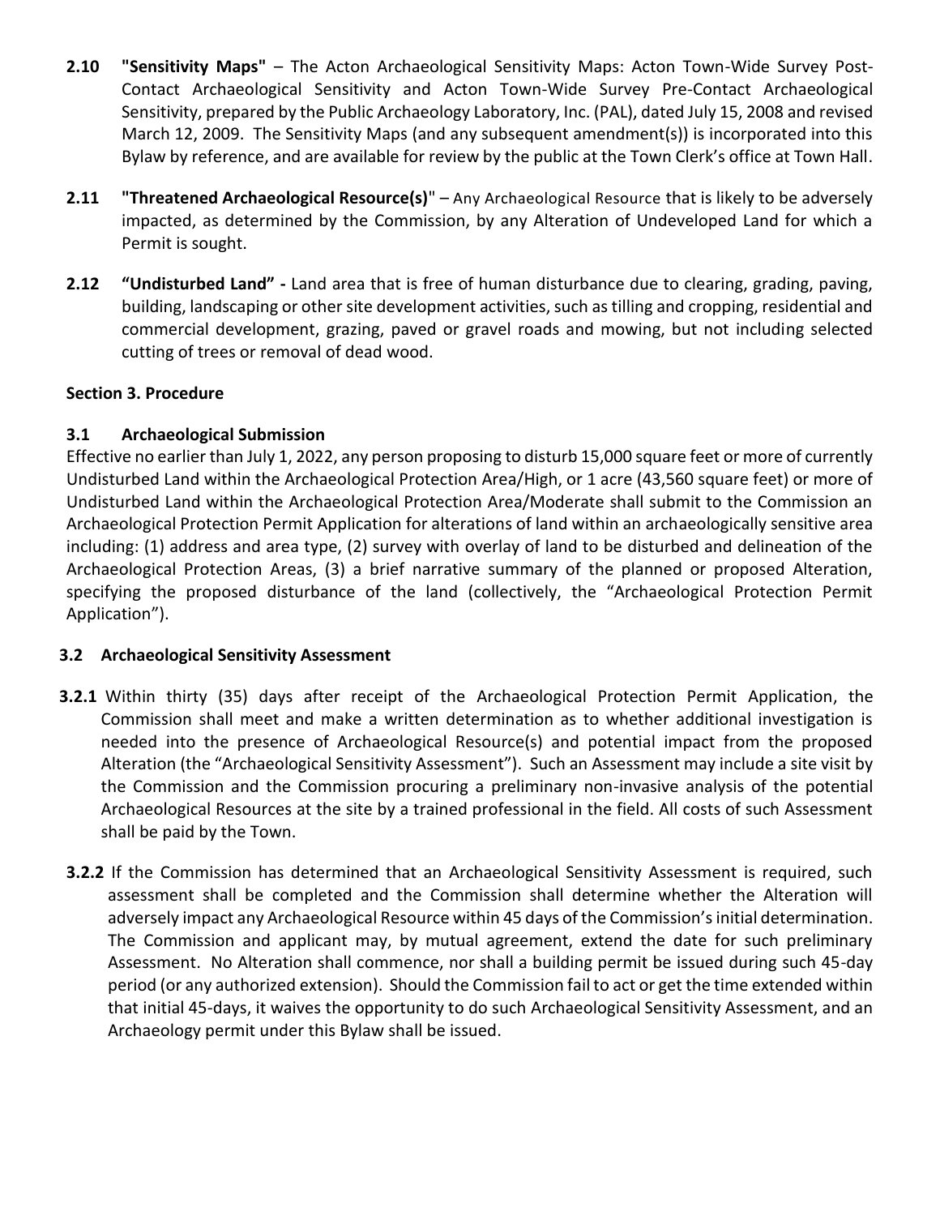- **2.10 "Sensitivity Maps"**  The Acton Archaeological Sensitivity Maps: Acton Town-Wide Survey Post-Contact Archaeological Sensitivity and Acton Town-Wide Survey Pre-Contact Archaeological Sensitivity, prepared by the Public Archaeology Laboratory, Inc. (PAL), dated July 15, 2008 and revised March 12, 2009. The Sensitivity Maps (and any subsequent amendment(s)) is incorporated into this Bylaw by reference, and are available for review by the public at the Town Clerk's office at Town Hall.
- **2.11 "Threatened Archaeological Resource(s)**" Any Archaeological Resource that is likely to be adversely impacted, as determined by the Commission, by any Alteration of Undeveloped Land for which a Permit is sought.
- **2.12 "Undisturbed Land" -** Land area that is free of human disturbance due to clearing, grading, paving, building, landscaping or other site development activities, such as tilling and cropping, residential and commercial development, grazing, paved or gravel roads and mowing, but not including selected cutting of trees or removal of dead wood.

# **Section 3. Procedure**

# **3.1 Archaeological Submission**

Effective no earlier than July 1, 2022, any person proposing to disturb 15,000 square feet or more of currently Undisturbed Land within the Archaeological Protection Area/High, or 1 acre (43,560 square feet) or more of Undisturbed Land within the Archaeological Protection Area/Moderate shall submit to the Commission an Archaeological Protection Permit Application for alterations of land within an archaeologically sensitive area including: (1) address and area type, (2) survey with overlay of land to be disturbed and delineation of the Archaeological Protection Areas, (3) a brief narrative summary of the planned or proposed Alteration, specifying the proposed disturbance of the land (collectively, the "Archaeological Protection Permit Application").

# **3.2 Archaeological Sensitivity Assessment**

- **3.2.1** Within thirty (35) days after receipt of the Archaeological Protection Permit Application, the Commission shall meet and make a written determination as to whether additional investigation is needed into the presence of Archaeological Resource(s) and potential impact from the proposed Alteration (the "Archaeological Sensitivity Assessment"). Such an Assessment may include a site visit by the Commission and the Commission procuring a preliminary non-invasive analysis of the potential Archaeological Resources at the site by a trained professional in the field. All costs of such Assessment shall be paid by the Town.
- **3.2.2** If the Commission has determined that an Archaeological Sensitivity Assessment is required, such assessment shall be completed and the Commission shall determine whether the Alteration will adversely impact any Archaeological Resource within 45 days of the Commission's initial determination. The Commission and applicant may, by mutual agreement, extend the date for such preliminary Assessment. No Alteration shall commence, nor shall a building permit be issued during such 45-day period (or any authorized extension). Should the Commission fail to act or get the time extended within that initial 45-days, it waives the opportunity to do such Archaeological Sensitivity Assessment, and an Archaeology permit under this Bylaw shall be issued.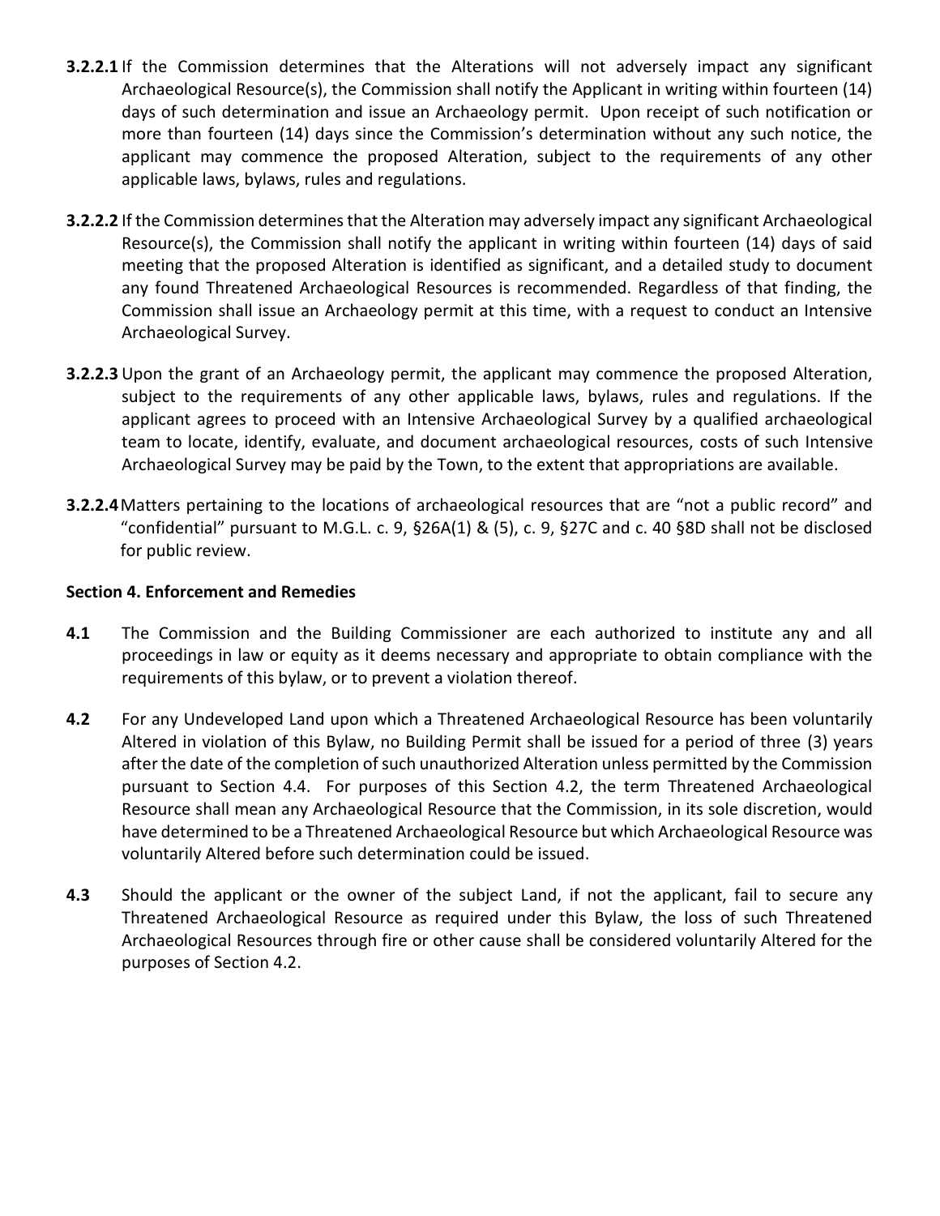- **3.2.2.1** If the Commission determines that the Alterations will not adversely impact any significant Archaeological Resource(s), the Commission shall notify the Applicant in writing within fourteen (14) days of such determination and issue an Archaeology permit. Upon receipt of such notification or more than fourteen (14) days since the Commission's determination without any such notice, the applicant may commence the proposed Alteration, subject to the requirements of any other applicable laws, bylaws, rules and regulations.
- **3.2.2.2** If the Commission determines that the Alteration may adversely impact any significant Archaeological Resource(s), the Commission shall notify the applicant in writing within fourteen (14) days of said meeting that the proposed Alteration is identified as significant, and a detailed study to document any found Threatened Archaeological Resources is recommended. Regardless of that finding, the Commission shall issue an Archaeology permit at this time, with a request to conduct an Intensive Archaeological Survey.
- **3.2.2.3** Upon the grant of an Archaeology permit, the applicant may commence the proposed Alteration, subject to the requirements of any other applicable laws, bylaws, rules and regulations. If the applicant agrees to proceed with an Intensive Archaeological Survey by a qualified archaeological team to locate, identify, evaluate, and document archaeological resources, costs of such Intensive Archaeological Survey may be paid by the Town, to the extent that appropriations are available.
- **3.2.2.4**Matters pertaining to the locations of archaeological resources that are "not a public record" and "confidential" pursuant to M.G.L. c. 9, §26A(1) & (5), c. 9, §27C and c. 40 §8D shall not be disclosed for public review.

### **Section 4. Enforcement and Remedies**

- **4.1** The Commission and the Building Commissioner are each authorized to institute any and all proceedings in law or equity as it deems necessary and appropriate to obtain compliance with the requirements of this bylaw, or to prevent a violation thereof.
- **4.2** For any Undeveloped Land upon which a Threatened Archaeological Resource has been voluntarily Altered in violation of this Bylaw, no Building Permit shall be issued for a period of three (3) years after the date of the completion of such unauthorized Alteration unless permitted by the Commission pursuant to Section 4.4. For purposes of this Section 4.2, the term Threatened Archaeological Resource shall mean any Archaeological Resource that the Commission, in its sole discretion, would have determined to be a Threatened Archaeological Resource but which Archaeological Resource was voluntarily Altered before such determination could be issued.
- **4.3** Should the applicant or the owner of the subject Land, if not the applicant, fail to secure any Threatened Archaeological Resource as required under this Bylaw, the loss of such Threatened Archaeological Resources through fire or other cause shall be considered voluntarily Altered for the purposes of Section 4.2.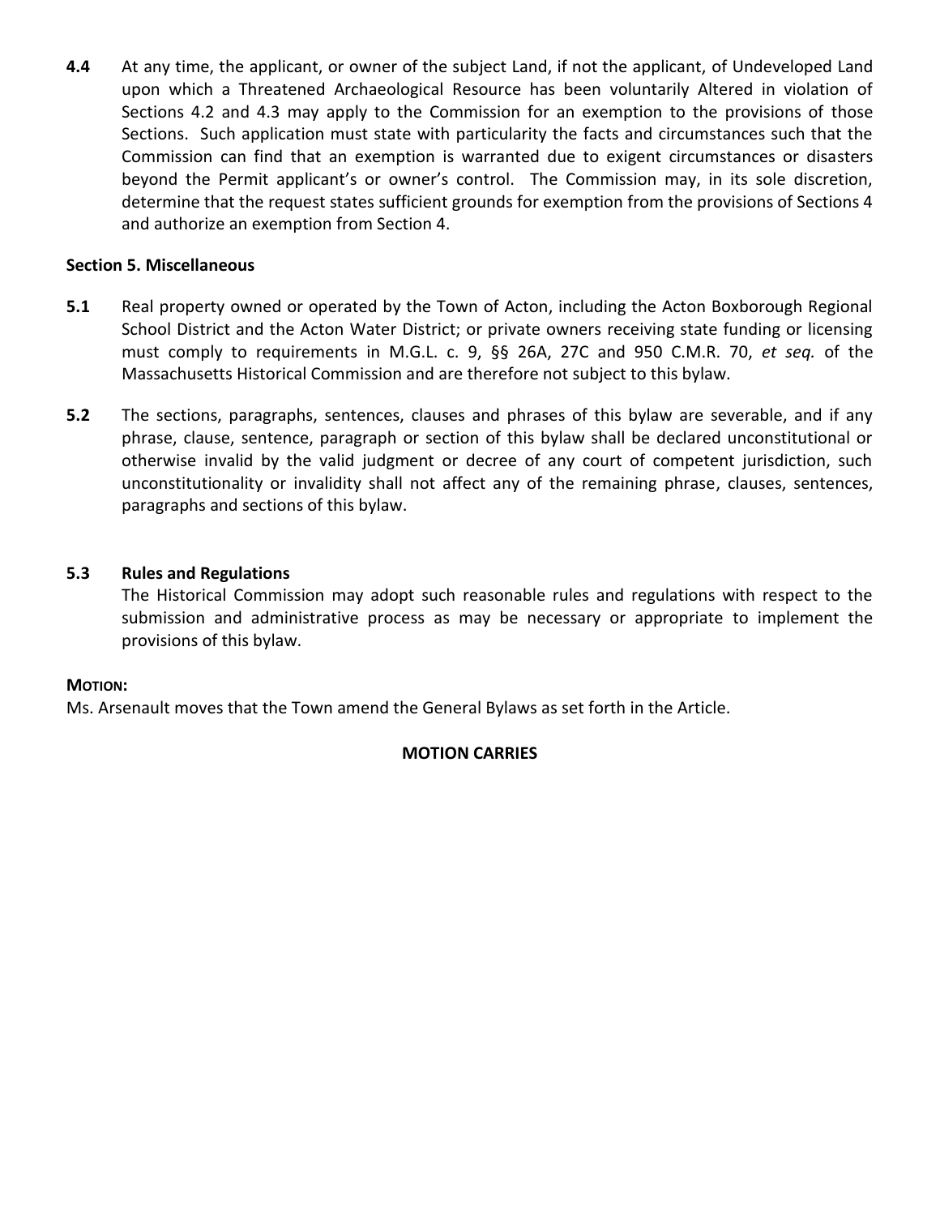**4.4** At any time, the applicant, or owner of the subject Land, if not the applicant, of Undeveloped Land upon which a Threatened Archaeological Resource has been voluntarily Altered in violation of Sections 4.2 and 4.3 may apply to the Commission for an exemption to the provisions of those Sections. Such application must state with particularity the facts and circumstances such that the Commission can find that an exemption is warranted due to exigent circumstances or disasters beyond the Permit applicant's or owner's control. The Commission may, in its sole discretion, determine that the request states sufficient grounds for exemption from the provisions of Sections 4 and authorize an exemption from Section 4.

## **Section 5. Miscellaneous**

- **5.1** Real property owned or operated by the Town of Acton, including the Acton Boxborough Regional School District and the Acton Water District; or private owners receiving state funding or licensing must comply to requirements in M.G.L. c. 9, §§ 26A, 27C and 950 C.M.R. 70, *et seq.* of the Massachusetts Historical Commission and are therefore not subject to this bylaw.
- **5.2** The sections, paragraphs, sentences, clauses and phrases of this bylaw are severable, and if any phrase, clause, sentence, paragraph or section of this bylaw shall be declared unconstitutional or otherwise invalid by the valid judgment or decree of any court of competent jurisdiction, such unconstitutionality or invalidity shall not affect any of the remaining phrase, clauses, sentences, paragraphs and sections of this bylaw.

# **5.3 Rules and Regulations**

The Historical Commission may adopt such reasonable rules and regulations with respect to the submission and administrative process as may be necessary or appropriate to implement the provisions of this bylaw.

### **MOTION:**

Ms. Arsenault moves that the Town amend the General Bylaws as set forth in the Article.

### **MOTION CARRIES**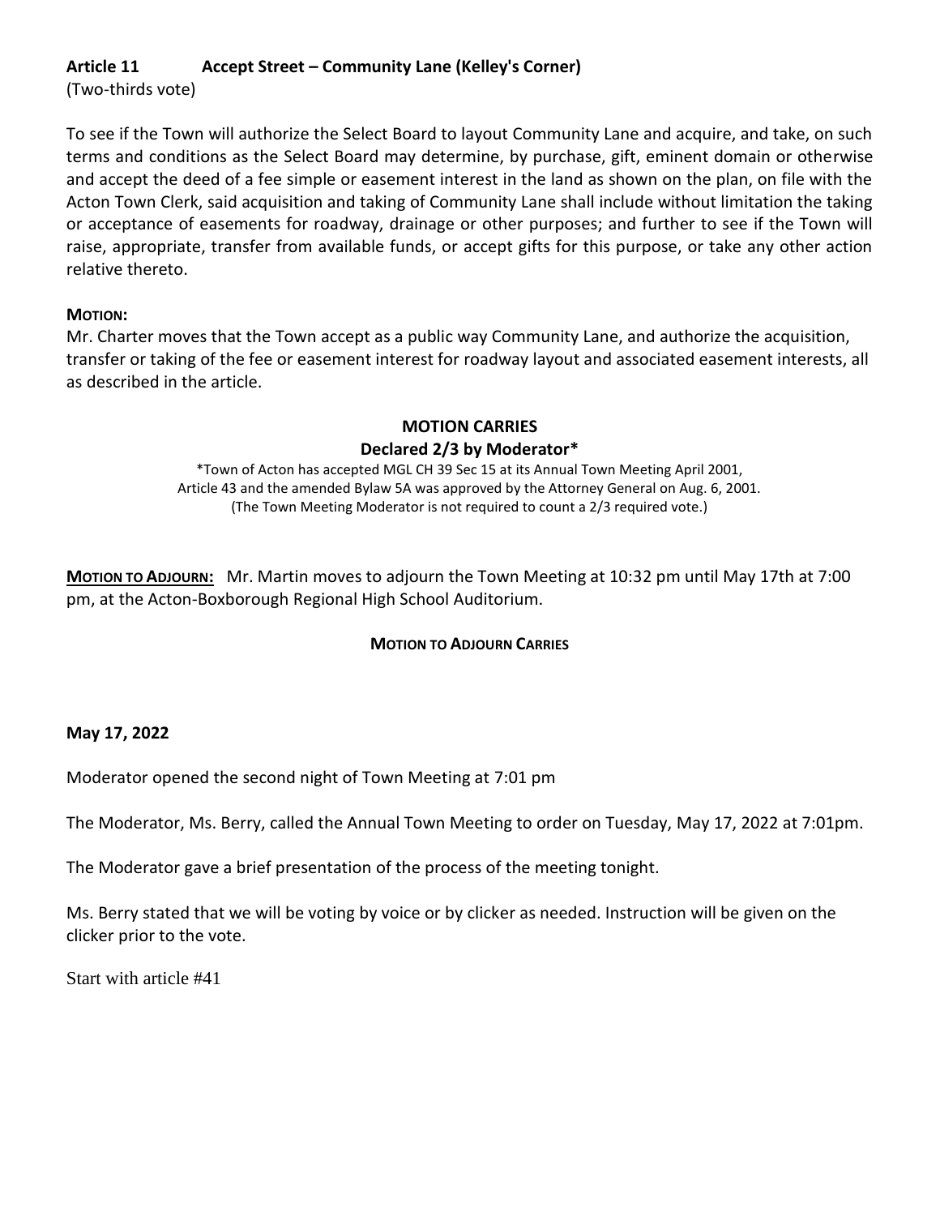# **Article 11 Accept Street – Community Lane (Kelley's Corner)**

(Two-thirds vote)

To see if the Town will authorize the Select Board to layout Community Lane and acquire, and take, on such terms and conditions as the Select Board may determine, by purchase, gift, eminent domain or otherwise and accept the deed of a fee simple or easement interest in the land as shown on the plan, on file with the Acton Town Clerk, said acquisition and taking of Community Lane shall include without limitation the taking or acceptance of easements for roadway, drainage or other purposes; and further to see if the Town will raise, appropriate, transfer from available funds, or accept gifts for this purpose, or take any other action relative thereto.

## **MOTION:**

Mr. Charter moves that the Town accept as a public way Community Lane, and authorize the acquisition, transfer or taking of the fee or easement interest for roadway layout and associated easement interests, all as described in the article.

# **MOTION CARRIES Declared 2/3 by Moderator\***

\*Town of Acton has accepted MGL CH 39 Sec 15 at its Annual Town Meeting April 2001, Article 43 and the amended Bylaw 5A was approved by the Attorney General on Aug. 6, 2001. (The Town Meeting Moderator is not required to count a 2/3 required vote.)

**MOTION TO ADJOURN:** Mr. Martin moves to adjourn the Town Meeting at 10:32 pm until May 17th at 7:00 pm, at the Acton-Boxborough Regional High School Auditorium.

# **MOTION TO ADJOURN CARRIES**

# **May 17, 2022**

Moderator opened the second night of Town Meeting at 7:01 pm

The Moderator, Ms. Berry, called the Annual Town Meeting to order on Tuesday, May 17, 2022 at 7:01pm.

The Moderator gave a brief presentation of the process of the meeting tonight.

Ms. Berry stated that we will be voting by voice or by clicker as needed. Instruction will be given on the clicker prior to the vote.

Start with article #41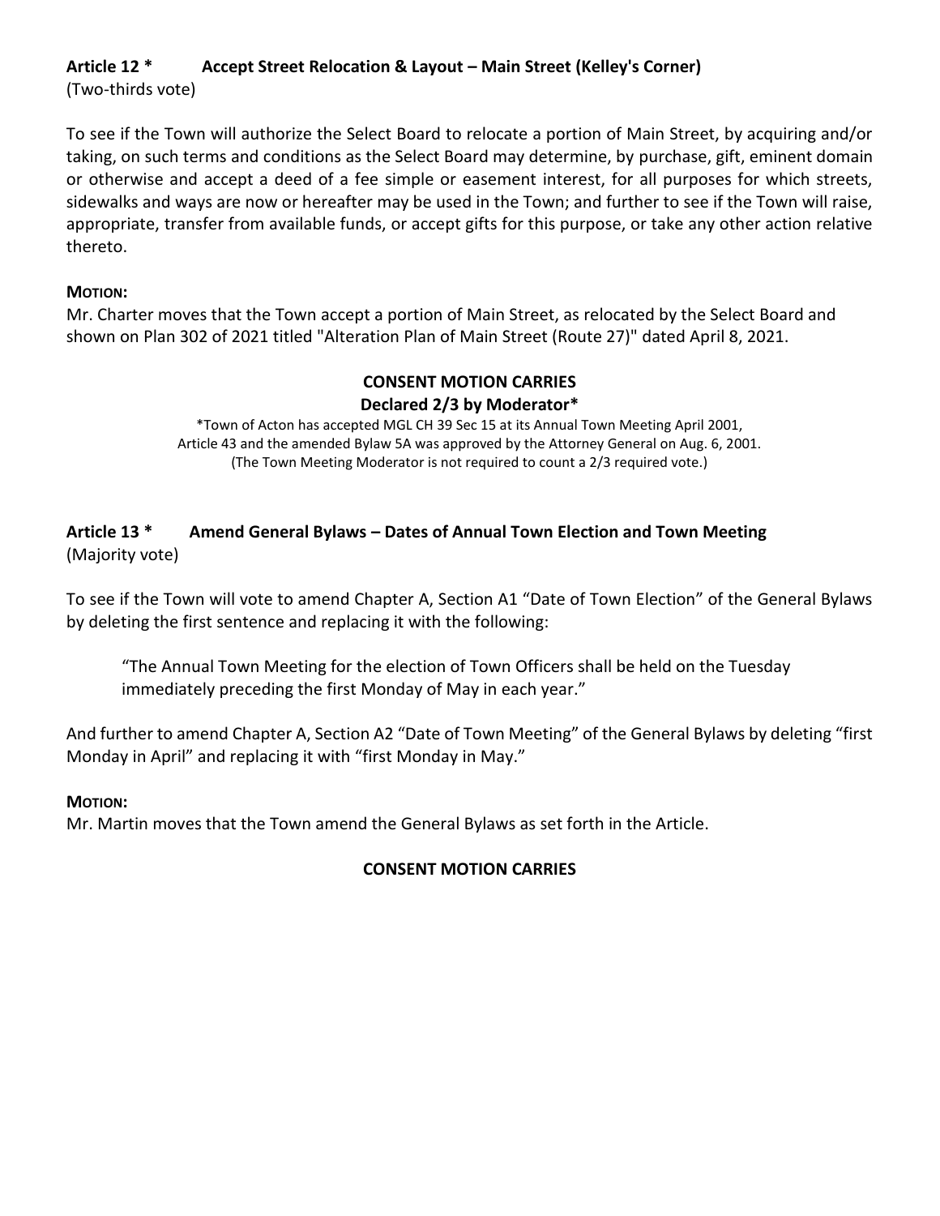# **Article 12 \* Accept Street Relocation & Layout – Main Street (Kelley's Corner)**

(Two-thirds vote)

To see if the Town will authorize the Select Board to relocate a portion of Main Street, by acquiring and/or taking, on such terms and conditions as the Select Board may determine, by purchase, gift, eminent domain or otherwise and accept a deed of a fee simple or easement interest, for all purposes for which streets, sidewalks and ways are now or hereafter may be used in the Town; and further to see if the Town will raise, appropriate, transfer from available funds, or accept gifts for this purpose, or take any other action relative thereto.

## **MOTION:**

Mr. Charter moves that the Town accept a portion of Main Street, as relocated by the Select Board and shown on Plan 302 of 2021 titled "Alteration Plan of Main Street (Route 27)" dated April 8, 2021.

# **CONSENT MOTION CARRIES Declared 2/3 by Moderator\***

\*Town of Acton has accepted MGL CH 39 Sec 15 at its Annual Town Meeting April 2001, Article 43 and the amended Bylaw 5A was approved by the Attorney General on Aug. 6, 2001. (The Town Meeting Moderator is not required to count a 2/3 required vote.)

# **Article 13 \* Amend General Bylaws – Dates of Annual Town Election and Town Meeting** (Majority vote)

To see if the Town will vote to amend Chapter A, Section A1 "Date of Town Election" of the General Bylaws by deleting the first sentence and replacing it with the following:

"The Annual Town Meeting for the election of Town Officers shall be held on the Tuesday immediately preceding the first Monday of May in each year."

And further to amend Chapter A, Section A2 "Date of Town Meeting" of the General Bylaws by deleting "first Monday in April" and replacing it with "first Monday in May."

### **MOTION:**

Mr. Martin moves that the Town amend the General Bylaws as set forth in the Article.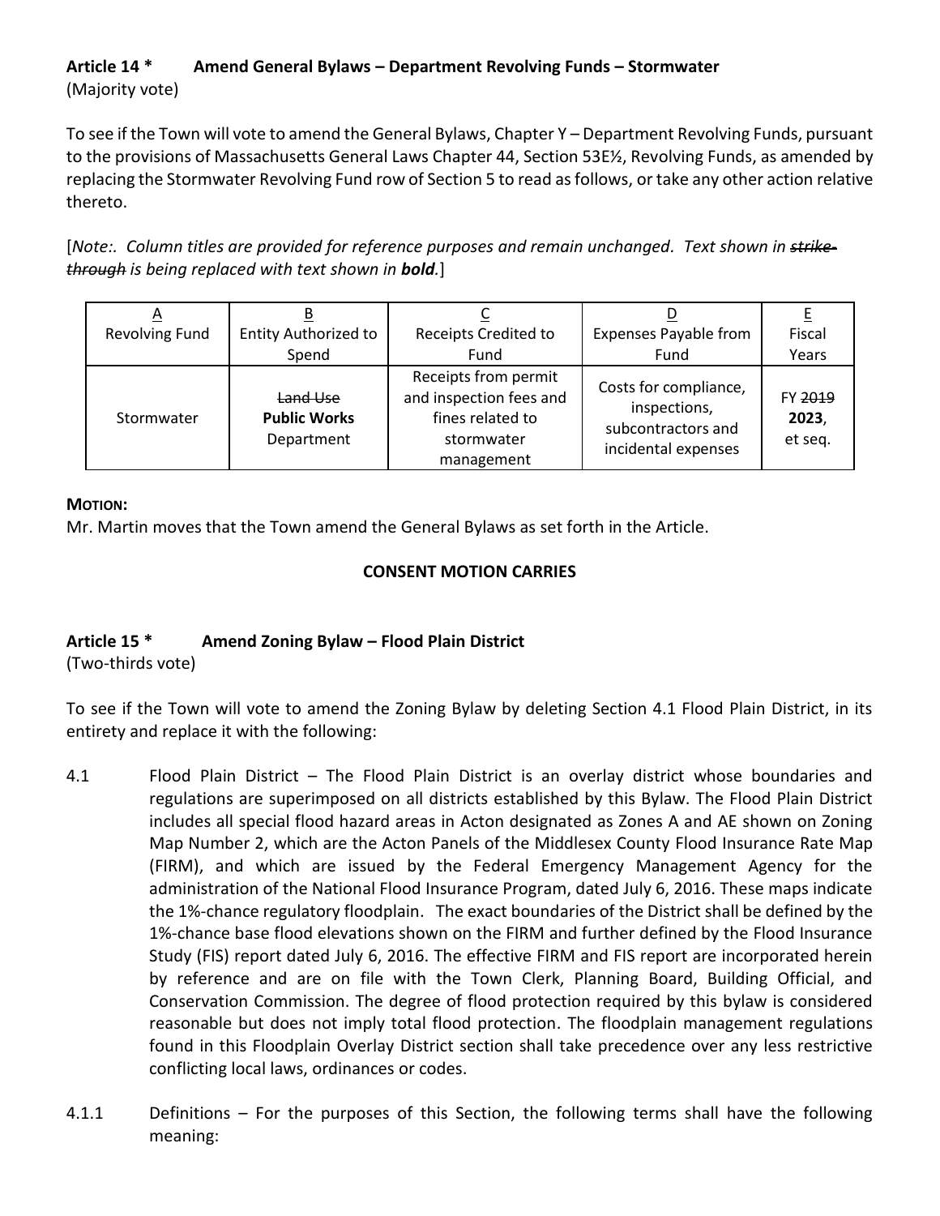# **Article 14 \* Amend General Bylaws – Department Revolving Funds – Stormwater** (Majority vote)

To see if the Town will vote to amend the General Bylaws, Chapter Y – Department Revolving Funds, pursuant to the provisions of Massachusetts General Laws Chapter 44, Section 53E½, Revolving Funds, as amended by replacing the Stormwater Revolving Fund row of Section 5 to read as follows, or take any other action relative thereto.

[*Note:. Column titles are provided for reference purposes and remain unchanged. Text shown in strikethrough is being replaced with text shown in bold.*]

| ∼                     | <b>Entity Authorized to</b>                   | Receipts Credited to                                                                            | <b>Expenses Payable from</b>                                                       | Fiscal                      |
|-----------------------|-----------------------------------------------|-------------------------------------------------------------------------------------------------|------------------------------------------------------------------------------------|-----------------------------|
| <b>Revolving Fund</b> | Spend                                         | Fund                                                                                            | Fund                                                                               | Years                       |
| Stormwater            | Land Use<br><b>Public Works</b><br>Department | Receipts from permit<br>and inspection fees and<br>fines related to<br>stormwater<br>management | Costs for compliance,<br>inspections,<br>subcontractors and<br>incidental expenses | FY 2019<br>2023,<br>et seq. |

# **MOTION:**

Mr. Martin moves that the Town amend the General Bylaws as set forth in the Article.

# **CONSENT MOTION CARRIES**

# **Article 15 \* Amend Zoning Bylaw – Flood Plain District**

(Two-thirds vote)

To see if the Town will vote to amend the Zoning Bylaw by deleting Section 4.1 Flood Plain District, in its entirety and replace it with the following:

- 4.1 Flood Plain District The Flood Plain District is an overlay district whose boundaries and regulations are superimposed on all districts established by this Bylaw. The Flood Plain District includes all special flood hazard areas in Acton designated as Zones A and AE shown on Zoning Map Number 2, which are the Acton Panels of the Middlesex County Flood Insurance Rate Map (FIRM), and which are issued by the Federal Emergency Management Agency for the administration of the National Flood Insurance Program, dated July 6, 2016. These maps indicate the 1%-chance regulatory floodplain. The exact boundaries of the District shall be defined by the 1%-chance base flood elevations shown on the FIRM and further defined by the Flood Insurance Study (FIS) report dated July 6, 2016. The effective FIRM and FIS report are incorporated herein by reference and are on file with the Town Clerk, Planning Board, Building Official, and Conservation Commission. The degree of flood protection required by this bylaw is considered reasonable but does not imply total flood protection. The floodplain management regulations found in this Floodplain Overlay District section shall take precedence over any less restrictive conflicting local laws, ordinances or codes.
- 4.1.1 Definitions For the purposes of this Section, the following terms shall have the following meaning: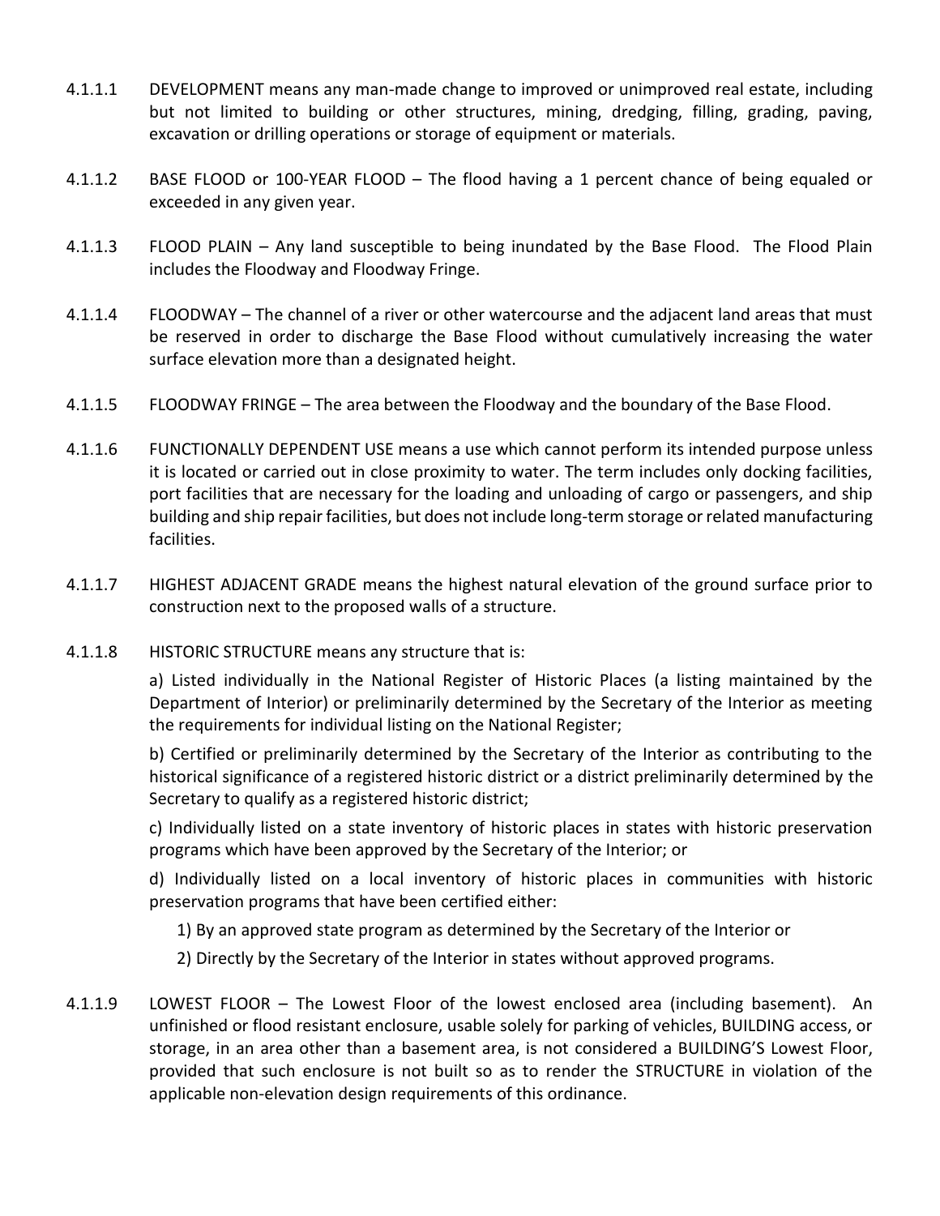- 4.1.1.1 DEVELOPMENT means any man-made change to improved or unimproved real estate, including but not limited to building or other structures, mining, dredging, filling, grading, paving, excavation or drilling operations or storage of equipment or materials.
- 4.1.1.2 BASE FLOOD or 100-YEAR FLOOD The flood having a 1 percent chance of being equaled or exceeded in any given year.
- 4.1.1.3 FLOOD PLAIN Any land susceptible to being inundated by the Base Flood. The Flood Plain includes the Floodway and Floodway Fringe.
- 4.1.1.4 FLOODWAY The channel of a river or other watercourse and the adjacent land areas that must be reserved in order to discharge the Base Flood without cumulatively increasing the water surface elevation more than a designated height.
- 4.1.1.5 FLOODWAY FRINGE The area between the Floodway and the boundary of the Base Flood.
- 4.1.1.6 FUNCTIONALLY DEPENDENT USE means a use which cannot perform its intended purpose unless it is located or carried out in close proximity to water. The term includes only docking facilities, port facilities that are necessary for the loading and unloading of cargo or passengers, and ship building and ship repair facilities, but does not include long-term storage or related manufacturing facilities.
- 4.1.1.7 HIGHEST ADJACENT GRADE means the highest natural elevation of the ground surface prior to construction next to the proposed walls of a structure.
- 4.1.1.8 HISTORIC STRUCTURE means any structure that is:

a) Listed individually in the National Register of Historic Places (a listing maintained by the Department of Interior) or preliminarily determined by the Secretary of the Interior as meeting the requirements for individual listing on the National Register;

b) Certified or preliminarily determined by the Secretary of the Interior as contributing to the historical significance of a registered historic district or a district preliminarily determined by the Secretary to qualify as a registered historic district;

c) Individually listed on a state inventory of historic places in states with historic preservation programs which have been approved by the Secretary of the Interior; or

d) Individually listed on a local inventory of historic places in communities with historic preservation programs that have been certified either:

1) By an approved state program as determined by the Secretary of the Interior or

2) Directly by the Secretary of the Interior in states without approved programs.

4.1.1.9 LOWEST FLOOR – The Lowest Floor of the lowest enclosed area (including basement). An unfinished or flood resistant enclosure, usable solely for parking of vehicles, BUILDING access, or storage, in an area other than a basement area, is not considered a BUILDING'S Lowest Floor, provided that such enclosure is not built so as to render the STRUCTURE in violation of the applicable non-elevation design requirements of this ordinance.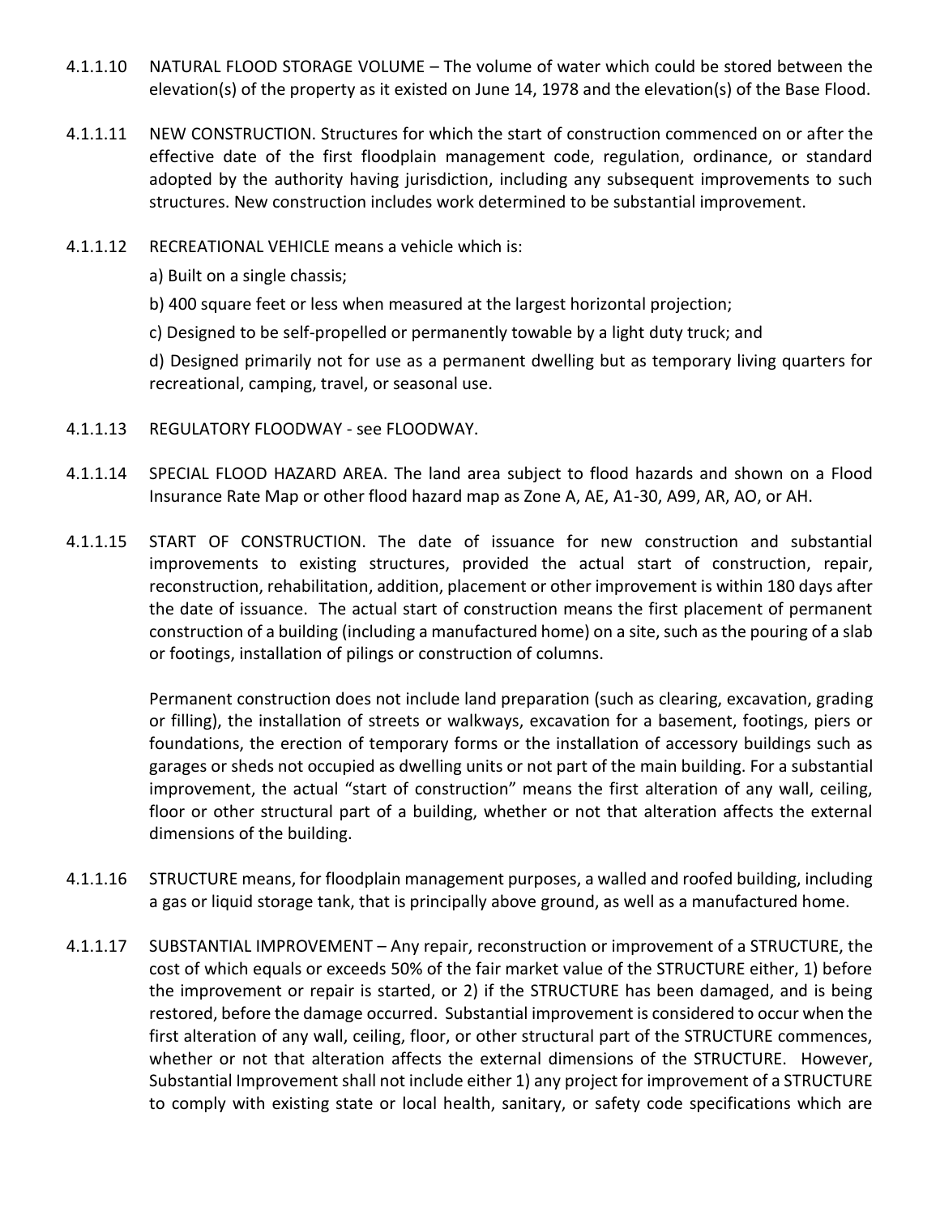- 4.1.1.10 NATURAL FLOOD STORAGE VOLUME The volume of water which could be stored between the elevation(s) of the property as it existed on June 14, 1978 and the elevation(s) of the Base Flood.
- 4.1.1.11 NEW CONSTRUCTION. Structures for which the start of construction commenced on or after the effective date of the first floodplain management code, regulation, ordinance, or standard adopted by the authority having jurisdiction, including any subsequent improvements to such structures. New construction includes work determined to be substantial improvement.
- 4.1.1.12 RECREATIONAL VEHICLE means a vehicle which is:
	- a) Built on a single chassis;

b) 400 square feet or less when measured at the largest horizontal projection;

c) Designed to be self-propelled or permanently towable by a light duty truck; and

d) Designed primarily not for use as a permanent dwelling but as temporary living quarters for recreational, camping, travel, or seasonal use.

- 4.1.1.13 REGULATORY FLOODWAY see FLOODWAY.
- 4.1.1.14 SPECIAL FLOOD HAZARD AREA. The land area subject to flood hazards and shown on a Flood Insurance Rate Map or other flood hazard map as Zone A, AE, A1-30, A99, AR, AO, or AH.
- 4.1.1.15 START OF CONSTRUCTION. The date of issuance for new construction and substantial improvements to existing structures, provided the actual start of construction, repair, reconstruction, rehabilitation, addition, placement or other improvement is within 180 days after the date of issuance. The actual start of construction means the first placement of permanent construction of a building (including a manufactured home) on a site, such as the pouring of a slab or footings, installation of pilings or construction of columns.

Permanent construction does not include land preparation (such as clearing, excavation, grading or filling), the installation of streets or walkways, excavation for a basement, footings, piers or foundations, the erection of temporary forms or the installation of accessory buildings such as garages or sheds not occupied as dwelling units or not part of the main building. For a substantial improvement, the actual "start of construction" means the first alteration of any wall, ceiling, floor or other structural part of a building, whether or not that alteration affects the external dimensions of the building.

- 4.1.1.16 STRUCTURE means, for floodplain management purposes, a walled and roofed building, including a gas or liquid storage tank, that is principally above ground, as well as a manufactured home.
- 4.1.1.17 SUBSTANTIAL IMPROVEMENT Any repair, reconstruction or improvement of a STRUCTURE, the cost of which equals or exceeds 50% of the fair market value of the STRUCTURE either, 1) before the improvement or repair is started, or 2) if the STRUCTURE has been damaged, and is being restored, before the damage occurred. Substantial improvement is considered to occur when the first alteration of any wall, ceiling, floor, or other structural part of the STRUCTURE commences, whether or not that alteration affects the external dimensions of the STRUCTURE. However, Substantial Improvement shall not include either 1) any project for improvement of a STRUCTURE to comply with existing state or local health, sanitary, or safety code specifications which are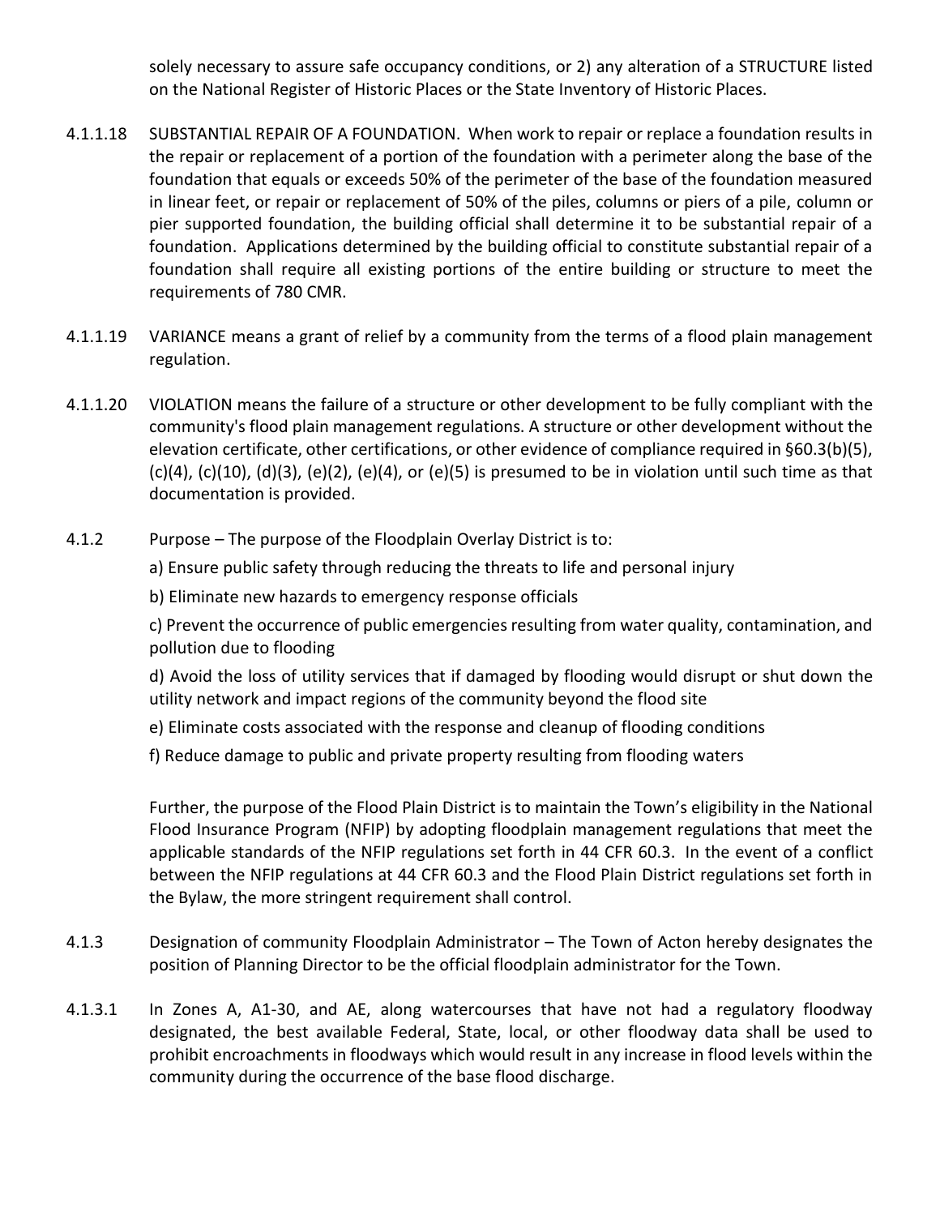solely necessary to assure safe occupancy conditions, or 2) any alteration of a STRUCTURE listed on the National Register of Historic Places or the State Inventory of Historic Places.

- 4.1.1.18 SUBSTANTIAL REPAIR OF A FOUNDATION. When work to repair or replace a foundation results in the repair or replacement of a portion of the foundation with a perimeter along the base of the foundation that equals or exceeds 50% of the perimeter of the base of the foundation measured in linear feet, or repair or replacement of 50% of the piles, columns or piers of a pile, column or pier supported foundation, the building official shall determine it to be substantial repair of a foundation. Applications determined by the building official to constitute substantial repair of a foundation shall require all existing portions of the entire building or structure to meet the requirements of 780 CMR.
- 4.1.1.19 VARIANCE means a grant of relief by a community from the terms of a flood plain management regulation.
- 4.1.1.20 VIOLATION means the failure of a structure or other development to be fully compliant with the community's flood plain management regulations. A structure or other development without the elevation certificate, other certifications, or other evidence of compliance required in §60.3(b)(5),  $(c)(4)$ ,  $(c)(10)$ ,  $(d)(3)$ ,  $(e)(2)$ ,  $(e)(4)$ , or  $(e)(5)$  is presumed to be in violation until such time as that documentation is provided.
- 4.1.2 Purpose The purpose of the Floodplain Overlay District is to:

a) Ensure public safety through reducing the threats to life and personal injury

b) Eliminate new hazards to emergency response officials

c) Prevent the occurrence of public emergencies resulting from water quality, contamination, and pollution due to flooding

d) Avoid the loss of utility services that if damaged by flooding would disrupt or shut down the utility network and impact regions of the community beyond the flood site

- e) Eliminate costs associated with the response and cleanup of flooding conditions
- f) Reduce damage to public and private property resulting from flooding waters

Further, the purpose of the Flood Plain District is to maintain the Town's eligibility in the National Flood Insurance Program (NFIP) by adopting floodplain management regulations that meet the applicable standards of the NFIP regulations set forth in 44 CFR 60.3. In the event of a conflict between the NFIP regulations at 44 CFR 60.3 and the Flood Plain District regulations set forth in the Bylaw, the more stringent requirement shall control.

- 4.1.3 Designation of community Floodplain Administrator The Town of Acton hereby designates the position of Planning Director to be the official floodplain administrator for the Town.
- 4.1.3.1 In Zones A, A1-30, and AE, along watercourses that have not had a regulatory floodway designated, the best available Federal, State, local, or other floodway data shall be used to prohibit encroachments in floodways which would result in any increase in flood levels within the community during the occurrence of the base flood discharge.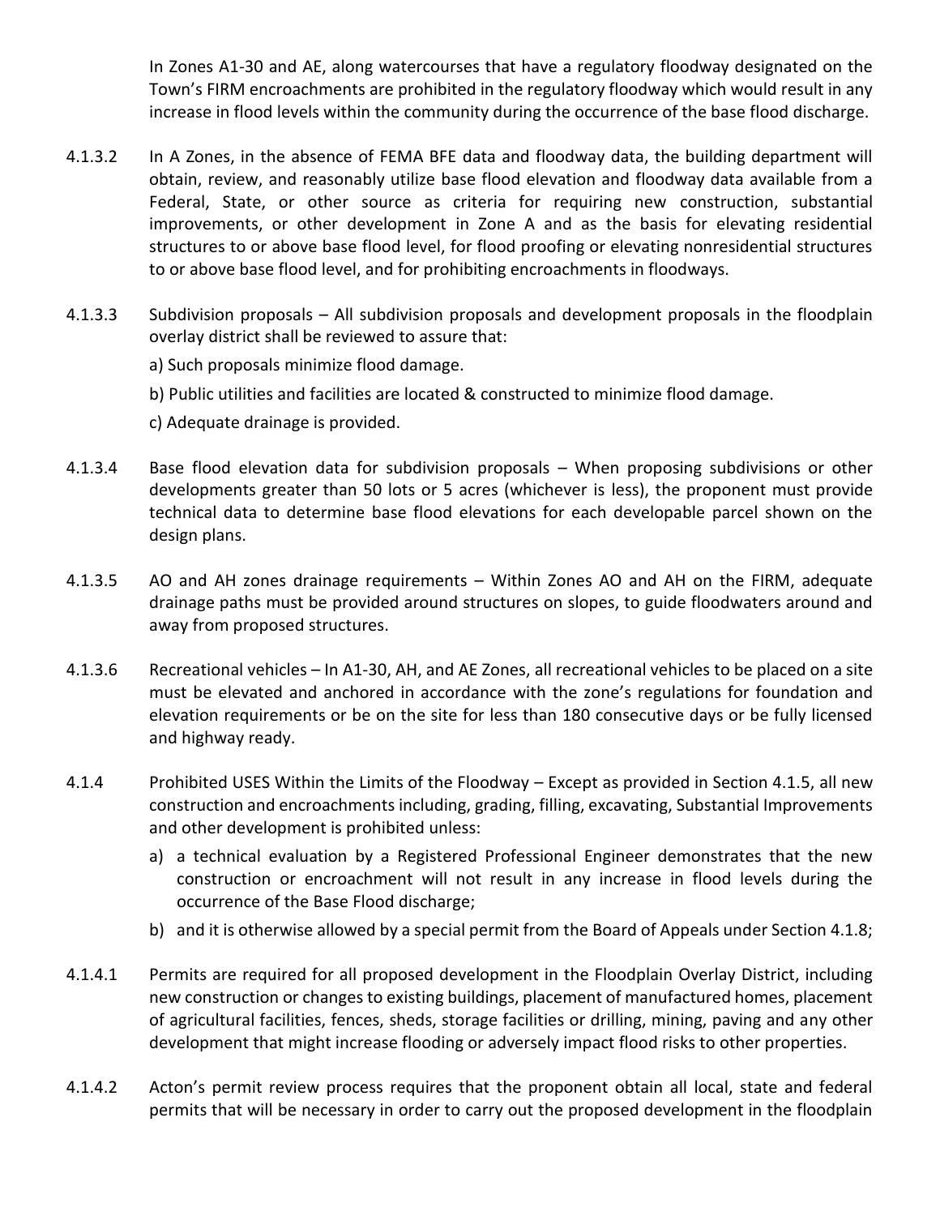In Zones A1-30 and AE, along watercourses that have a regulatory floodway designated on the Town's FIRM encroachments are prohibited in the regulatory floodway which would result in any increase in flood levels within the community during the occurrence of the base flood discharge.

- 4.1.3.2 In A Zones, in the absence of FEMA BFE data and floodway data, the building department will obtain, review, and reasonably utilize base flood elevation and floodway data available from a Federal, State, or other source as criteria for requiring new construction, substantial improvements, or other development in Zone A and as the basis for elevating residential structures to or above base flood level, for flood proofing or elevating nonresidential structures to or above base flood level, and for prohibiting encroachments in floodways.
- 4.1.3.3 Subdivision proposals All subdivision proposals and development proposals in the floodplain overlay district shall be reviewed to assure that:

a) Such proposals minimize flood damage.

b) Public utilities and facilities are located & constructed to minimize flood damage.

c) Adequate drainage is provided.

- 4.1.3.4 Base flood elevation data for subdivision proposals When proposing subdivisions or other developments greater than 50 lots or 5 acres (whichever is less), the proponent must provide technical data to determine base flood elevations for each developable parcel shown on the design plans.
- 4.1.3.5 AO and AH zones drainage requirements Within Zones AO and AH on the FIRM, adequate drainage paths must be provided around structures on slopes, to guide floodwaters around and away from proposed structures.
- 4.1.3.6 Recreational vehicles In A1-30, AH, and AE Zones, all recreational vehicles to be placed on a site must be elevated and anchored in accordance with the zone's regulations for foundation and elevation requirements or be on the site for less than 180 consecutive days or be fully licensed and highway ready.
- 4.1.4 Prohibited USES Within the Limits of the Floodway Except as provided in Section 4.1.5, all new construction and encroachments including, grading, filling, excavating, Substantial Improvements and other development is prohibited unless:
	- a) a technical evaluation by a Registered Professional Engineer demonstrates that the new construction or encroachment will not result in any increase in flood levels during the occurrence of the Base Flood discharge;
	- b) and it is otherwise allowed by a special permit from the Board of Appeals under Section 4.1.8;
- 4.1.4.1 Permits are required for all proposed development in the Floodplain Overlay District, including new construction or changes to existing buildings, placement of manufactured homes, placement of agricultural facilities, fences, sheds, storage facilities or drilling, mining, paving and any other development that might increase flooding or adversely impact flood risks to other properties.
- 4.1.4.2 Acton's permit review process requires that the proponent obtain all local, state and federal permits that will be necessary in order to carry out the proposed development in the floodplain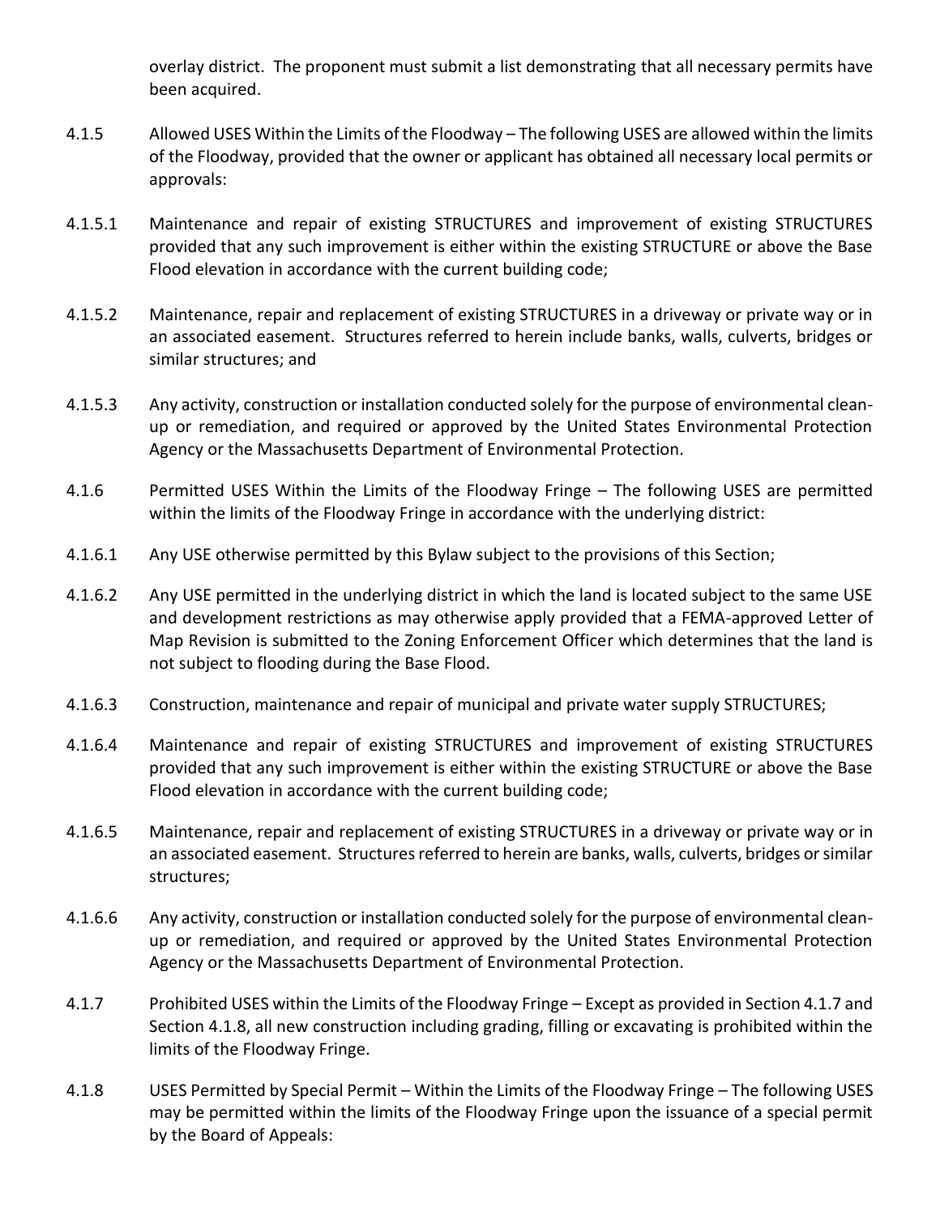overlay district. The proponent must submit a list demonstrating that all necessary permits have been acquired.

- 4.1.5 Allowed USES Within the Limits of the Floodway The following USES are allowed within the limits of the Floodway, provided that the owner or applicant has obtained all necessary local permits or approvals:
- 4.1.5.1 Maintenance and repair of existing STRUCTURES and improvement of existing STRUCTURES provided that any such improvement is either within the existing STRUCTURE or above the Base Flood elevation in accordance with the current building code;
- 4.1.5.2 Maintenance, repair and replacement of existing STRUCTURES in a driveway or private way or in an associated easement. Structures referred to herein include banks, walls, culverts, bridges or similar structures; and
- 4.1.5.3 Any activity, construction or installation conducted solely for the purpose of environmental cleanup or remediation, and required or approved by the United States Environmental Protection Agency or the Massachusetts Department of Environmental Protection.
- 4.1.6 Permitted USES Within the Limits of the Floodway Fringe The following USES are permitted within the limits of the Floodway Fringe in accordance with the underlying district:
- 4.1.6.1 Any USE otherwise permitted by this Bylaw subject to the provisions of this Section;
- 4.1.6.2 Any USE permitted in the underlying district in which the land is located subject to the same USE and development restrictions as may otherwise apply provided that a FEMA-approved Letter of Map Revision is submitted to the Zoning Enforcement Officer which determines that the land is not subject to flooding during the Base Flood.
- 4.1.6.3 Construction, maintenance and repair of municipal and private water supply STRUCTURES;
- 4.1.6.4 Maintenance and repair of existing STRUCTURES and improvement of existing STRUCTURES provided that any such improvement is either within the existing STRUCTURE or above the Base Flood elevation in accordance with the current building code;
- 4.1.6.5 Maintenance, repair and replacement of existing STRUCTURES in a driveway or private way or in an associated easement. Structures referred to herein are banks, walls, culverts, bridges or similar structures;
- 4.1.6.6 Any activity, construction or installation conducted solely for the purpose of environmental cleanup or remediation, and required or approved by the United States Environmental Protection Agency or the Massachusetts Department of Environmental Protection.
- 4.1.7 Prohibited USES within the Limits of the Floodway Fringe Except as provided in Section 4.1.7 and Section 4.1.8, all new construction including grading, filling or excavating is prohibited within the limits of the Floodway Fringe.
- 4.1.8 USES Permitted by Special Permit Within the Limits of the Floodway Fringe The following USES may be permitted within the limits of the Floodway Fringe upon the issuance of a special permit by the Board of Appeals: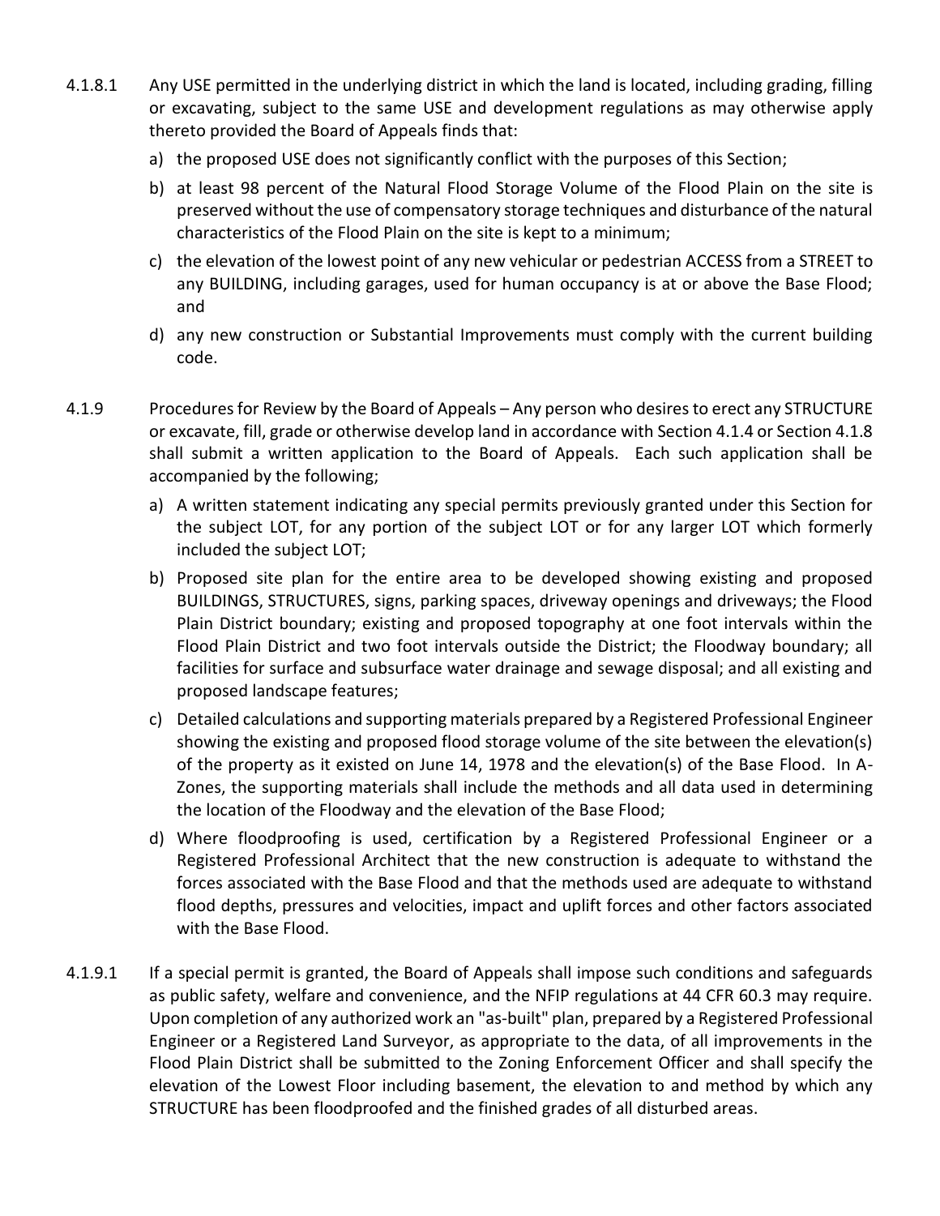- 4.1.8.1 Any USE permitted in the underlying district in which the land is located, including grading, filling or excavating, subject to the same USE and development regulations as may otherwise apply thereto provided the Board of Appeals finds that:
	- a) the proposed USE does not significantly conflict with the purposes of this Section;
	- b) at least 98 percent of the Natural Flood Storage Volume of the Flood Plain on the site is preserved without the use of compensatory storage techniques and disturbance of the natural characteristics of the Flood Plain on the site is kept to a minimum;
	- c) the elevation of the lowest point of any new vehicular or pedestrian ACCESS from a STREET to any BUILDING, including garages, used for human occupancy is at or above the Base Flood; and
	- d) any new construction or Substantial Improvements must comply with the current building code.
- 4.1.9 Procedures for Review by the Board of Appeals Any person who desires to erect any STRUCTURE or excavate, fill, grade or otherwise develop land in accordance with Section 4.1.4 or Section 4.1.8 shall submit a written application to the Board of Appeals. Each such application shall be accompanied by the following;
	- a) A written statement indicating any special permits previously granted under this Section for the subject LOT, for any portion of the subject LOT or for any larger LOT which formerly included the subject LOT;
	- b) Proposed site plan for the entire area to be developed showing existing and proposed BUILDINGS, STRUCTURES, signs, parking spaces, driveway openings and driveways; the Flood Plain District boundary; existing and proposed topography at one foot intervals within the Flood Plain District and two foot intervals outside the District; the Floodway boundary; all facilities for surface and subsurface water drainage and sewage disposal; and all existing and proposed landscape features;
	- c) Detailed calculations and supporting materials prepared by a Registered Professional Engineer showing the existing and proposed flood storage volume of the site between the elevation(s) of the property as it existed on June 14, 1978 and the elevation(s) of the Base Flood. In A-Zones, the supporting materials shall include the methods and all data used in determining the location of the Floodway and the elevation of the Base Flood;
	- d) Where floodproofing is used, certification by a Registered Professional Engineer or a Registered Professional Architect that the new construction is adequate to withstand the forces associated with the Base Flood and that the methods used are adequate to withstand flood depths, pressures and velocities, impact and uplift forces and other factors associated with the Base Flood.
- 4.1.9.1 If a special permit is granted, the Board of Appeals shall impose such conditions and safeguards as public safety, welfare and convenience, and the NFIP regulations at 44 CFR 60.3 may require. Upon completion of any authorized work an "as-built" plan, prepared by a Registered Professional Engineer or a Registered Land Surveyor, as appropriate to the data, of all improvements in the Flood Plain District shall be submitted to the Zoning Enforcement Officer and shall specify the elevation of the Lowest Floor including basement, the elevation to and method by which any STRUCTURE has been floodproofed and the finished grades of all disturbed areas.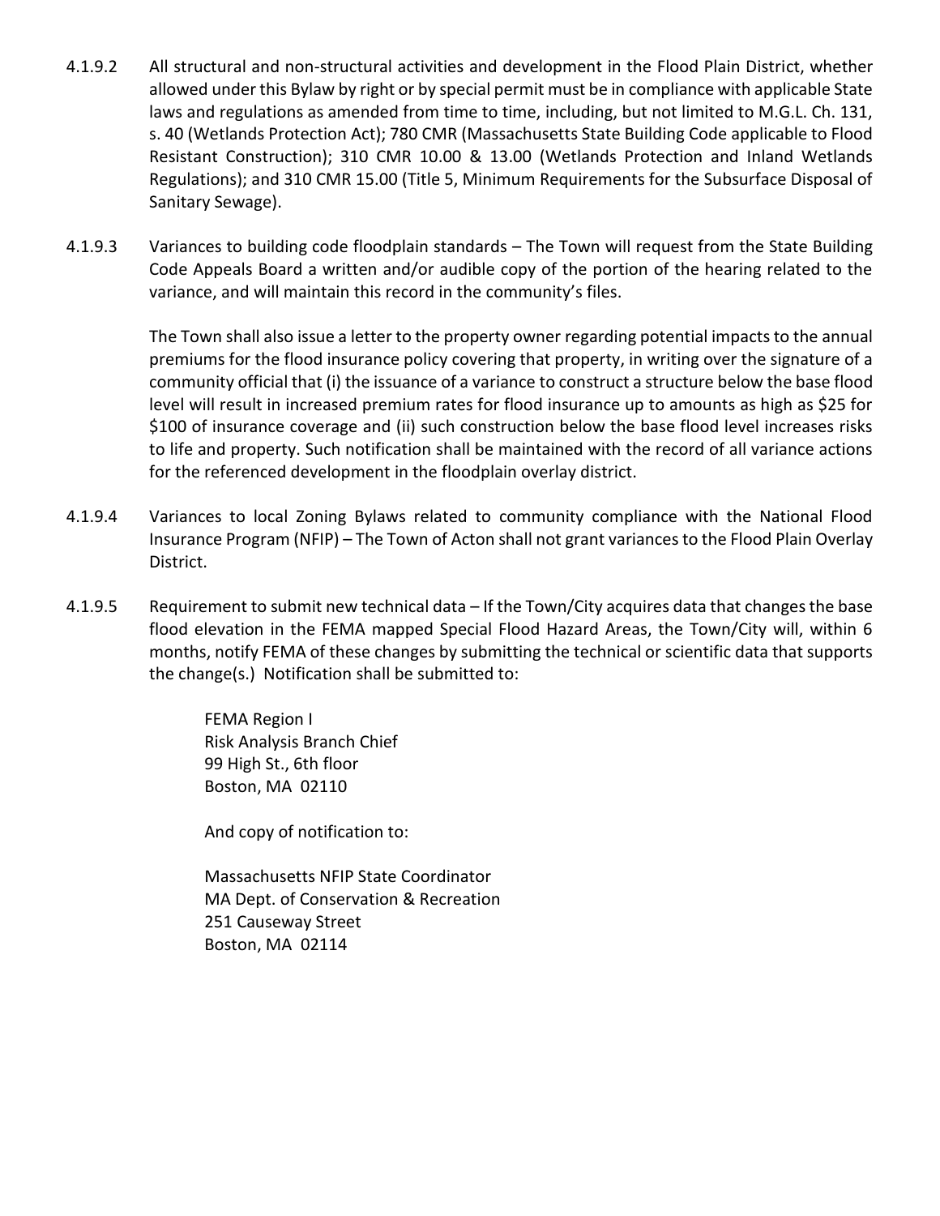- 4.1.9.2 All structural and non-structural activities and development in the Flood Plain District, whether allowed under this Bylaw by right or by special permit must be in compliance with applicable State laws and regulations as amended from time to time, including, but not limited to M.G.L. Ch. 131, s. 40 (Wetlands Protection Act); 780 CMR (Massachusetts State Building Code applicable to Flood Resistant Construction); 310 CMR 10.00 & 13.00 (Wetlands Protection and Inland Wetlands Regulations); and 310 CMR 15.00 (Title 5, Minimum Requirements for the Subsurface Disposal of Sanitary Sewage).
- 4.1.9.3 Variances to building code floodplain standards The Town will request from the State Building Code Appeals Board a written and/or audible copy of the portion of the hearing related to the variance, and will maintain this record in the community's files.

The Town shall also issue a letter to the property owner regarding potential impacts to the annual premiums for the flood insurance policy covering that property, in writing over the signature of a community official that (i) the issuance of a variance to construct a structure below the base flood level will result in increased premium rates for flood insurance up to amounts as high as \$25 for \$100 of insurance coverage and (ii) such construction below the base flood level increases risks to life and property. Such notification shall be maintained with the record of all variance actions for the referenced development in the floodplain overlay district.

- 4.1.9.4 Variances to local Zoning Bylaws related to community compliance with the National Flood Insurance Program (NFIP) – The Town of Acton shall not grant variances to the Flood Plain Overlay District.
- 4.1.9.5 Requirement to submit new technical data If the Town/City acquires data that changes the base flood elevation in the FEMA mapped Special Flood Hazard Areas, the Town/City will, within 6 months, notify FEMA of these changes by submitting the technical or scientific data that supports the change(s.) Notification shall be submitted to:

FEMA Region I Risk Analysis Branch Chief 99 High St., 6th floor Boston, MA 02110

And copy of notification to:

Massachusetts NFIP State Coordinator MA Dept. of Conservation & Recreation 251 Causeway Street Boston, MA 02114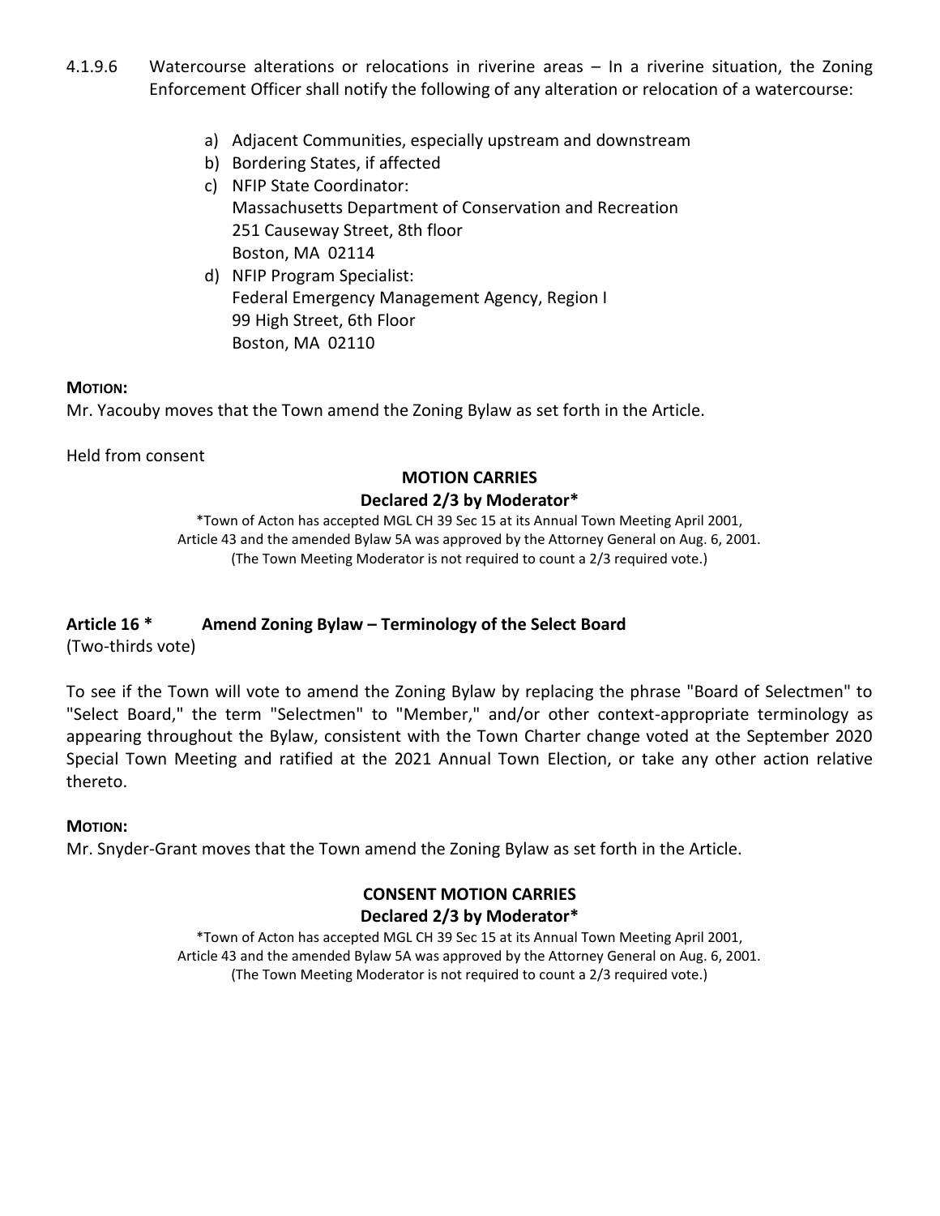- 4.1.9.6 Watercourse alterations or relocations in riverine areas In a riverine situation, the Zoning Enforcement Officer shall notify the following of any alteration or relocation of a watercourse:
	- a) Adjacent Communities, especially upstream and downstream
	- b) Bordering States, if affected
	- c) NFIP State Coordinator: Massachusetts Department of Conservation and Recreation 251 Causeway Street, 8th floor Boston, MA 02114
	- d) NFIP Program Specialist: Federal Emergency Management Agency, Region I 99 High Street, 6th Floor Boston, MA 02110

### **MOTION:**

Mr. Yacouby moves that the Town amend the Zoning Bylaw as set forth in the Article.

Held from consent

# **MOTION CARRIES**

## **Declared 2/3 by Moderator\***

\*Town of Acton has accepted MGL CH 39 Sec 15 at its Annual Town Meeting April 2001, Article 43 and the amended Bylaw 5A was approved by the Attorney General on Aug. 6, 2001. (The Town Meeting Moderator is not required to count a 2/3 required vote.)

# **Article 16 \* Amend Zoning Bylaw – Terminology of the Select Board**

(Two-thirds vote)

To see if the Town will vote to amend the Zoning Bylaw by replacing the phrase "Board of Selectmen" to "Select Board," the term "Selectmen" to "Member," and/or other context-appropriate terminology as appearing throughout the Bylaw, consistent with the Town Charter change voted at the September 2020 Special Town Meeting and ratified at the 2021 Annual Town Election, or take any other action relative thereto.

### **MOTION:**

Mr. Snyder-Grant moves that the Town amend the Zoning Bylaw as set forth in the Article.

## **CONSENT MOTION CARRIES Declared 2/3 by Moderator\***

\*Town of Acton has accepted MGL CH 39 Sec 15 at its Annual Town Meeting April 2001, Article 43 and the amended Bylaw 5A was approved by the Attorney General on Aug. 6, 2001. (The Town Meeting Moderator is not required to count a 2/3 required vote.)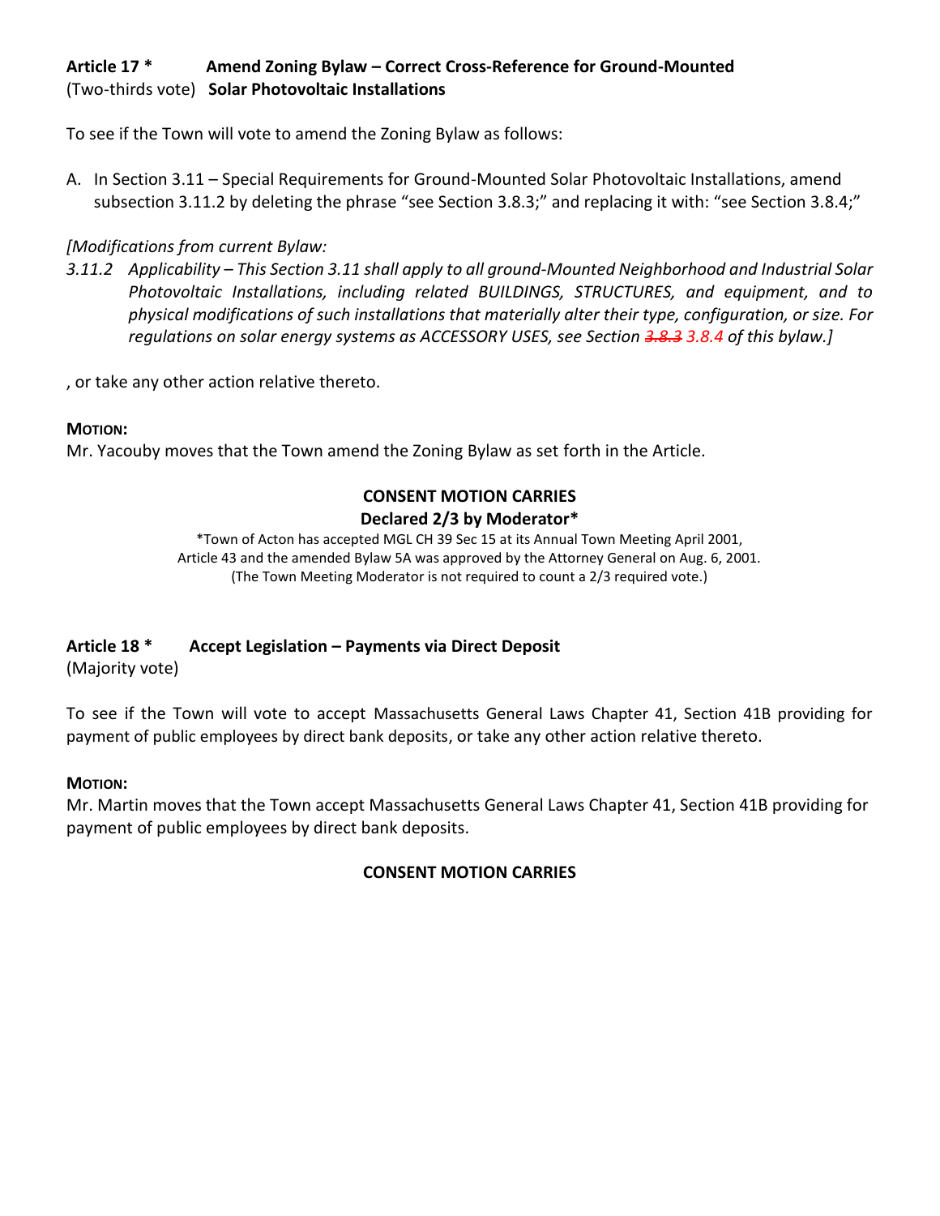# **Article 17 \* Amend Zoning Bylaw – Correct Cross-Reference for Ground-Mounted** (Two-thirds vote) **Solar Photovoltaic Installations**

To see if the Town will vote to amend the Zoning Bylaw as follows:

A. In Section 3.11 – Special Requirements for Ground-Mounted Solar Photovoltaic Installations, amend subsection 3.11.2 by deleting the phrase "see Section 3.8.3;" and replacing it with: "see Section 3.8.4;"

# *[Modifications from current Bylaw:*

*3.11.2 Applicability – This Section 3.11 shall apply to all ground-Mounted Neighborhood and Industrial Solar Photovoltaic Installations, including related BUILDINGS, STRUCTURES, and equipment, and to physical modifications of such installations that materially alter their type, configuration, or size. For regulations on solar energy systems as ACCESSORY USES, see Section 3.8.3 3.8.4 of this bylaw.]*

, or take any other action relative thereto.

# **MOTION:**

Mr. Yacouby moves that the Town amend the Zoning Bylaw as set forth in the Article.

# **CONSENT MOTION CARRIES**

# **Declared 2/3 by Moderator\***

\*Town of Acton has accepted MGL CH 39 Sec 15 at its Annual Town Meeting April 2001, Article 43 and the amended Bylaw 5A was approved by the Attorney General on Aug. 6, 2001. (The Town Meeting Moderator is not required to count a 2/3 required vote.)

# **Article 18 \* Accept Legislation – Payments via Direct Deposit**

(Majority vote)

To see if the Town will vote to accept Massachusetts General Laws Chapter 41, Section 41B providing for payment of public employees by direct bank deposits, or take any other action relative thereto.

### **MOTION:**

Mr. Martin moves that the Town accept Massachusetts General Laws Chapter 41, Section 41B providing for payment of public employees by direct bank deposits.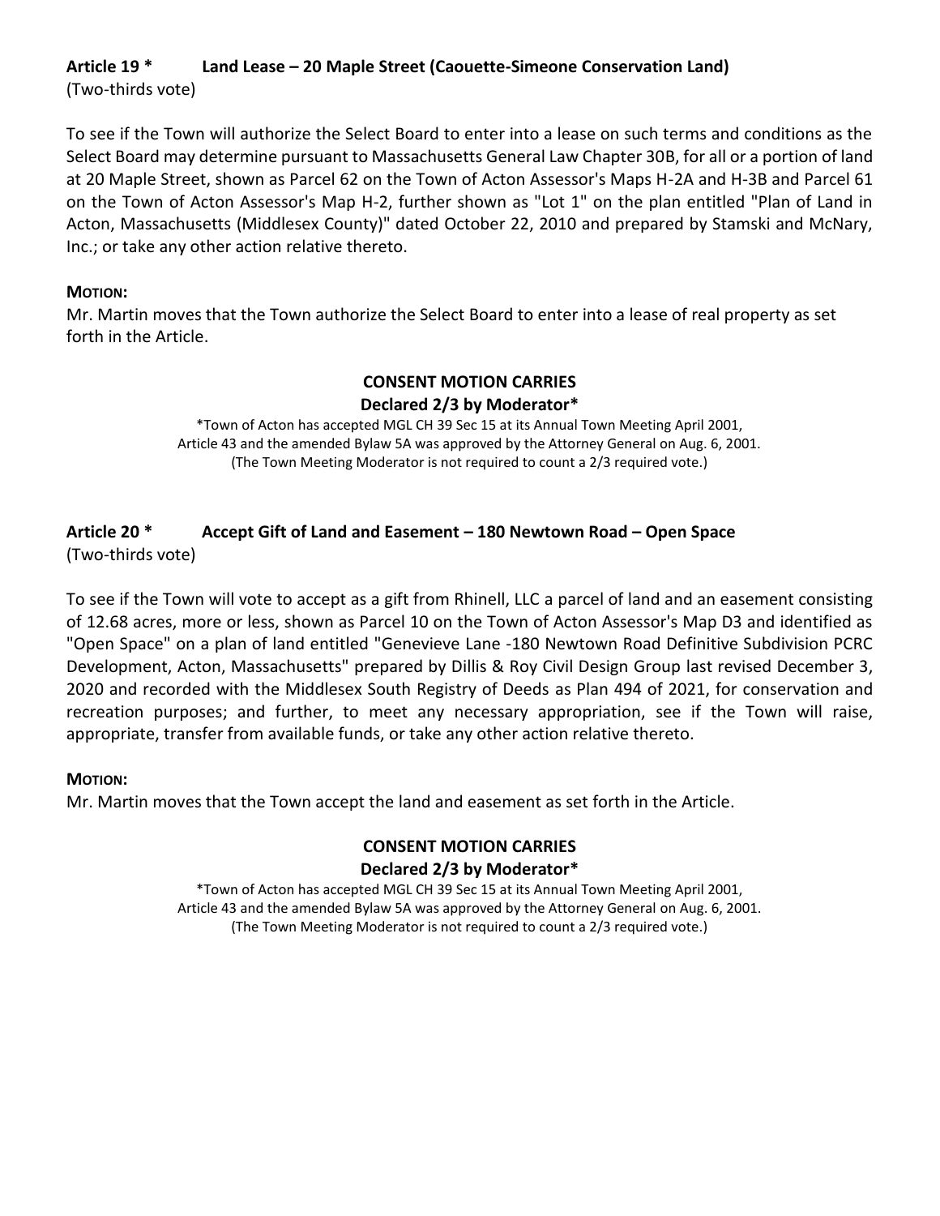# **Article 19 \* Land Lease – 20 Maple Street (Caouette-Simeone Conservation Land)** (Two-thirds vote)

To see if the Town will authorize the Select Board to enter into a lease on such terms and conditions as the Select Board may determine pursuant to Massachusetts General Law Chapter 30B, for all or a portion of land at 20 Maple Street, shown as Parcel 62 on the Town of Acton Assessor's Maps H-2A and H-3B and Parcel 61 on the Town of Acton Assessor's Map H-2, further shown as "Lot 1" on the plan entitled "Plan of Land in Acton, Massachusetts (Middlesex County)" dated October 22, 2010 and prepared by Stamski and McNary, Inc.; or take any other action relative thereto.

## **MOTION:**

Mr. Martin moves that the Town authorize the Select Board to enter into a lease of real property as set forth in the Article.

## **CONSENT MOTION CARRIES Declared 2/3 by Moderator\***

\*Town of Acton has accepted MGL CH 39 Sec 15 at its Annual Town Meeting April 2001, Article 43 and the amended Bylaw 5A was approved by the Attorney General on Aug. 6, 2001. (The Town Meeting Moderator is not required to count a 2/3 required vote.)

#### **Article 20 \* Accept Gift of Land and Easement – 180 Newtown Road – Open Space** (Two-thirds vote)

To see if the Town will vote to accept as a gift from Rhinell, LLC a parcel of land and an easement consisting of 12.68 acres, more or less, shown as Parcel 10 on the Town of Acton Assessor's Map D3 and identified as "Open Space" on a plan of land entitled "Genevieve Lane -180 Newtown Road Definitive Subdivision PCRC Development, Acton, Massachusetts" prepared by Dillis & Roy Civil Design Group last revised December 3, 2020 and recorded with the Middlesex South Registry of Deeds as Plan 494 of 2021, for conservation and recreation purposes; and further, to meet any necessary appropriation, see if the Town will raise, appropriate, transfer from available funds, or take any other action relative thereto.

### **MOTION:**

Mr. Martin moves that the Town accept the land and easement as set forth in the Article.

# **CONSENT MOTION CARRIES Declared 2/3 by Moderator\***

\*Town of Acton has accepted MGL CH 39 Sec 15 at its Annual Town Meeting April 2001, Article 43 and the amended Bylaw 5A was approved by the Attorney General on Aug. 6, 2001. (The Town Meeting Moderator is not required to count a 2/3 required vote.)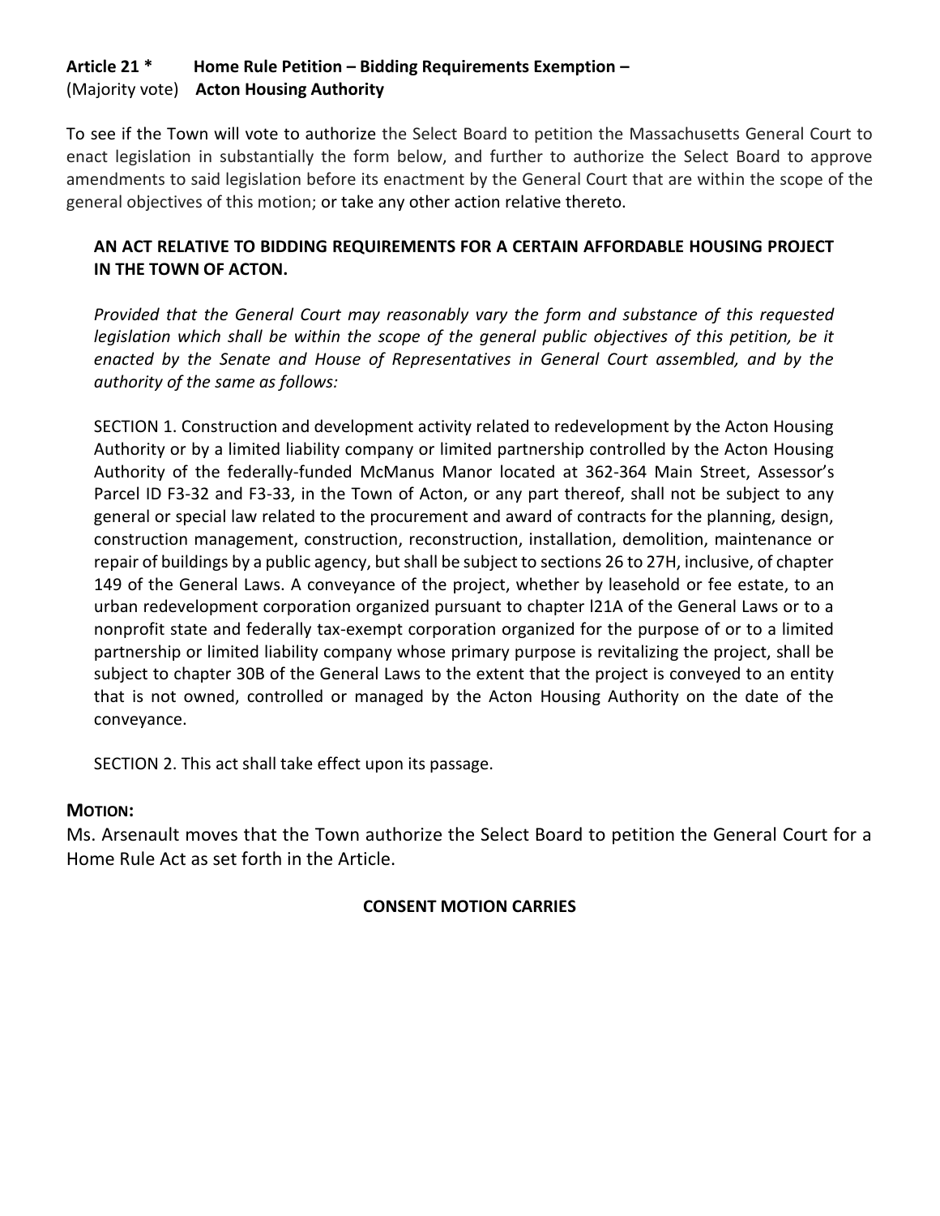# **Article 21 \* Home Rule Petition – Bidding Requirements Exemption –** (Majority vote) **Acton Housing Authority**

To see if the Town will vote to authorize the Select Board to petition the Massachusetts General Court to enact legislation in substantially the form below, and further to authorize the Select Board to approve amendments to said legislation before its enactment by the General Court that are within the scope of the general objectives of this motion; or take any other action relative thereto.

# **AN ACT RELATIVE TO BIDDING REQUIREMENTS FOR A CERTAIN AFFORDABLE HOUSING PROJECT IN THE TOWN OF ACTON.**

*Provided that the General Court may reasonably vary the form and substance of this requested*  legislation which shall be within the scope of the general public objectives of this petition, be it *enacted by the Senate and House of Representatives in General Court assembled, and by the authority of the same as follows:*

SECTION 1. Construction and development activity related to redevelopment by the Acton Housing Authority or by a limited liability company or limited partnership controlled by the Acton Housing Authority of the federally-funded McManus Manor located at 362-364 Main Street, Assessor's Parcel ID F3-32 and F3-33, in the Town of Acton, or any part thereof, shall not be subject to any general or special law related to the procurement and award of contracts for the planning, design, construction management, construction, reconstruction, installation, demolition, maintenance or repair of buildings by a public agency, but shall be subject to sections 26 to 27H, inclusive, of chapter 149 of the General Laws. A conveyance of the project, whether by leasehold or fee estate, to an urban redevelopment corporation organized pursuant to chapter l21A of the General Laws or to a nonprofit state and federally tax-exempt corporation organized for the purpose of or to a limited partnership or limited liability company whose primary purpose is revitalizing the project, shall be subject to chapter 30B of the General Laws to the extent that the project is conveyed to an entity that is not owned, controlled or managed by the Acton Housing Authority on the date of the conveyance.

SECTION 2. This act shall take effect upon its passage.

# **MOTION:**

Ms. Arsenault moves that the Town authorize the Select Board to petition the General Court for a Home Rule Act as set forth in the Article.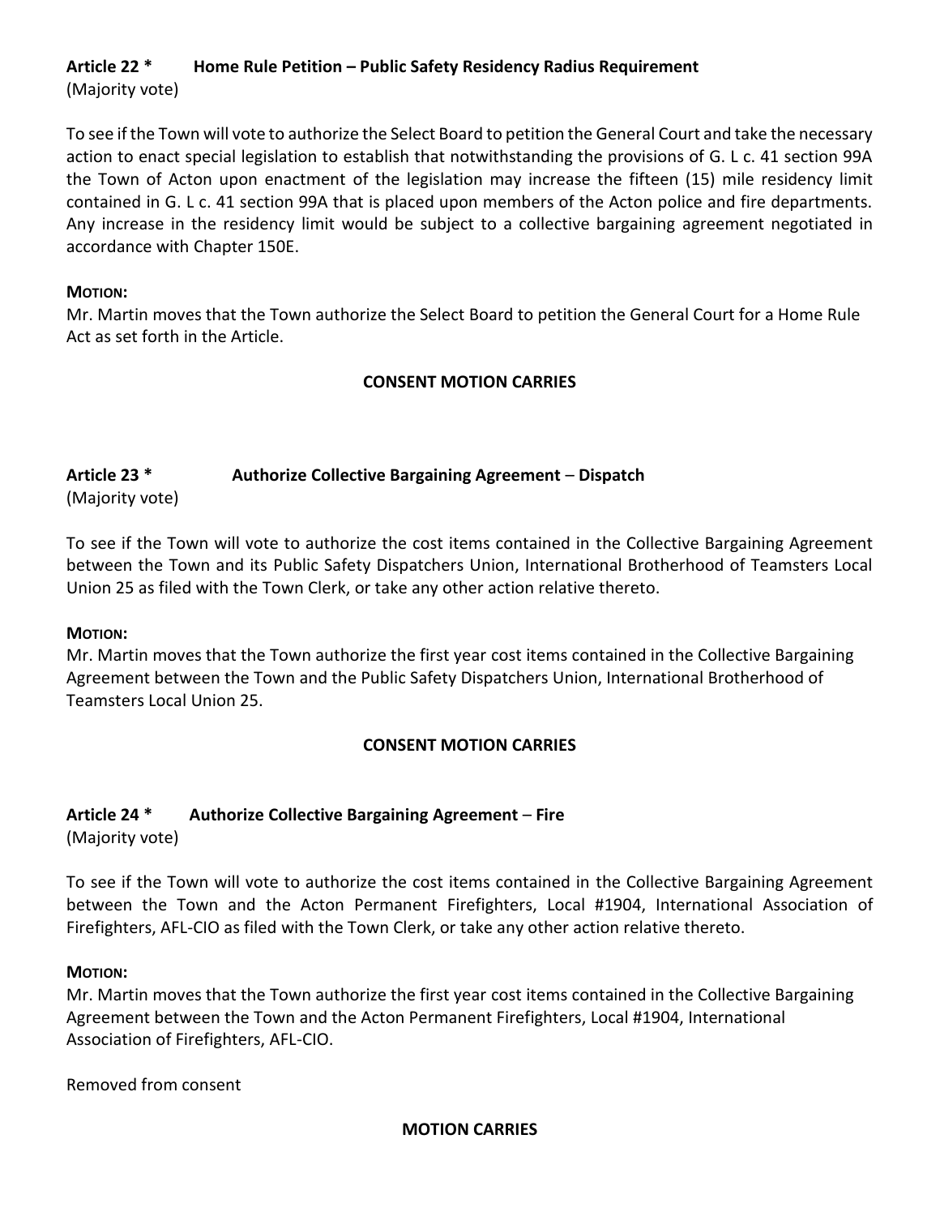# **Article 22 \* Home Rule Petition – Public Safety Residency Radius Requirement**

(Majority vote)

To see if the Town will vote to authorize the Select Board to petition the General Court and take the necessary action to enact special legislation to establish that notwithstanding the provisions of G. L c. 41 section 99A the Town of Acton upon enactment of the legislation may increase the fifteen (15) mile residency limit contained in G. L c. 41 section 99A that is placed upon members of the Acton police and fire departments. Any increase in the residency limit would be subject to a collective bargaining agreement negotiated in accordance with Chapter 150E.

### **MOTION:**

Mr. Martin moves that the Town authorize the Select Board to petition the General Court for a Home Rule Act as set forth in the Article.

# **CONSENT MOTION CARRIES**

# **Article 23 \* Authorize Collective Bargaining Agreement** – **Dispatch**

(Majority vote)

To see if the Town will vote to authorize the cost items contained in the Collective Bargaining Agreement between the Town and its Public Safety Dispatchers Union, International Brotherhood of Teamsters Local Union 25 as filed with the Town Clerk, or take any other action relative thereto.

### **MOTION:**

Mr. Martin moves that the Town authorize the first year cost items contained in the Collective Bargaining Agreement between the Town and the Public Safety Dispatchers Union, International Brotherhood of Teamsters Local Union 25.

# **CONSENT MOTION CARRIES**

# **Article 24 \* Authorize Collective Bargaining Agreement** – **Fire**

(Majority vote)

To see if the Town will vote to authorize the cost items contained in the Collective Bargaining Agreement between the Town and the Acton Permanent Firefighters, Local #1904, International Association of Firefighters, AFL-CIO as filed with the Town Clerk, or take any other action relative thereto.

### **MOTION:**

Mr. Martin moves that the Town authorize the first year cost items contained in the Collective Bargaining Agreement between the Town and the Acton Permanent Firefighters, Local #1904, International Association of Firefighters, AFL-CIO.

Removed from consent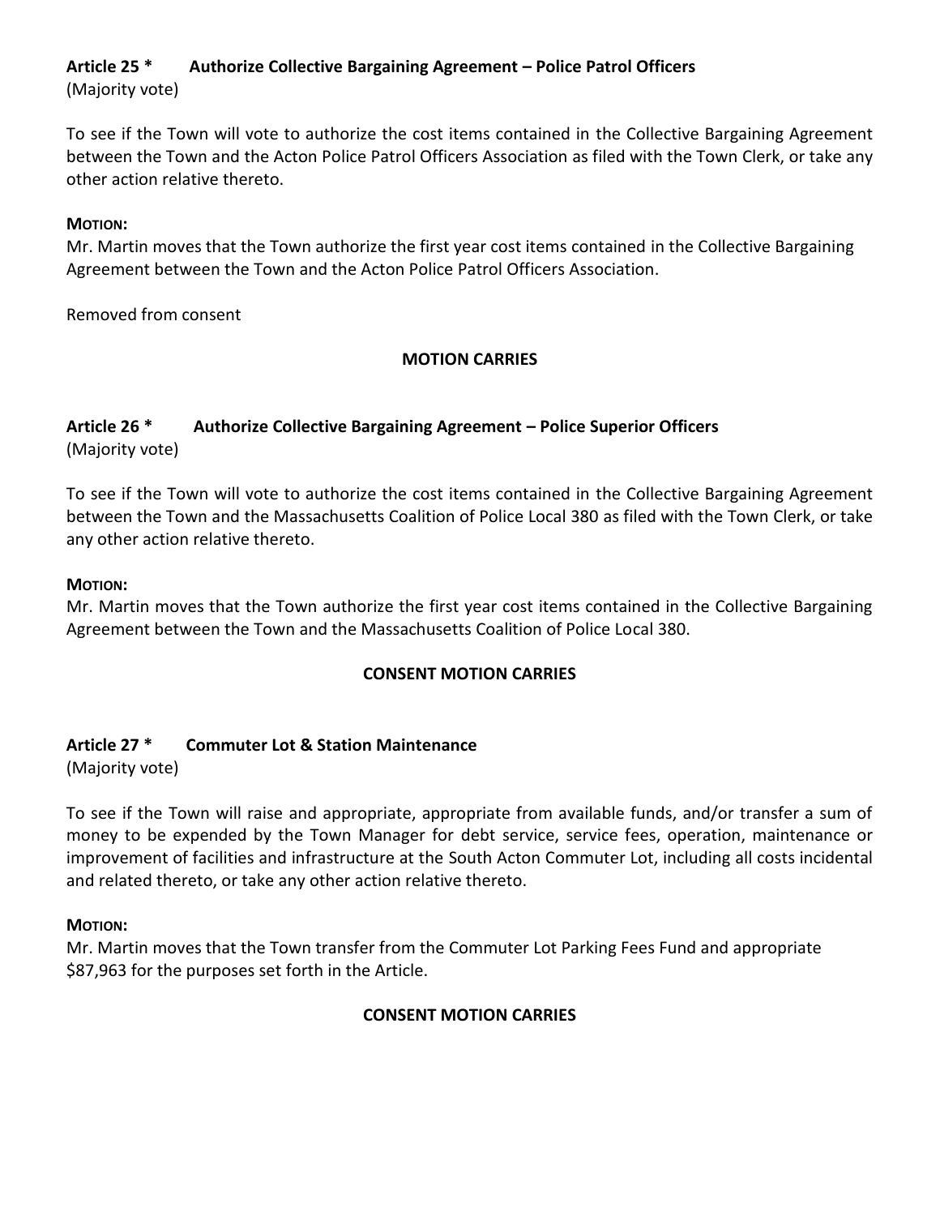# **Article 25 \* Authorize Collective Bargaining Agreement – Police Patrol Officers**

(Majority vote)

To see if the Town will vote to authorize the cost items contained in the Collective Bargaining Agreement between the Town and the Acton Police Patrol Officers Association as filed with the Town Clerk, or take any other action relative thereto.

## **MOTION:**

Mr. Martin moves that the Town authorize the first year cost items contained in the Collective Bargaining Agreement between the Town and the Acton Police Patrol Officers Association.

Removed from consent

## **MOTION CARRIES**

### **Article 26 \* Authorize Collective Bargaining Agreement – Police Superior Officers** (Majority vote)

To see if the Town will vote to authorize the cost items contained in the Collective Bargaining Agreement between the Town and the Massachusetts Coalition of Police Local 380 as filed with the Town Clerk, or take any other action relative thereto.

### **MOTION:**

Mr. Martin moves that the Town authorize the first year cost items contained in the Collective Bargaining Agreement between the Town and the Massachusetts Coalition of Police Local 380.

# **CONSENT MOTION CARRIES**

## **Article 27 \* Commuter Lot & Station Maintenance**

(Majority vote)

To see if the Town will raise and appropriate, appropriate from available funds, and/or transfer a sum of money to be expended by the Town Manager for debt service, service fees, operation, maintenance or improvement of facilities and infrastructure at the South Acton Commuter Lot, including all costs incidental and related thereto, or take any other action relative thereto.

### **MOTION:**

Mr. Martin moves that the Town transfer from the Commuter Lot Parking Fees Fund and appropriate \$87,963 for the purposes set forth in the Article.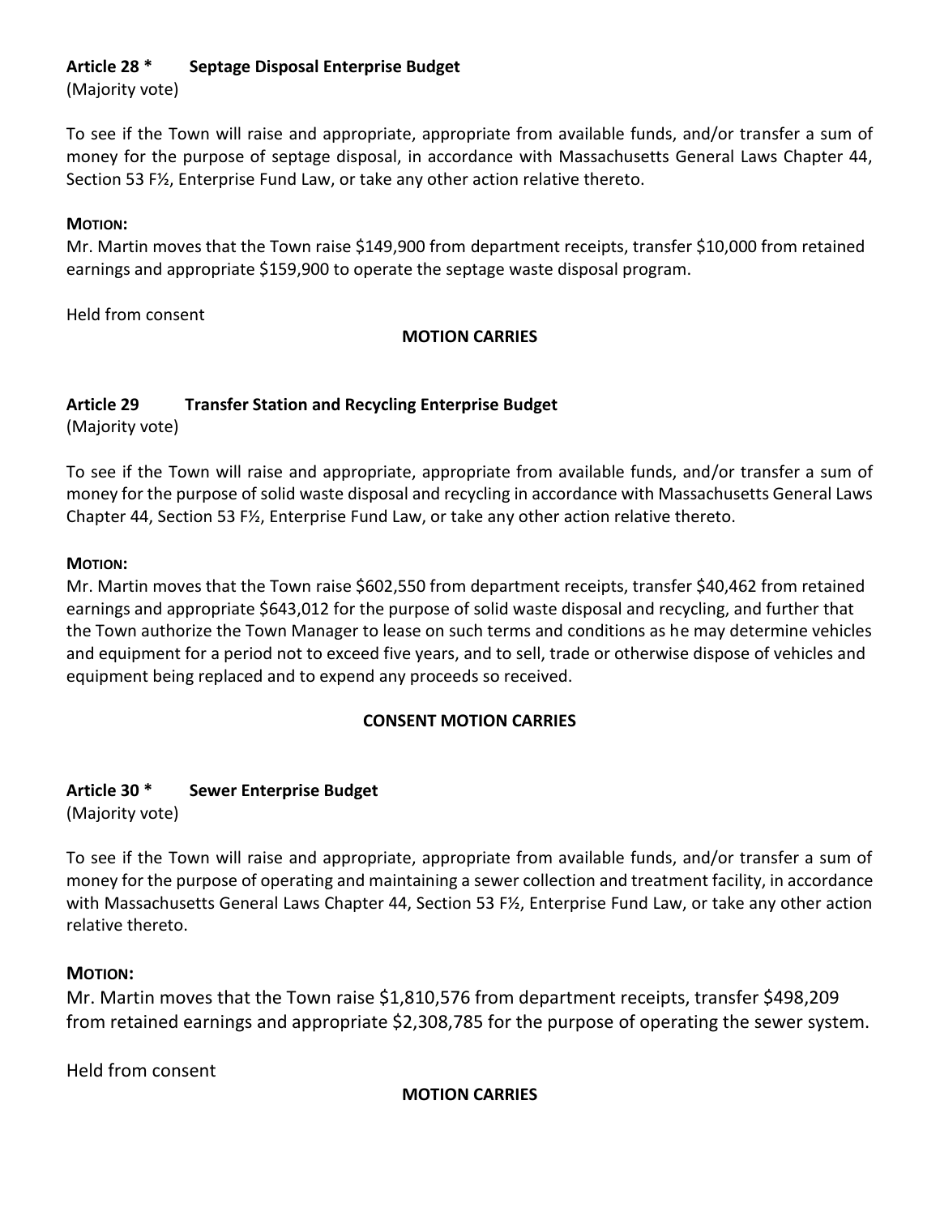# **Article 28 \* Septage Disposal Enterprise Budget**

(Majority vote)

To see if the Town will raise and appropriate, appropriate from available funds, and/or transfer a sum of money for the purpose of septage disposal, in accordance with Massachusetts General Laws Chapter 44, Section 53 F½, Enterprise Fund Law, or take any other action relative thereto.

# **MOTION:**

Mr. Martin moves that the Town raise \$149,900 from department receipts, transfer \$10,000 from retained earnings and appropriate \$159,900 to operate the septage waste disposal program.

Held from consent

# **MOTION CARRIES**

# **Article 29 Transfer Station and Recycling Enterprise Budget**

(Majority vote)

To see if the Town will raise and appropriate, appropriate from available funds, and/or transfer a sum of money for the purpose of solid waste disposal and recycling in accordance with Massachusetts General Laws Chapter 44, Section 53 F½, Enterprise Fund Law, or take any other action relative thereto.

# **MOTION:**

Mr. Martin moves that the Town raise \$602,550 from department receipts, transfer \$40,462 from retained earnings and appropriate \$643,012 for the purpose of solid waste disposal and recycling, and further that the Town authorize the Town Manager to lease on such terms and conditions as he may determine vehicles and equipment for a period not to exceed five years, and to sell, trade or otherwise dispose of vehicles and equipment being replaced and to expend any proceeds so received.

# **CONSENT MOTION CARRIES**

# **Article 30 \* Sewer Enterprise Budget**

(Majority vote)

To see if the Town will raise and appropriate, appropriate from available funds, and/or transfer a sum of money for the purpose of operating and maintaining a sewer collection and treatment facility, in accordance with Massachusetts General Laws Chapter 44, Section 53 F½, Enterprise Fund Law, or take any other action relative thereto.

# **MOTION:**

Mr. Martin moves that the Town raise \$1,810,576 from department receipts, transfer \$498,209 from retained earnings and appropriate \$2,308,785 for the purpose of operating the sewer system.

Held from consent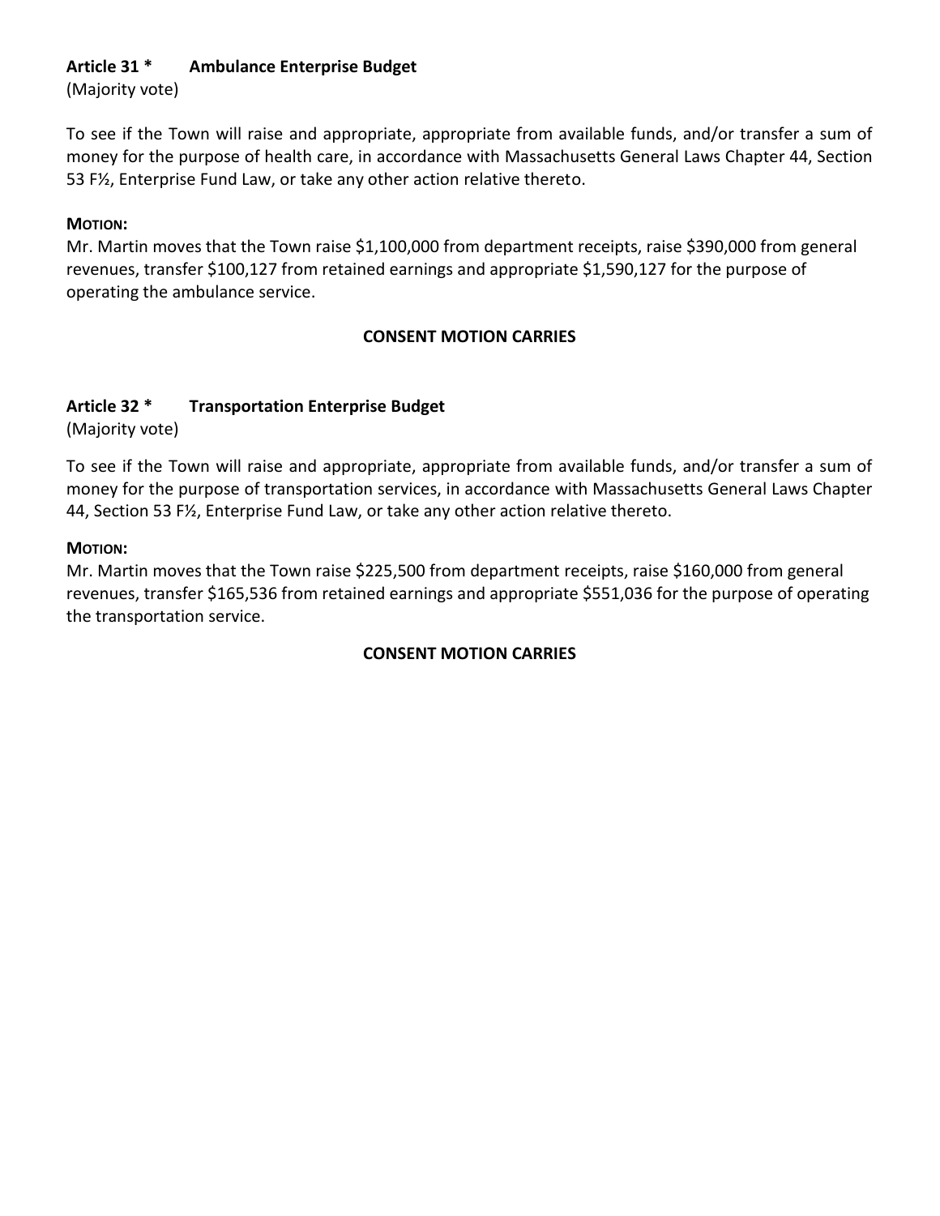# **Article 31 \* Ambulance Enterprise Budget**

(Majority vote)

To see if the Town will raise and appropriate, appropriate from available funds, and/or transfer a sum of money for the purpose of health care, in accordance with Massachusetts General Laws Chapter 44, Section 53 F½, Enterprise Fund Law, or take any other action relative thereto.

# **MOTION:**

Mr. Martin moves that the Town raise \$1,100,000 from department receipts, raise \$390,000 from general revenues, transfer \$100,127 from retained earnings and appropriate \$1,590,127 for the purpose of operating the ambulance service.

# **CONSENT MOTION CARRIES**

# **Article 32 \* Transportation Enterprise Budget**

(Majority vote)

To see if the Town will raise and appropriate, appropriate from available funds, and/or transfer a sum of money for the purpose of transportation services, in accordance with Massachusetts General Laws Chapter 44, Section 53 F½, Enterprise Fund Law, or take any other action relative thereto.

# **MOTION:**

Mr. Martin moves that the Town raise \$225,500 from department receipts, raise \$160,000 from general revenues, transfer \$165,536 from retained earnings and appropriate \$551,036 for the purpose of operating the transportation service.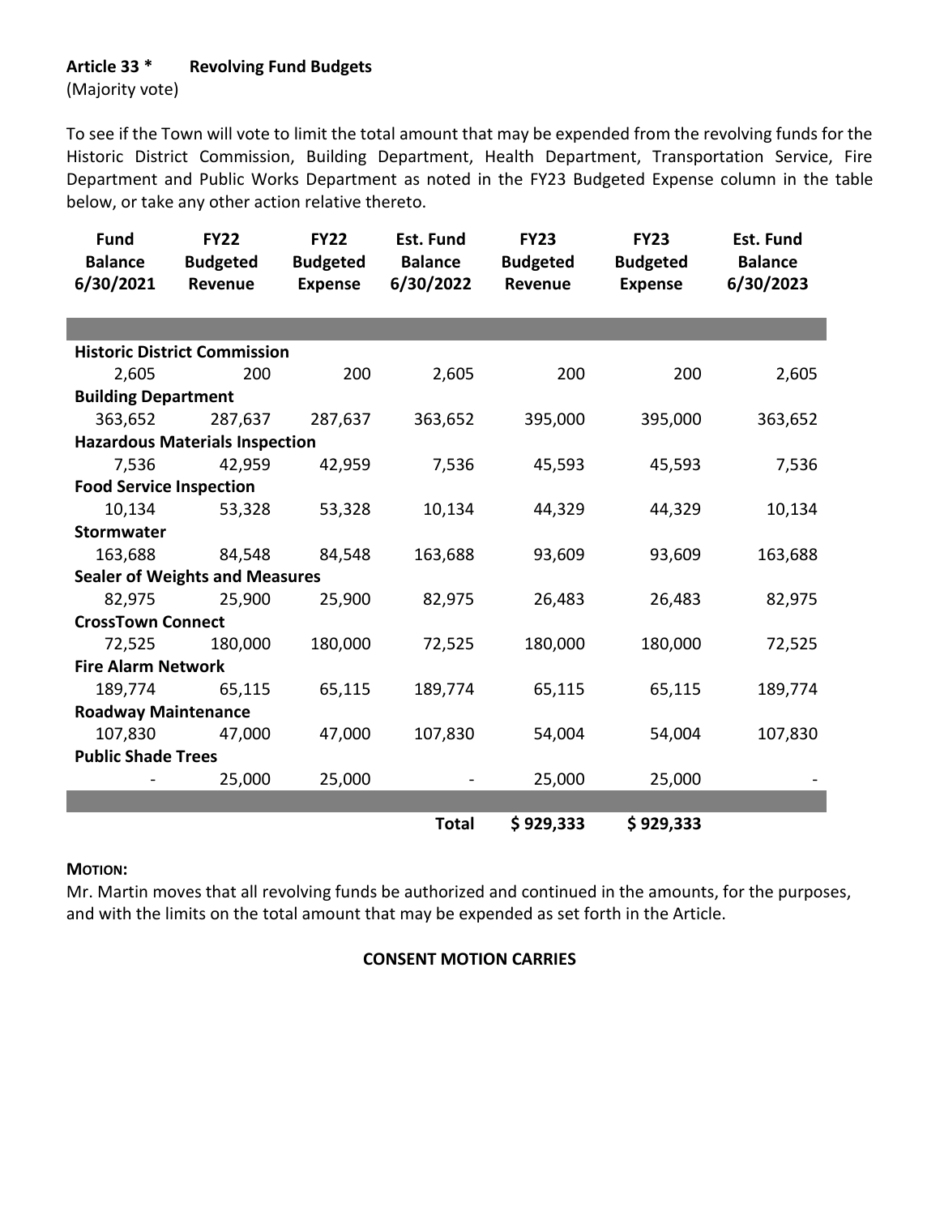## **Article 33 \* Revolving Fund Budgets**

(Majority vote)

To see if the Town will vote to limit the total amount that may be expended from the revolving funds for the Historic District Commission, Building Department, Health Department, Transportation Service, Fire Department and Public Works Department as noted in the FY23 Budgeted Expense column in the table below, or take any other action relative thereto.

| <b>Fund</b><br><b>Balance</b><br>6/30/2021 | <b>FY22</b><br><b>Budgeted</b><br>Revenue | <b>FY22</b><br><b>Budgeted</b><br><b>Expense</b> | Est. Fund<br><b>Balance</b><br>6/30/2022 | <b>FY23</b><br><b>Budgeted</b><br>Revenue | <b>FY23</b><br><b>Budgeted</b><br><b>Expense</b> | <b>Est. Fund</b><br><b>Balance</b><br>6/30/2023 |
|--------------------------------------------|-------------------------------------------|--------------------------------------------------|------------------------------------------|-------------------------------------------|--------------------------------------------------|-------------------------------------------------|
|                                            |                                           |                                                  |                                          |                                           |                                                  |                                                 |
|                                            | <b>Historic District Commission</b>       |                                                  |                                          |                                           |                                                  |                                                 |
| 2,605                                      | 200                                       | 200                                              | 2,605                                    | 200                                       | 200                                              | 2,605                                           |
| <b>Building Department</b>                 |                                           |                                                  |                                          |                                           |                                                  |                                                 |
| 363,652                                    | 287,637                                   | 287,637                                          | 363,652                                  | 395,000                                   | 395,000                                          | 363,652                                         |
|                                            | <b>Hazardous Materials Inspection</b>     |                                                  |                                          |                                           |                                                  |                                                 |
| 7,536                                      | 42,959                                    | 42,959                                           | 7,536                                    | 45,593                                    | 45,593                                           | 7,536                                           |
| <b>Food Service Inspection</b>             |                                           |                                                  |                                          |                                           |                                                  |                                                 |
| 10,134                                     | 53,328                                    | 53,328                                           | 10,134                                   | 44,329                                    | 44,329                                           | 10,134                                          |
| <b>Stormwater</b>                          |                                           |                                                  |                                          |                                           |                                                  |                                                 |
| 163,688                                    | 84,548                                    | 84,548                                           | 163,688                                  | 93,609                                    | 93,609                                           | 163,688                                         |
|                                            | <b>Sealer of Weights and Measures</b>     |                                                  |                                          |                                           |                                                  |                                                 |
| 82,975                                     | 25,900                                    | 25,900                                           | 82,975                                   | 26,483                                    | 26,483                                           | 82,975                                          |
| <b>CrossTown Connect</b>                   |                                           |                                                  |                                          |                                           |                                                  |                                                 |
| 72,525                                     | 180,000                                   | 180,000                                          | 72,525                                   | 180,000                                   | 180,000                                          | 72,525                                          |
| <b>Fire Alarm Network</b>                  |                                           |                                                  |                                          |                                           |                                                  |                                                 |
| 189,774                                    | 65,115                                    | 65,115                                           | 189,774                                  | 65,115                                    | 65,115                                           | 189,774                                         |
| <b>Roadway Maintenance</b>                 |                                           |                                                  |                                          |                                           |                                                  |                                                 |
| 107,830                                    | 47,000                                    | 47,000                                           | 107,830                                  | 54,004                                    | 54,004                                           | 107,830                                         |
| <b>Public Shade Trees</b>                  |                                           |                                                  |                                          |                                           |                                                  |                                                 |
|                                            | 25,000                                    | 25,000                                           |                                          | 25,000                                    | 25,000                                           |                                                 |
|                                            |                                           |                                                  |                                          |                                           |                                                  |                                                 |
|                                            |                                           |                                                  | <b>Total</b>                             | \$929,333                                 | \$929,333                                        |                                                 |

#### **MOTION:**

Mr. Martin moves that all revolving funds be authorized and continued in the amounts, for the purposes, and with the limits on the total amount that may be expended as set forth in the Article.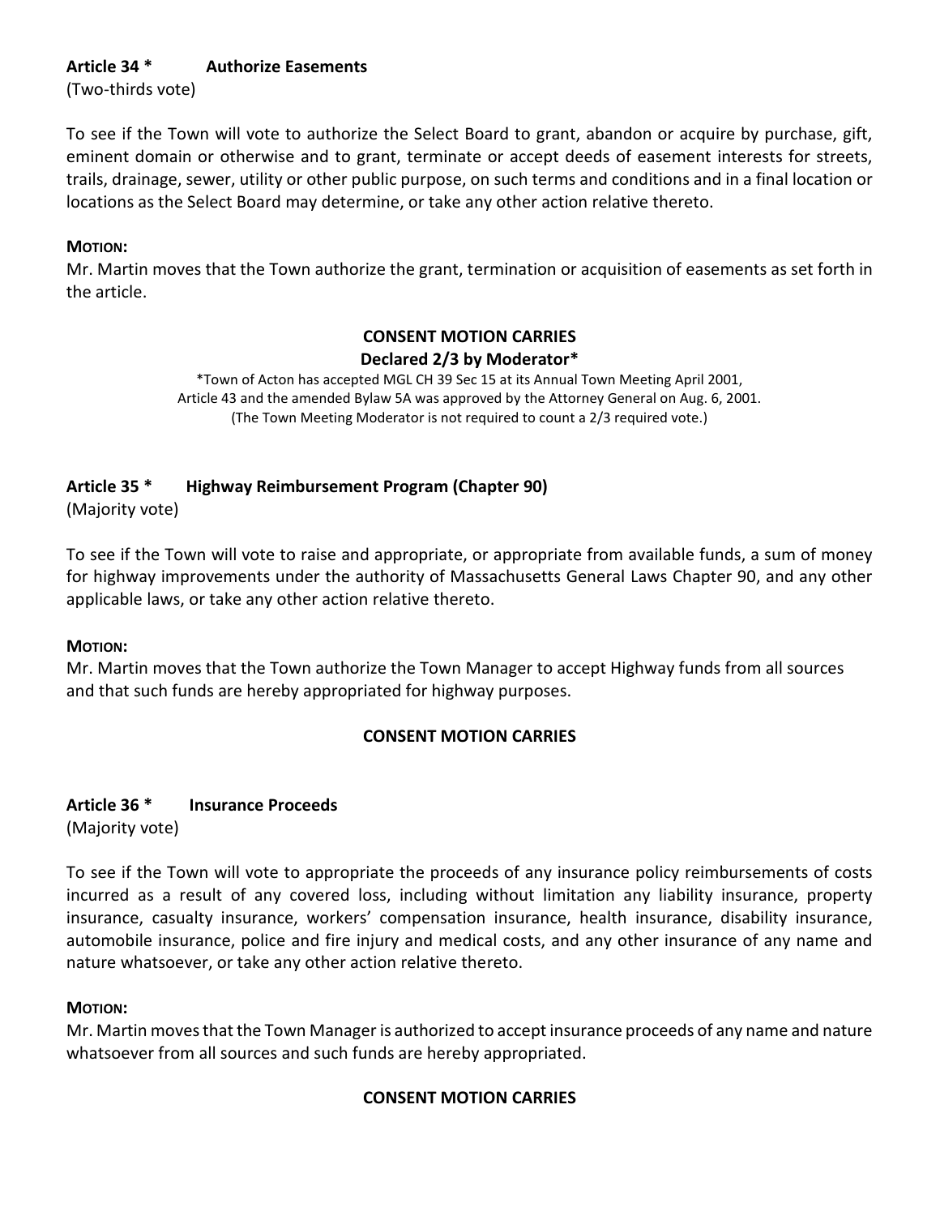# **Article 34 \* Authorize Easements**

(Two-thirds vote)

To see if the Town will vote to authorize the Select Board to grant, abandon or acquire by purchase, gift, eminent domain or otherwise and to grant, terminate or accept deeds of easement interests for streets, trails, drainage, sewer, utility or other public purpose, on such terms and conditions and in a final location or locations as the Select Board may determine, or take any other action relative thereto.

## **MOTION:**

Mr. Martin moves that the Town authorize the grant, termination or acquisition of easements as set forth in the article.

# **CONSENT MOTION CARRIES Declared 2/3 by Moderator\***

\*Town of Acton has accepted MGL CH 39 Sec 15 at its Annual Town Meeting April 2001, Article 43 and the amended Bylaw 5A was approved by the Attorney General on Aug. 6, 2001. (The Town Meeting Moderator is not required to count a 2/3 required vote.)

# **Article 35 \* Highway Reimbursement Program (Chapter 90)**

(Majority vote)

To see if the Town will vote to raise and appropriate, or appropriate from available funds, a sum of money for highway improvements under the authority of Massachusetts General Laws Chapter 90, and any other applicable laws, or take any other action relative thereto.

### **MOTION:**

Mr. Martin moves that the Town authorize the Town Manager to accept Highway funds from all sources and that such funds are hereby appropriated for highway purposes.

# **CONSENT MOTION CARRIES**

## **Article 36 \* Insurance Proceeds** (Majority vote)

To see if the Town will vote to appropriate the proceeds of any insurance policy reimbursements of costs incurred as a result of any covered loss, including without limitation any liability insurance, property insurance, casualty insurance, workers' compensation insurance, health insurance, disability insurance, automobile insurance, police and fire injury and medical costs, and any other insurance of any name and nature whatsoever, or take any other action relative thereto.

# **MOTION:**

Mr. Martin moves that the Town Manager is authorized to accept insurance proceeds of any name and nature whatsoever from all sources and such funds are hereby appropriated.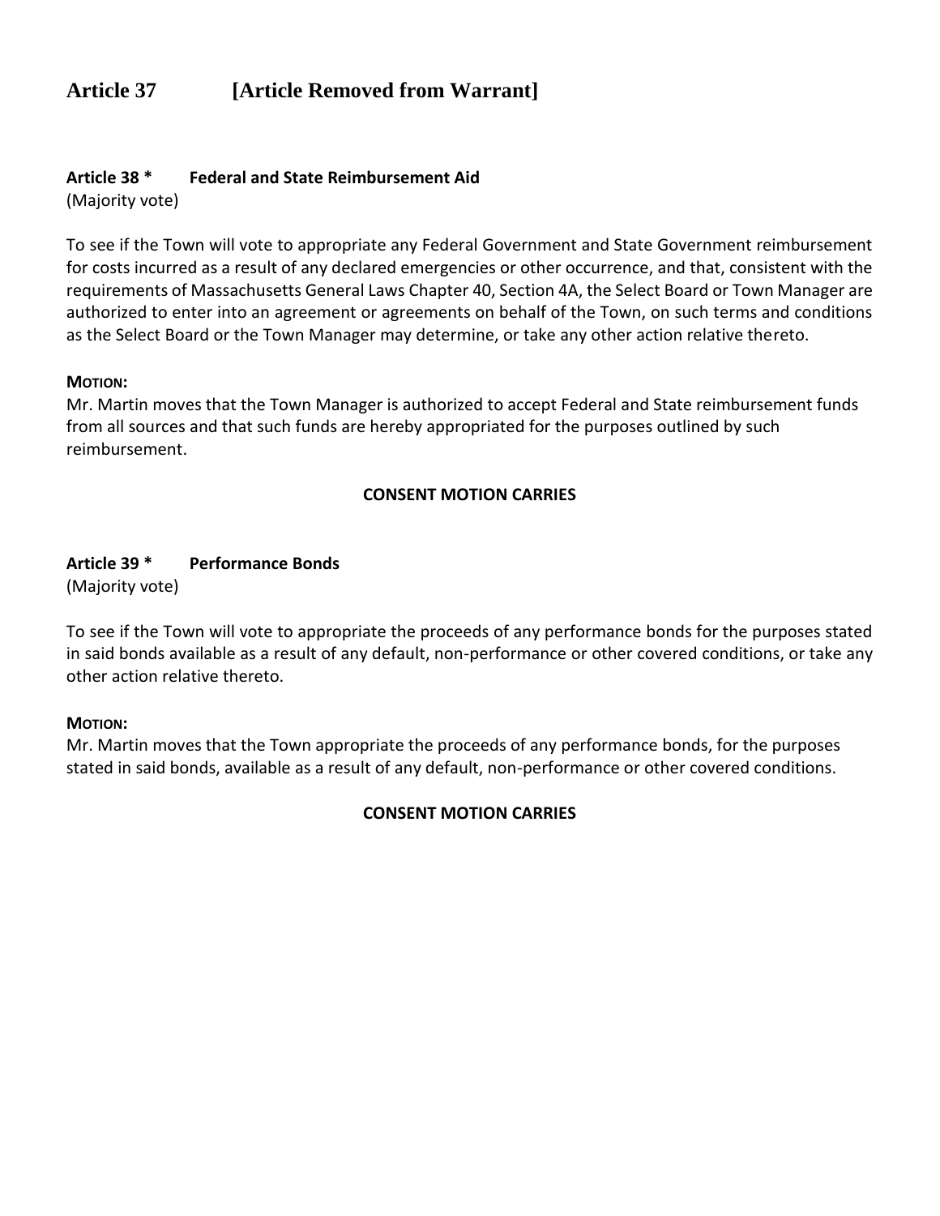# **Article 37 [Article Removed from Warrant]**

## **Article 38 \* Federal and State Reimbursement Aid**

(Majority vote)

To see if the Town will vote to appropriate any Federal Government and State Government reimbursement for costs incurred as a result of any declared emergencies or other occurrence, and that, consistent with the requirements of Massachusetts General Laws Chapter 40, Section 4A, the Select Board or Town Manager are authorized to enter into an agreement or agreements on behalf of the Town, on such terms and conditions as the Select Board or the Town Manager may determine, or take any other action relative thereto.

#### **MOTION:**

Mr. Martin moves that the Town Manager is authorized to accept Federal and State reimbursement funds from all sources and that such funds are hereby appropriated for the purposes outlined by such reimbursement.

### **CONSENT MOTION CARRIES**

## **Article 39 \* Performance Bonds**

(Majority vote)

To see if the Town will vote to appropriate the proceeds of any performance bonds for the purposes stated in said bonds available as a result of any default, non-performance or other covered conditions, or take any other action relative thereto.

### **MOTION:**

Mr. Martin moves that the Town appropriate the proceeds of any performance bonds, for the purposes stated in said bonds, available as a result of any default, non-performance or other covered conditions.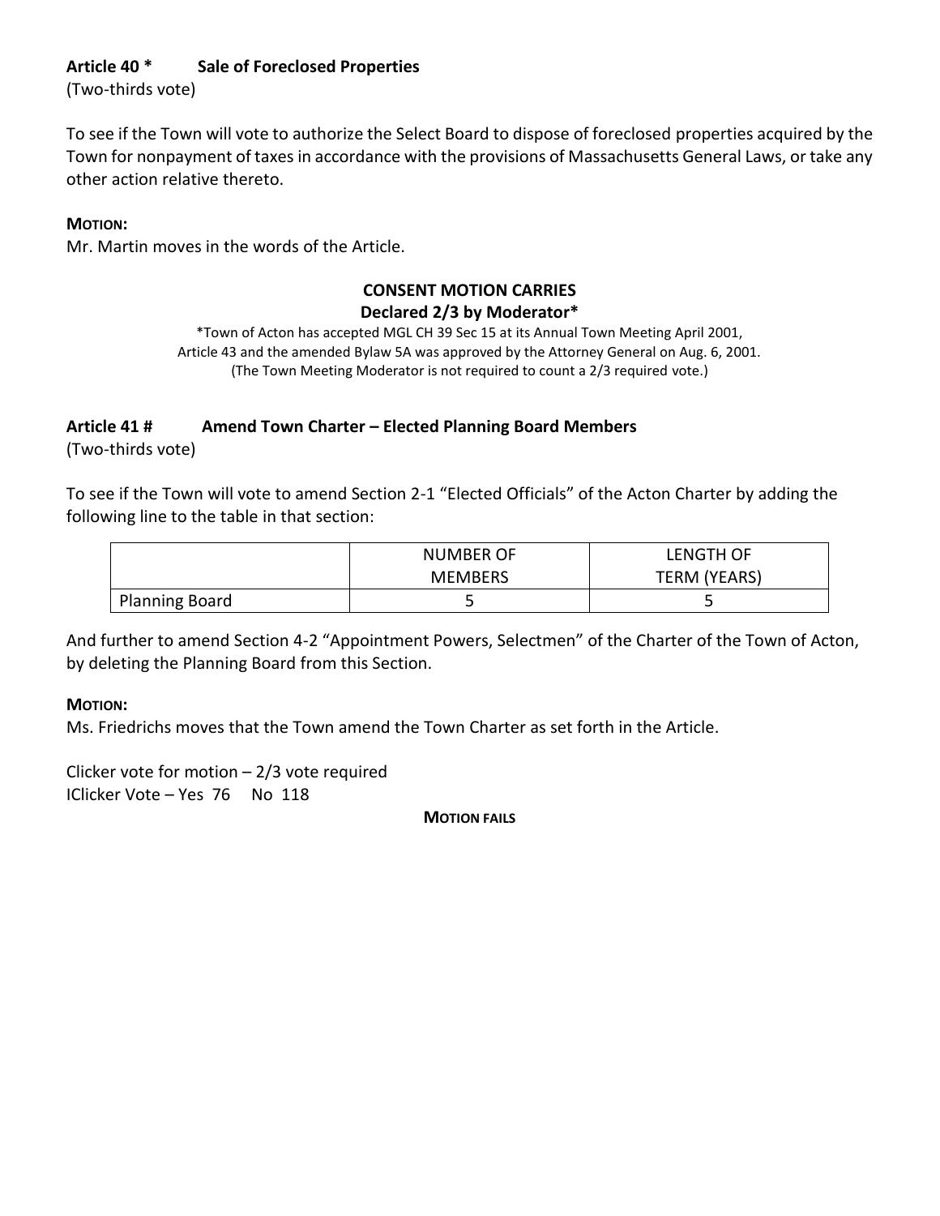# **Article 40 \* Sale of Foreclosed Properties**

(Two-thirds vote)

To see if the Town will vote to authorize the Select Board to dispose of foreclosed properties acquired by the Town for nonpayment of taxes in accordance with the provisions of Massachusetts General Laws, or take any other action relative thereto.

## **MOTION:**

Mr. Martin moves in the words of the Article.

# **CONSENT MOTION CARRIES**

# **Declared 2/3 by Moderator\***

\*Town of Acton has accepted MGL CH 39 Sec 15 at its Annual Town Meeting April 2001, Article 43 and the amended Bylaw 5A was approved by the Attorney General on Aug. 6, 2001. (The Town Meeting Moderator is not required to count a 2/3 required vote.)

# **Article 41 # Amend Town Charter – Elected Planning Board Members**

(Two-thirds vote)

To see if the Town will vote to amend Section 2-1 "Elected Officials" of the Acton Charter by adding the following line to the table in that section:

|                       | <b>NUMBER OF</b> | LENGTH OF    |
|-----------------------|------------------|--------------|
|                       | <b>MEMBERS</b>   | TERM (YEARS) |
| <b>Planning Board</b> |                  | ┙            |

And further to amend Section 4-2 "Appointment Powers, Selectmen" of the Charter of the Town of Acton, by deleting the Planning Board from this Section.

### **MOTION:**

Ms. Friedrichs moves that the Town amend the Town Charter as set forth in the Article.

Clicker vote for motion – 2/3 vote required IClicker Vote – Yes 76 No 118

**MOTION FAILS**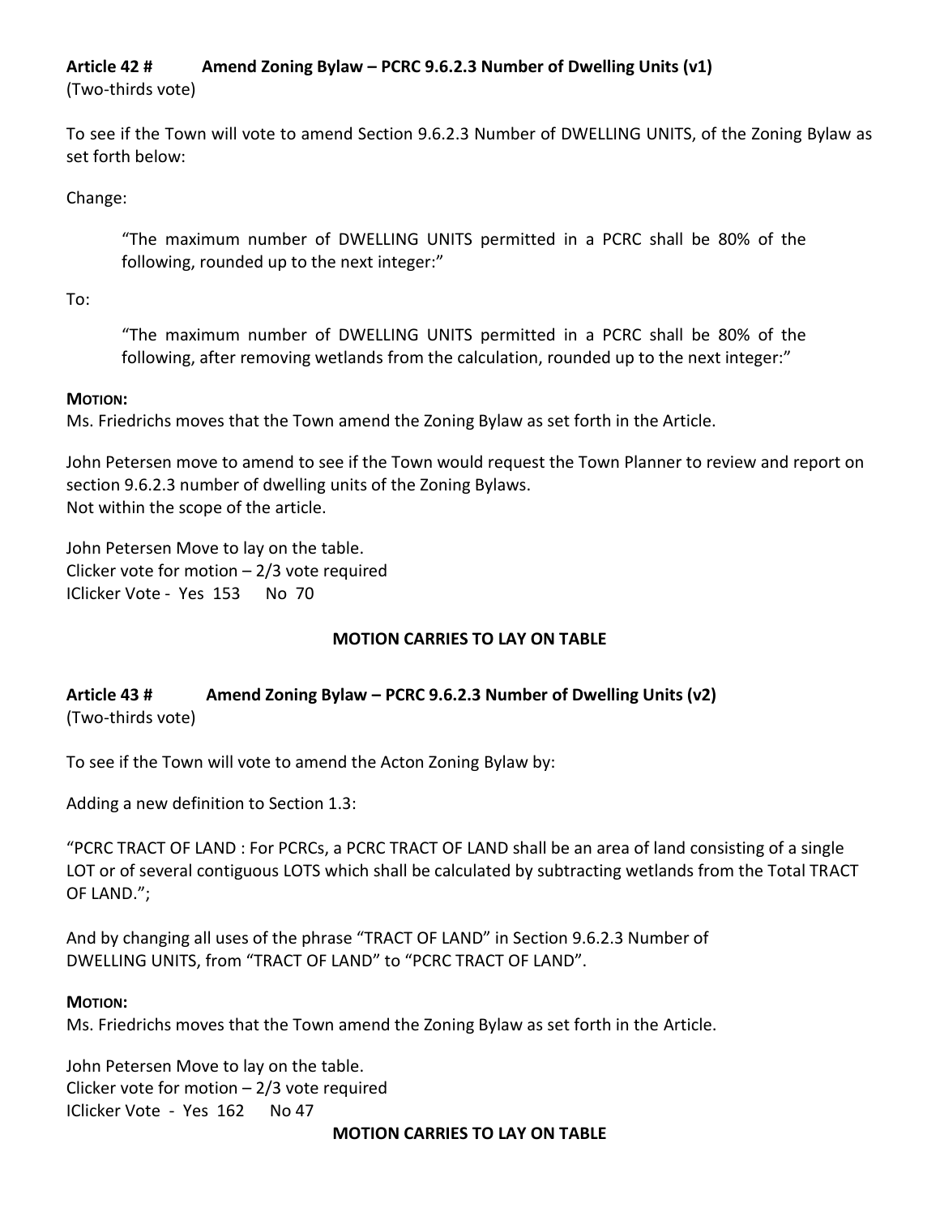# **Article 42 # Amend Zoning Bylaw – PCRC 9.6.2.3 Number of Dwelling Units (v1)**

(Two-thirds vote)

To see if the Town will vote to amend Section 9.6.2.3 Number of DWELLING UNITS, of the Zoning Bylaw as set forth below:

Change:

"The maximum number of DWELLING UNITS permitted in a PCRC shall be 80% of the following, rounded up to the next integer:"

To:

"The maximum number of DWELLING UNITS permitted in a PCRC shall be 80% of the following, after removing wetlands from the calculation, rounded up to the next integer:"

# **MOTION:**

Ms. Friedrichs moves that the Town amend the Zoning Bylaw as set forth in the Article.

John Petersen move to amend to see if the Town would request the Town Planner to review and report on section 9.6.2.3 number of dwelling units of the Zoning Bylaws. Not within the scope of the article.

John Petersen Move to lay on the table. Clicker vote for motion – 2/3 vote required IClicker Vote - Yes 153 No 70

# **MOTION CARRIES TO LAY ON TABLE**

# **Article 43 # Amend Zoning Bylaw – PCRC 9.6.2.3 Number of Dwelling Units (v2)** (Two-thirds vote)

To see if the Town will vote to amend the Acton Zoning Bylaw by:

Adding a new definition to Section 1.3:

"PCRC TRACT OF LAND : For PCRCs, a PCRC TRACT OF LAND shall be an area of land consisting of a single LOT or of several contiguous LOTS which shall be calculated by subtracting wetlands from the Total TRACT OF LAND.";

And by changing all uses of the phrase "TRACT OF LAND" in Section 9.6.2.3 Number of DWELLING UNITS, from "TRACT OF LAND" to "PCRC TRACT OF LAND".

# **MOTION:**

Ms. Friedrichs moves that the Town amend the Zoning Bylaw as set forth in the Article.

John Petersen Move to lay on the table. Clicker vote for motion – 2/3 vote required IClicker Vote - Yes 162 No 47

**MOTION CARRIES TO LAY ON TABLE**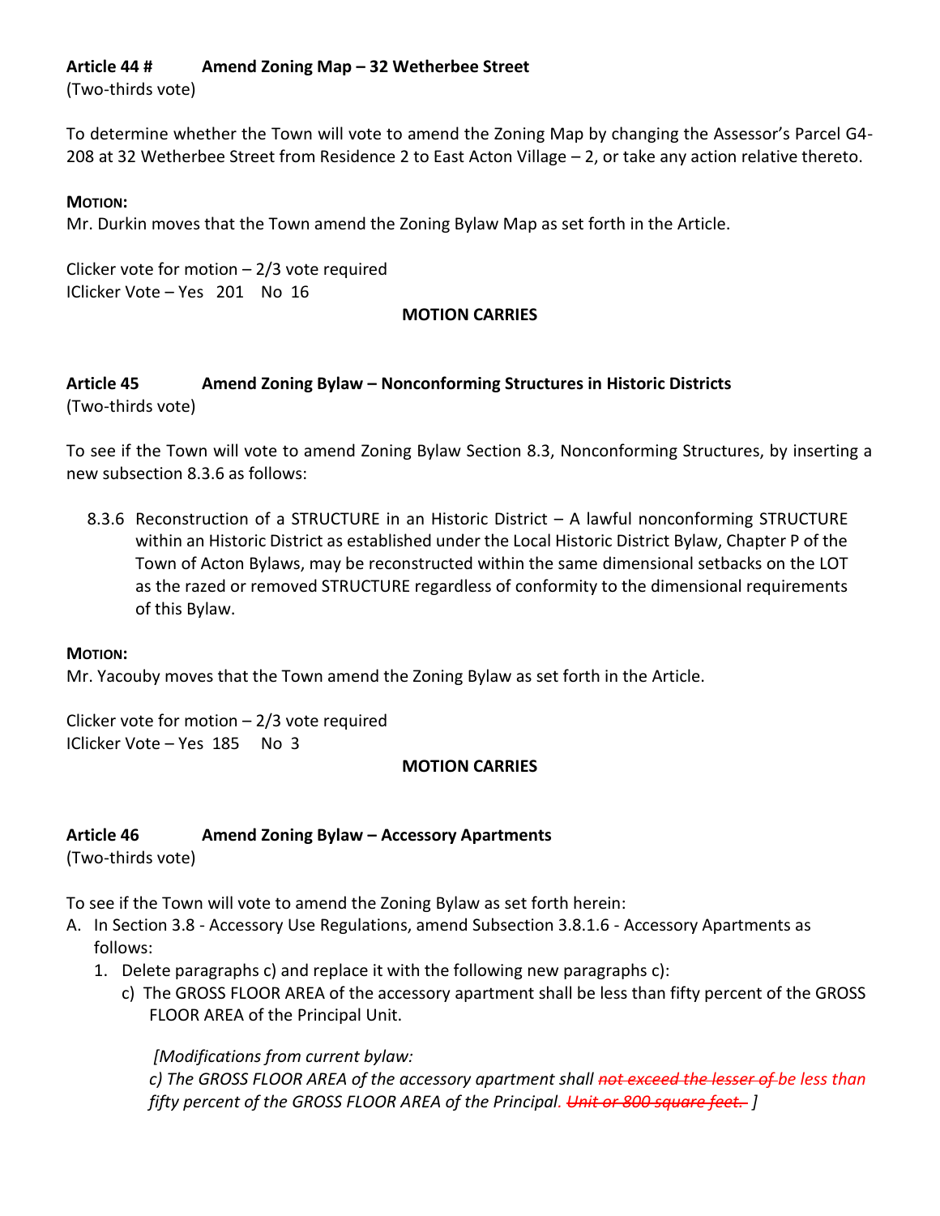# **Article 44 # Amend Zoning Map – 32 Wetherbee Street**

(Two-thirds vote)

To determine whether the Town will vote to amend the Zoning Map by changing the Assessor's Parcel G4- 208 at 32 Wetherbee Street from Residence 2 to East Acton Village – 2, or take any action relative thereto.

### **MOTION:**

Mr. Durkin moves that the Town amend the Zoning Bylaw Map as set forth in the Article.

Clicker vote for motion  $-2/3$  vote required IClicker Vote – Yes 201 No 16

#### **MOTION CARRIES**

## **Article 45 Amend Zoning Bylaw – Nonconforming Structures in Historic Districts** (Two-thirds vote)

To see if the Town will vote to amend Zoning Bylaw Section 8.3, Nonconforming Structures, by inserting a new subsection 8.3.6 as follows:

8.3.6 Reconstruction of a STRUCTURE in an Historic District – A lawful nonconforming STRUCTURE within an Historic District as established under the Local Historic District Bylaw, Chapter P of the Town of Acton Bylaws, may be reconstructed within the same dimensional setbacks on the LOT as the razed or removed STRUCTURE regardless of conformity to the dimensional requirements of this Bylaw.

#### **MOTION:**

Mr. Yacouby moves that the Town amend the Zoning Bylaw as set forth in the Article.

Clicker vote for motion  $-2/3$  vote required IClicker Vote – Yes 185 No 3

#### **MOTION CARRIES**

### **Article 46 Amend Zoning Bylaw – Accessory Apartments**

(Two-thirds vote)

To see if the Town will vote to amend the Zoning Bylaw as set forth herein:

- A. In Section 3.8 Accessory Use Regulations, amend Subsection 3.8.1.6 Accessory Apartments as follows:
	- 1. Delete paragraphs c) and replace it with the following new paragraphs c):
		- c) The GROSS FLOOR AREA of the accessory apartment shall be less than fifty percent of the GROSS FLOOR AREA of the Principal Unit.

*[Modifications from current bylaw:*

*c) The GROSS FLOOR AREA of the accessory apartment shall not exceed the lesser of be less than fifty percent of the GROSS FLOOR AREA of the Principal. Unit or 800 square feet. ]*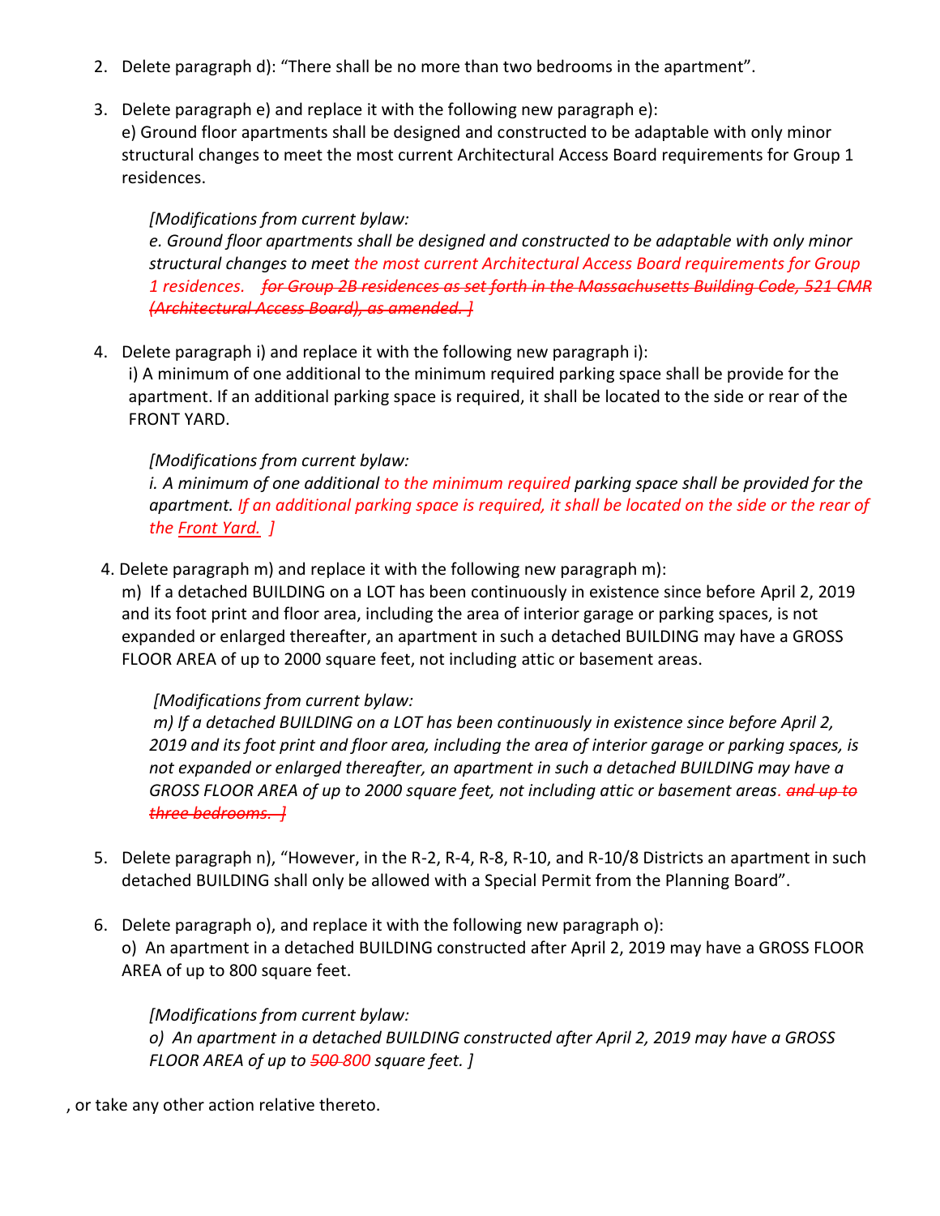- 2. Delete paragraph d): "There shall be no more than two bedrooms in the apartment".
- 3. Delete paragraph e) and replace it with the following new paragraph e):
- e) Ground floor apartments shall be designed and constructed to be adaptable with only minor structural changes to meet the most current Architectural Access Board requirements for Group 1 residences.

*[Modifications from current bylaw: e. Ground floor apartments shall be designed and constructed to be adaptable with only minor structural changes to meet the most current Architectural Access Board requirements for Group 1 residences. for Group 2B residences as set forth in the Massachusetts Building Code, 521 CMR (Architectural Access Board), as amended. ]*

4. Delete paragraph i) and replace it with the following new paragraph i):

i) A minimum of one additional to the minimum required parking space shall be provide for the apartment. If an additional parking space is required, it shall be located to the side or rear of the FRONT YARD.

# *[Modifications from current bylaw:*

*i. A minimum of one additional to the minimum required parking space shall be provided for the apartment. If an additional parking space is required, it shall be located on the side or the rear of the Front Yard. ]*

4. Delete paragraph m) and replace it with the following new paragraph m):

m) If a detached BUILDING on a LOT has been continuously in existence since before April 2, 2019 and its foot print and floor area, including the area of interior garage or parking spaces, is not expanded or enlarged thereafter, an apartment in such a detached BUILDING may have a GROSS FLOOR AREA of up to 2000 square feet, not including attic or basement areas.

# *[Modifications from current bylaw:*

*m) If a detached BUILDING on a LOT has been continuously in existence since before April 2, 2019 and its foot print and floor area, including the area of interior garage or parking spaces, is not expanded or enlarged thereafter, an apartment in such a detached BUILDING may have a GROSS FLOOR AREA of up to 2000 square feet, not including attic or basement areas. and up to three bedrooms. ]*

- 5. Delete paragraph n), "However, in the R-2, R-4, R-8, R-10, and R-10/8 Districts an apartment in such detached BUILDING shall only be allowed with a Special Permit from the Planning Board".
- 6. Delete paragraph o), and replace it with the following new paragraph o): o) An apartment in a detached BUILDING constructed after April 2, 2019 may have a GROSS FLOOR AREA of up to 800 square feet.

*[Modifications from current bylaw: o) An apartment in a detached BUILDING constructed after April 2, 2019 may have a GROSS FLOOR AREA of up to 500 800 square feet. ]*

, or take any other action relative thereto.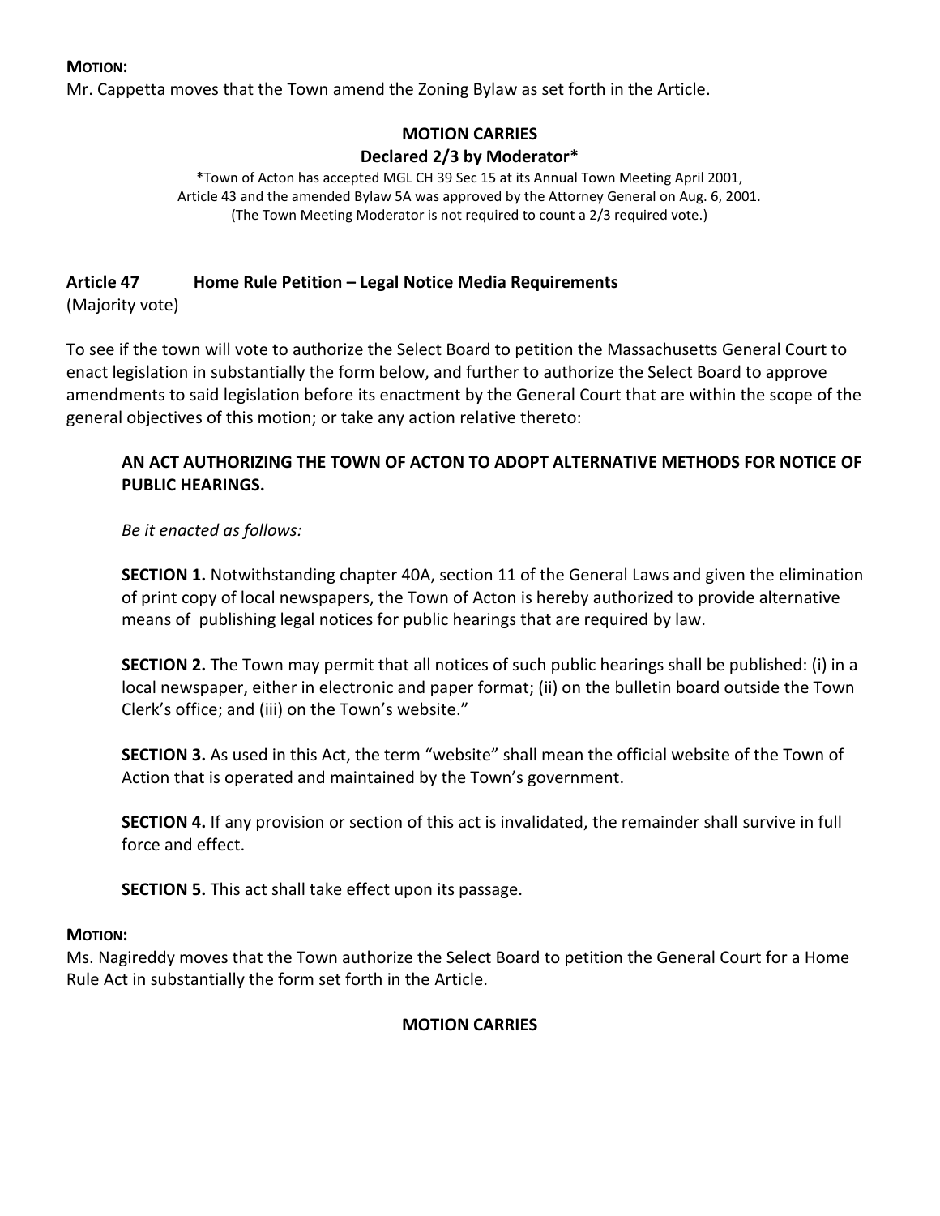Mr. Cappetta moves that the Town amend the Zoning Bylaw as set forth in the Article.

# **MOTION CARRIES Declared 2/3 by Moderator\***

\*Town of Acton has accepted MGL CH 39 Sec 15 at its Annual Town Meeting April 2001, Article 43 and the amended Bylaw 5A was approved by the Attorney General on Aug. 6, 2001. (The Town Meeting Moderator is not required to count a 2/3 required vote.)

## **Article 47 Home Rule Petition – Legal Notice Media Requirements**

(Majority vote)

To see if the town will vote to authorize the Select Board to petition the Massachusetts General Court to enact legislation in substantially the form below, and further to authorize the Select Board to approve amendments to said legislation before its enactment by the General Court that are within the scope of the general objectives of this motion; or take any action relative thereto:

## **AN ACT AUTHORIZING THE TOWN OF ACTON TO ADOPT ALTERNATIVE METHODS FOR NOTICE OF PUBLIC HEARINGS.**

### *Be it enacted as follows:*

**SECTION 1.** Notwithstanding chapter 40A, section 11 of the General Laws and given the elimination of print copy of local newspapers, the Town of Acton is hereby authorized to provide alternative means of publishing legal notices for public hearings that are required by law.

**SECTION 2.** The Town may permit that all notices of such public hearings shall be published: (i) in a local newspaper, either in electronic and paper format; (ii) on the bulletin board outside the Town Clerk's office; and (iii) on the Town's website."

**SECTION 3.** As used in this Act, the term "website" shall mean the official website of the Town of Action that is operated and maintained by the Town's government.

**SECTION 4.** If any provision or section of this act is invalidated, the remainder shall survive in full force and effect.

**SECTION 5.** This act shall take effect upon its passage.

### **MOTION:**

Ms. Nagireddy moves that the Town authorize the Select Board to petition the General Court for a Home Rule Act in substantially the form set forth in the Article.

### **MOTION CARRIES**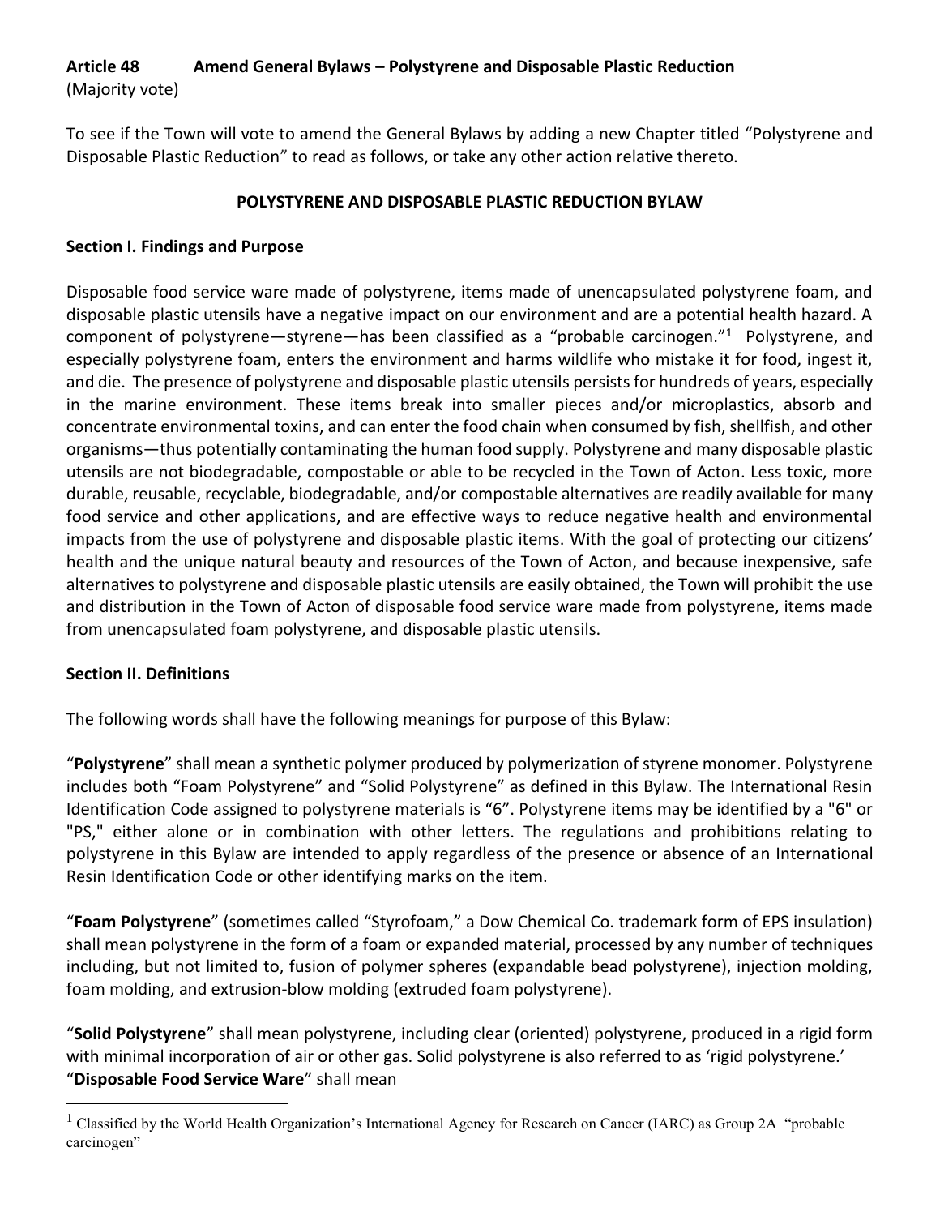# **Article 48 Amend General Bylaws – Polystyrene and Disposable Plastic Reduction**

(Majority vote)

To see if the Town will vote to amend the General Bylaws by adding a new Chapter titled "Polystyrene and Disposable Plastic Reduction" to read as follows, or take any other action relative thereto.

# **POLYSTYRENE AND DISPOSABLE PLASTIC REDUCTION BYLAW**

# **Section I. Findings and Purpose**

Disposable food service ware made of polystyrene, items made of unencapsulated polystyrene foam, and disposable plastic utensils have a negative impact on our environment and are a potential health hazard. A component of polystyrene—styrene—has been classified as a "probable carcinogen."<sup>1</sup> Polystyrene, and especially polystyrene foam, enters the environment and harms wildlife who mistake it for food, ingest it, and die. The presence of polystyrene and disposable plastic utensils persists for hundreds of years, especially in the marine environment. These items break into smaller pieces and/or microplastics, absorb and concentrate environmental toxins, and can enter the food chain when consumed by fish, shellfish, and other organisms—thus potentially contaminating the human food supply. Polystyrene and many disposable plastic utensils are not biodegradable, compostable or able to be recycled in the Town of Acton. Less toxic, more durable, reusable, recyclable, biodegradable, and/or compostable alternatives are readily available for many food service and other applications, and are effective ways to reduce negative health and environmental impacts from the use of polystyrene and disposable plastic items. With the goal of protecting our citizens' health and the unique natural beauty and resources of the Town of Acton, and because inexpensive, safe alternatives to polystyrene and disposable plastic utensils are easily obtained, the Town will prohibit the use and distribution in the Town of Acton of disposable food service ware made from polystyrene, items made from unencapsulated foam polystyrene, and disposable plastic utensils.

# **Section II. Definitions**

 $\overline{a}$ 

The following words shall have the following meanings for purpose of this Bylaw:

"**Polystyrene**" shall mean a synthetic polymer produced by polymerization of styrene monomer. Polystyrene includes both "Foam Polystyrene" and "Solid Polystyrene" as defined in this Bylaw. The International Resin Identification Code assigned to polystyrene materials is "6". Polystyrene items may be identified by a "6" or "PS," either alone or in combination with other letters. The regulations and prohibitions relating to polystyrene in this Bylaw are intended to apply regardless of the presence or absence of an International Resin Identification Code or other identifying marks on the item.

"**Foam Polystyrene**" (sometimes called "Styrofoam," a Dow Chemical Co. trademark form of EPS insulation) shall mean polystyrene in the form of a foam or expanded material, processed by any number of techniques including, but not limited to, fusion of polymer spheres (expandable bead polystyrene), injection molding, foam molding, and extrusion-blow molding (extruded foam polystyrene).

"**Solid Polystyrene**" shall mean polystyrene, including clear (oriented) polystyrene, produced in a rigid form with minimal incorporation of air or other gas. Solid polystyrene is also referred to as 'rigid polystyrene.' "**Disposable Food Service Ware**" shall mean

<sup>&</sup>lt;sup>1</sup> Classified by the World Health Organization's International Agency for Research on Cancer (IARC) as Group 2A "probable carcinogen"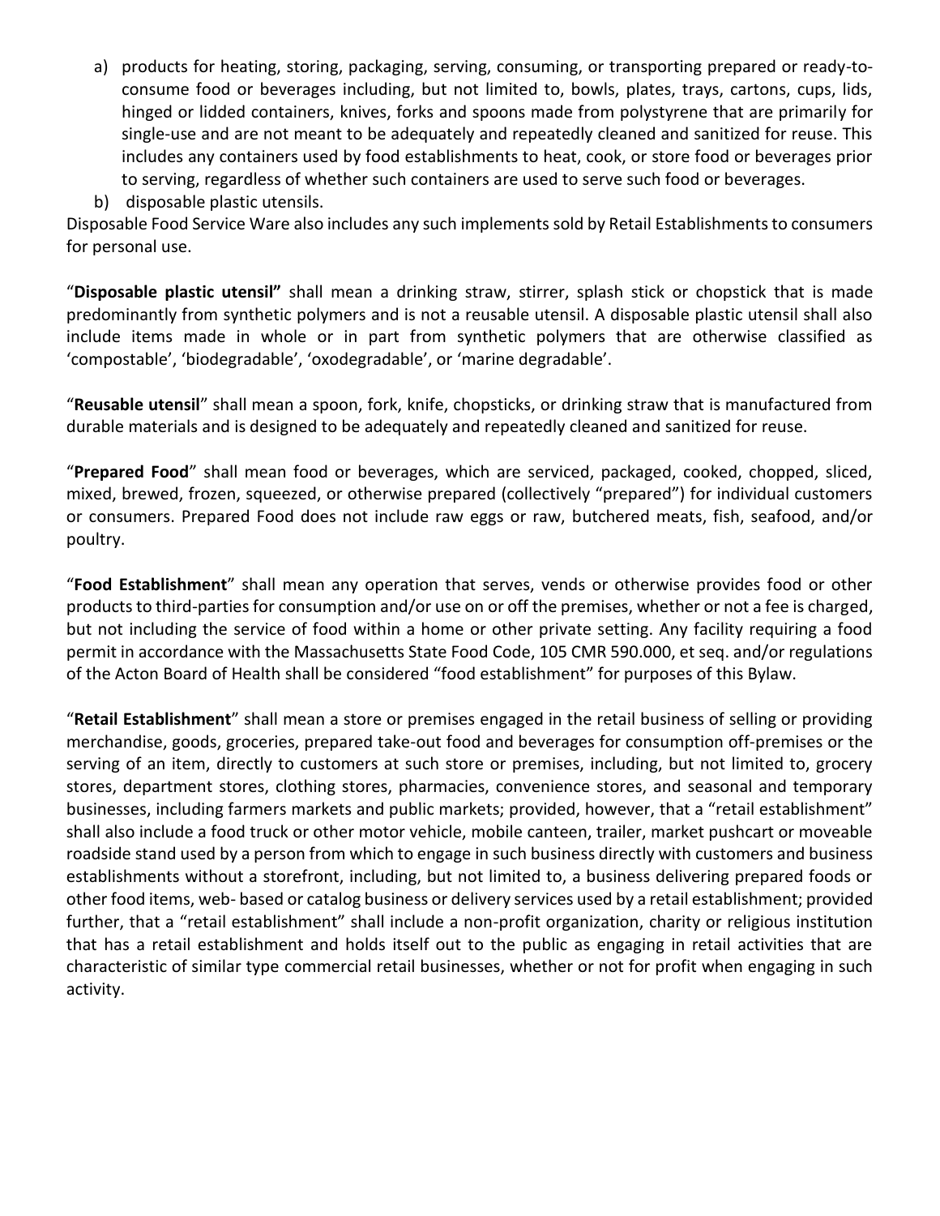- a) products for heating, storing, packaging, serving, consuming, or transporting prepared or ready-toconsume food or beverages including, but not limited to, bowls, plates, trays, cartons, cups, lids, hinged or lidded containers, knives, forks and spoons made from polystyrene that are primarily for single-use and are not meant to be adequately and repeatedly cleaned and sanitized for reuse. This includes any containers used by food establishments to heat, cook, or store food or beverages prior to serving, regardless of whether such containers are used to serve such food or beverages.
- b) disposable plastic utensils.

Disposable Food Service Ware also includes any such implements sold by Retail Establishments to consumers for personal use.

"**Disposable plastic utensil"** shall mean a drinking straw, stirrer, splash stick or chopstick that is made predominantly from synthetic polymers and is not a reusable utensil. A disposable plastic utensil shall also include items made in whole or in part from synthetic polymers that are otherwise classified as 'compostable', 'biodegradable', 'oxodegradable', or 'marine degradable'.

"**Reusable utensil**" shall mean a spoon, fork, knife, chopsticks, or drinking straw that is manufactured from durable materials and is designed to be adequately and repeatedly cleaned and sanitized for reuse.

"**Prepared Food**" shall mean food or beverages, which are serviced, packaged, cooked, chopped, sliced, mixed, brewed, frozen, squeezed, or otherwise prepared (collectively "prepared") for individual customers or consumers. Prepared Food does not include raw eggs or raw, butchered meats, fish, seafood, and/or poultry.

"**Food Establishment**" shall mean any operation that serves, vends or otherwise provides food or other products to third-parties for consumption and/or use on or off the premises, whether or not a fee is charged, but not including the service of food within a home or other private setting. Any facility requiring a food permit in accordance with the Massachusetts State Food Code, 105 CMR 590.000, et seq. and/or regulations of the Acton Board of Health shall be considered "food establishment" for purposes of this Bylaw.

"**Retail Establishment**" shall mean a store or premises engaged in the retail business of selling or providing merchandise, goods, groceries, prepared take-out food and beverages for consumption off-premises or the serving of an item, directly to customers at such store or premises, including, but not limited to, grocery stores, department stores, clothing stores, pharmacies, convenience stores, and seasonal and temporary businesses, including farmers markets and public markets; provided, however, that a "retail establishment" shall also include a food truck or other motor vehicle, mobile canteen, trailer, market pushcart or moveable roadside stand used by a person from which to engage in such business directly with customers and business establishments without a storefront, including, but not limited to, a business delivering prepared foods or other food items, web- based or catalog business or delivery services used by a retail establishment; provided further, that a "retail establishment" shall include a non-profit organization, charity or religious institution that has a retail establishment and holds itself out to the public as engaging in retail activities that are characteristic of similar type commercial retail businesses, whether or not for profit when engaging in such activity.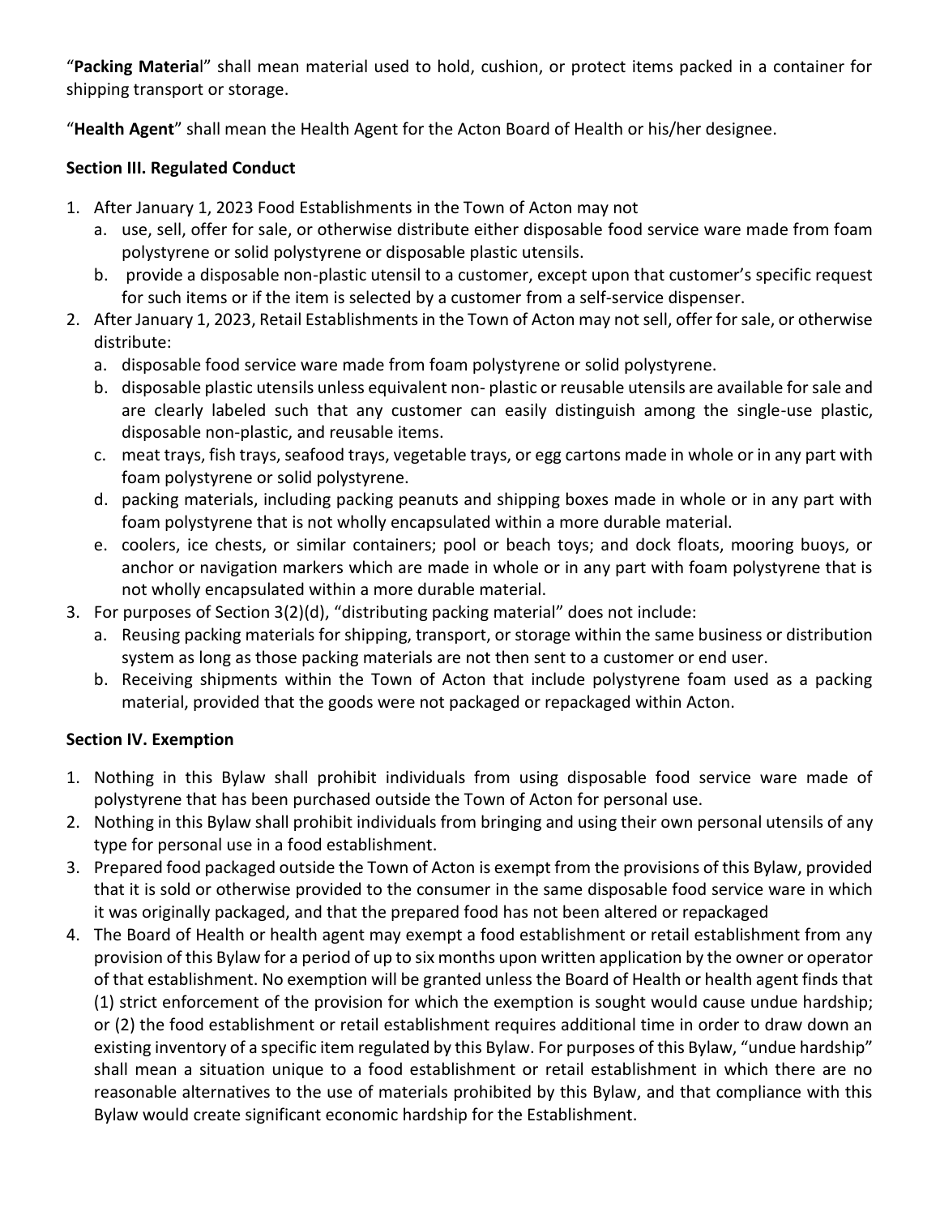"**Packing Materia**l" shall mean material used to hold, cushion, or protect items packed in a container for shipping transport or storage.

"**Health Agent**" shall mean the Health Agent for the Acton Board of Health or his/her designee.

# **Section III. Regulated Conduct**

- 1. After January 1, 2023 Food Establishments in the Town of Acton may not
	- a. use, sell, offer for sale, or otherwise distribute either disposable food service ware made from foam polystyrene or solid polystyrene or disposable plastic utensils.
	- b. provide a disposable non-plastic utensil to a customer, except upon that customer's specific request for such items or if the item is selected by a customer from a self-service dispenser.
- 2. After January 1, 2023, Retail Establishments in the Town of Acton may not sell, offer for sale, or otherwise distribute:
	- a. disposable food service ware made from foam polystyrene or solid polystyrene.
	- b. disposable plastic utensils unless equivalent non- plastic or reusable utensils are available for sale and are clearly labeled such that any customer can easily distinguish among the single-use plastic, disposable non-plastic, and reusable items.
	- c. meat trays, fish trays, seafood trays, vegetable trays, or egg cartons made in whole or in any part with foam polystyrene or solid polystyrene.
	- d. packing materials, including packing peanuts and shipping boxes made in whole or in any part with foam polystyrene that is not wholly encapsulated within a more durable material.
	- e. coolers, ice chests, or similar containers; pool or beach toys; and dock floats, mooring buoys, or anchor or navigation markers which are made in whole or in any part with foam polystyrene that is not wholly encapsulated within a more durable material.
- 3. For purposes of Section 3(2)(d), "distributing packing material" does not include:
	- a. Reusing packing materials for shipping, transport, or storage within the same business or distribution system as long as those packing materials are not then sent to a customer or end user.
	- b. Receiving shipments within the Town of Acton that include polystyrene foam used as a packing material, provided that the goods were not packaged or repackaged within Acton.

# **Section IV. Exemption**

- 1. Nothing in this Bylaw shall prohibit individuals from using disposable food service ware made of polystyrene that has been purchased outside the Town of Acton for personal use.
- 2. Nothing in this Bylaw shall prohibit individuals from bringing and using their own personal utensils of any type for personal use in a food establishment.
- 3. Prepared food packaged outside the Town of Acton is exempt from the provisions of this Bylaw, provided that it is sold or otherwise provided to the consumer in the same disposable food service ware in which it was originally packaged, and that the prepared food has not been altered or repackaged
- 4. The Board of Health or health agent may exempt a food establishment or retail establishment from any provision of this Bylaw for a period of up to six months upon written application by the owner or operator of that establishment. No exemption will be granted unless the Board of Health or health agent finds that (1) strict enforcement of the provision for which the exemption is sought would cause undue hardship; or (2) the food establishment or retail establishment requires additional time in order to draw down an existing inventory of a specific item regulated by this Bylaw. For purposes of this Bylaw, "undue hardship" shall mean a situation unique to a food establishment or retail establishment in which there are no reasonable alternatives to the use of materials prohibited by this Bylaw, and that compliance with this Bylaw would create significant economic hardship for the Establishment.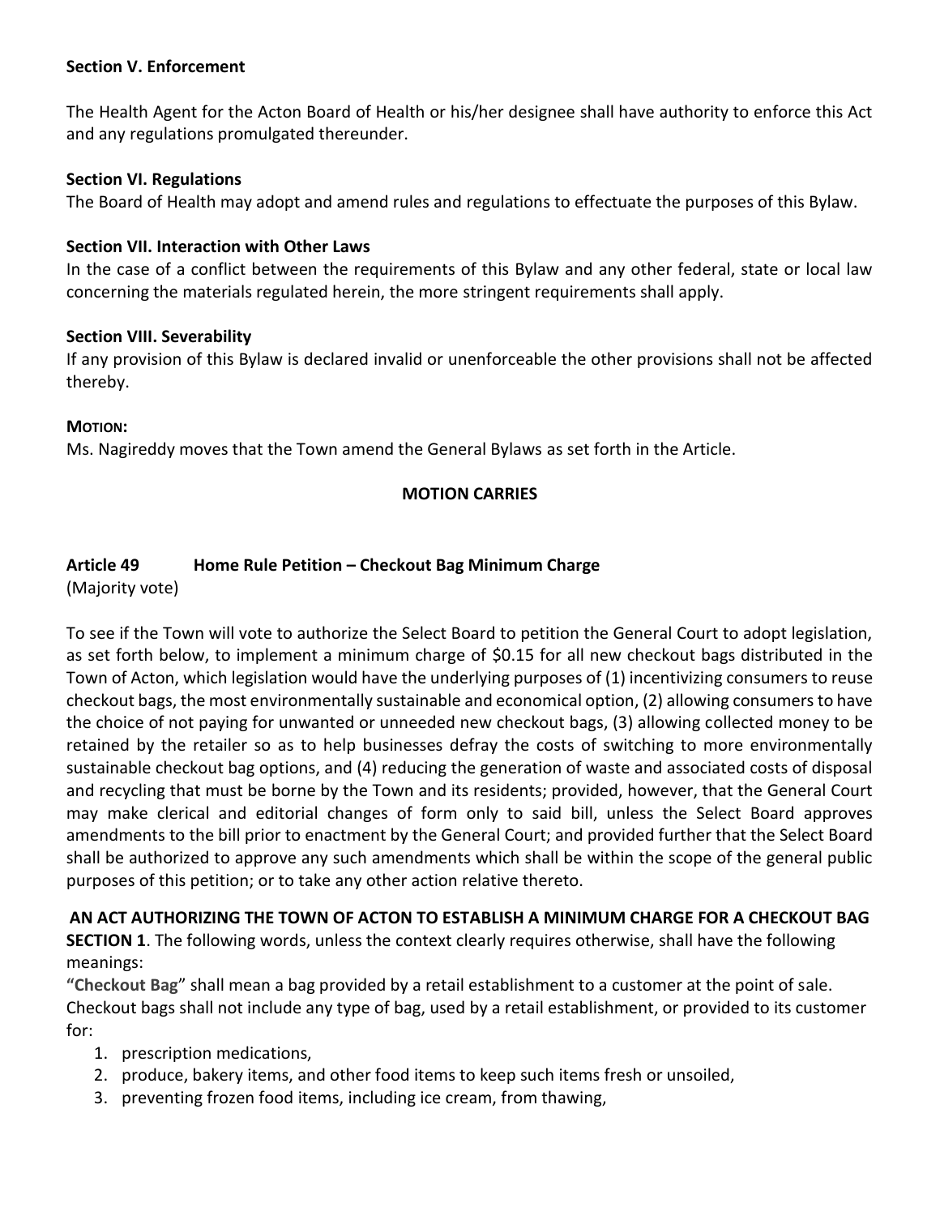## **Section V. Enforcement**

The Health Agent for the Acton Board of Health or his/her designee shall have authority to enforce this Act and any regulations promulgated thereunder.

### **Section VI. Regulations**

The Board of Health may adopt and amend rules and regulations to effectuate the purposes of this Bylaw.

### **Section VII. Interaction with Other Laws**

In the case of a conflict between the requirements of this Bylaw and any other federal, state or local law concerning the materials regulated herein, the more stringent requirements shall apply.

## **Section VIII. Severability**

If any provision of this Bylaw is declared invalid or unenforceable the other provisions shall not be affected thereby.

## **MOTION:**

Ms. Nagireddy moves that the Town amend the General Bylaws as set forth in the Article.

# **MOTION CARRIES**

# **Article 49 Home Rule Petition – Checkout Bag Minimum Charge**

(Majority vote)

To see if the Town will vote to authorize the Select Board to petition the General Court to adopt legislation, as set forth below, to implement a minimum charge of \$0.15 for all new checkout bags distributed in the Town of Acton, which legislation would have the underlying purposes of (1) incentivizing consumers to reuse checkout bags, the most environmentally sustainable and economical option, (2) allowing consumers to have the choice of not paying for unwanted or unneeded new checkout bags, (3) allowing collected money to be retained by the retailer so as to help businesses defray the costs of switching to more environmentally sustainable checkout bag options, and (4) reducing the generation of waste and associated costs of disposal and recycling that must be borne by the Town and its residents; provided, however, that the General Court may make clerical and editorial changes of form only to said bill, unless the Select Board approves amendments to the bill prior to enactment by the General Court; and provided further that the Select Board shall be authorized to approve any such amendments which shall be within the scope of the general public purposes of this petition; or to take any other action relative thereto.

**AN ACT AUTHORIZING THE TOWN OF ACTON TO ESTABLISH A MINIMUM CHARGE FOR A CHECKOUT BAG SECTION 1**. The following words, unless the context clearly requires otherwise, shall have the following meanings:

**"Checkout Bag**" shall mean a bag provided by a retail establishment to a customer at the point of sale. Checkout bags shall not include any type of bag, used by a retail establishment, or provided to its customer for:

- 1. prescription medications,
- 2. produce, bakery items, and other food items to keep such items fresh or unsoiled,
- 3. preventing frozen food items, including ice cream, from thawing,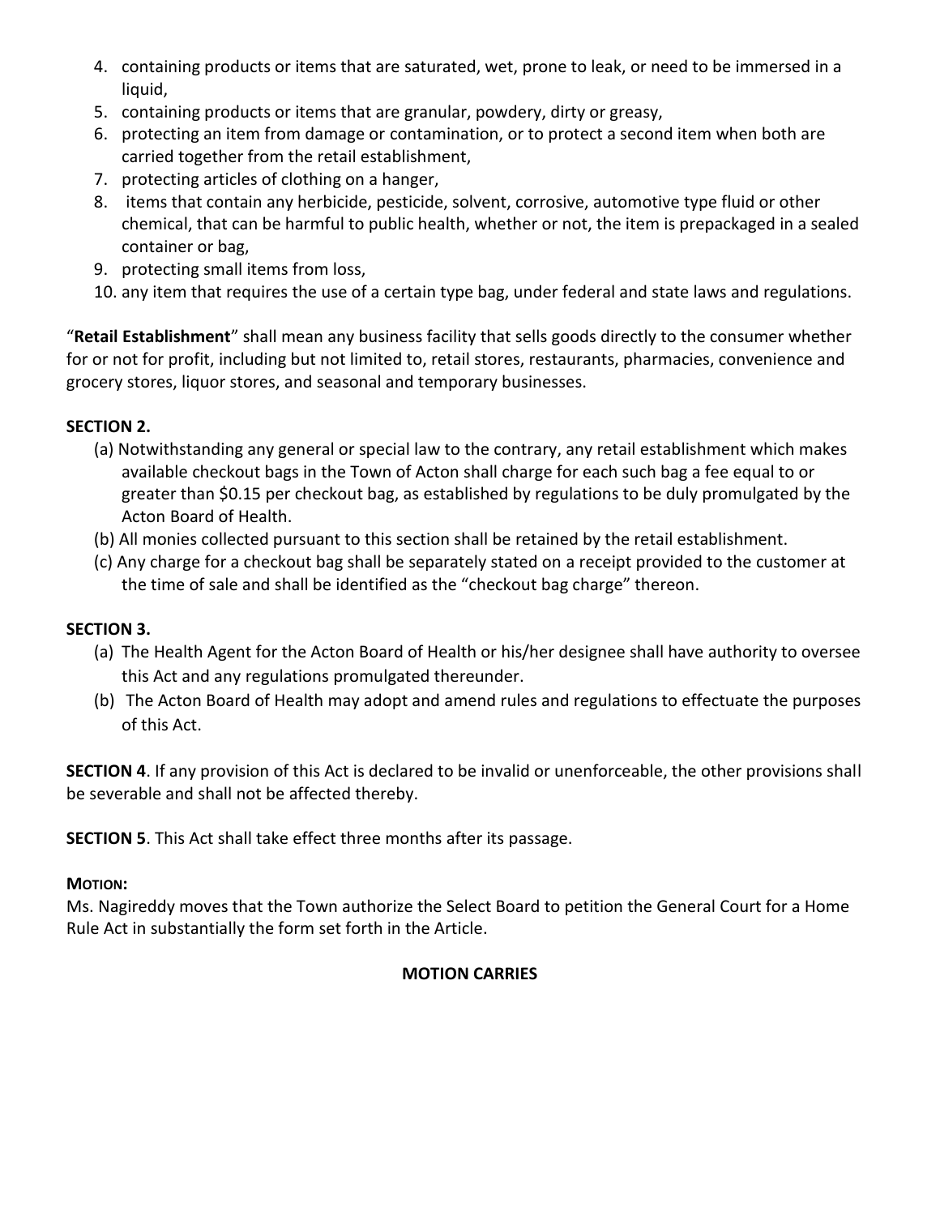- 4. containing products or items that are saturated, wet, prone to leak, or need to be immersed in a liquid,
- 5. containing products or items that are granular, powdery, dirty or greasy,
- 6. protecting an item from damage or contamination, or to protect a second item when both are carried together from the retail establishment,
- 7. protecting articles of clothing on a hanger,
- 8. items that contain any herbicide, pesticide, solvent, corrosive, automotive type fluid or other chemical, that can be harmful to public health, whether or not, the item is prepackaged in a sealed container or bag,
- 9. protecting small items from loss,
- 10. any item that requires the use of a certain type bag, under federal and state laws and regulations.

"**Retail Establishment**" shall mean any business facility that sells goods directly to the consumer whether for or not for profit, including but not limited to, retail stores, restaurants, pharmacies, convenience and grocery stores, liquor stores, and seasonal and temporary businesses.

# **SECTION 2.**

- (a) Notwithstanding any general or special law to the contrary, any retail establishment which makes available checkout bags in the Town of Acton shall charge for each such bag a fee equal to or greater than \$0.15 per checkout bag, as established by regulations to be duly promulgated by the Acton Board of Health.
- (b) All monies collected pursuant to this section shall be retained by the retail establishment.
- (c) Any charge for a checkout bag shall be separately stated on a receipt provided to the customer at the time of sale and shall be identified as the "checkout bag charge" thereon.

# **SECTION 3.**

- (a) The Health Agent for the Acton Board of Health or his/her designee shall have authority to oversee this Act and any regulations promulgated thereunder.
- (b) The Acton Board of Health may adopt and amend rules and regulations to effectuate the purposes of this Act.

**SECTION 4**. If any provision of this Act is declared to be invalid or unenforceable, the other provisions shall be severable and shall not be affected thereby.

**SECTION 5**. This Act shall take effect three months after its passage.

### **MOTION:**

Ms. Nagireddy moves that the Town authorize the Select Board to petition the General Court for a Home Rule Act in substantially the form set forth in the Article.

# **MOTION CARRIES**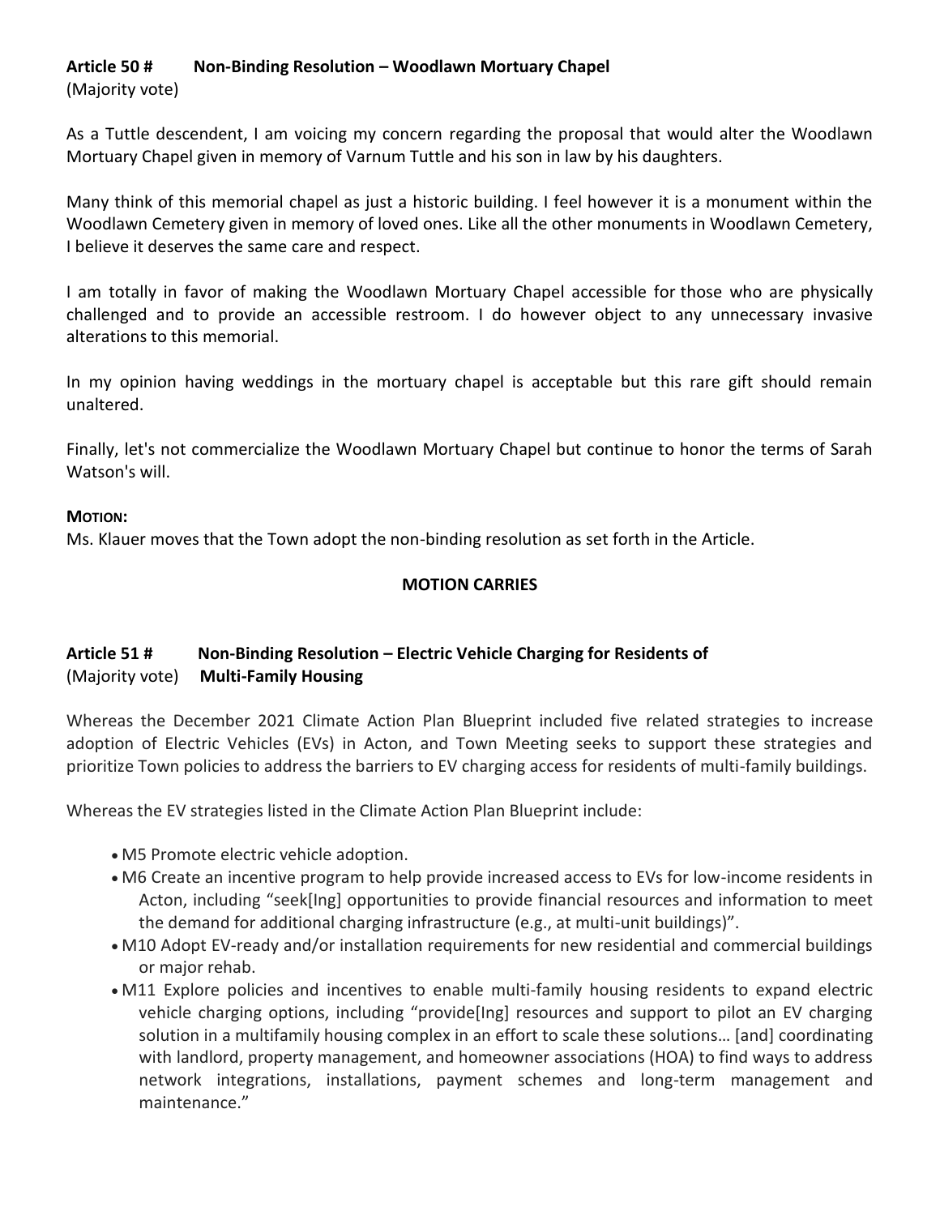# **Article 50 # Non-Binding Resolution – Woodlawn Mortuary Chapel**

(Majority vote)

As a Tuttle descendent, I am voicing my concern regarding the proposal that would alter the Woodlawn Mortuary Chapel given in memory of Varnum Tuttle and his son in law by his daughters.

Many think of this memorial chapel as just a historic building. I feel however it is a monument within the Woodlawn Cemetery given in memory of loved ones. Like all the other monuments in Woodlawn Cemetery, I believe it deserves the same care and respect.

I am totally in favor of making the Woodlawn Mortuary Chapel accessible for those who are physically challenged and to provide an accessible restroom. I do however object to any unnecessary invasive alterations to this memorial.

In my opinion having weddings in the mortuary chapel is acceptable but this rare gift should remain unaltered.

Finally, let's not commercialize the Woodlawn Mortuary Chapel but continue to honor the terms of Sarah Watson's will.

## **MOTION:**

Ms. Klauer moves that the Town adopt the non-binding resolution as set forth in the Article.

# **MOTION CARRIES**

# **Article 51 # Non-Binding Resolution – Electric Vehicle Charging for Residents of** (Majority vote) **Multi-Family Housing**

Whereas the December 2021 Climate Action Plan Blueprint included five related strategies to increase adoption of Electric Vehicles (EVs) in Acton, and Town Meeting seeks to support these strategies and prioritize Town policies to address the barriers to EV charging access for residents of multi-family buildings.

Whereas the EV strategies listed in the Climate Action Plan Blueprint include:

- M5 Promote electric vehicle adoption.
- M6 Create an incentive program to help provide increased access to EVs for low-income residents in Acton, including "seek[Ing] opportunities to provide financial resources and information to meet the demand for additional charging infrastructure (e.g., at multi-unit buildings)".
- M10 Adopt EV-ready and/or installation requirements for new residential and commercial buildings or major rehab.
- M11 Explore policies and incentives to enable multi-family housing residents to expand electric vehicle charging options, including "provide[Ing] resources and support to pilot an EV charging solution in a multifamily housing complex in an effort to scale these solutions… [and] coordinating with landlord, property management, and homeowner associations (HOA) to find ways to address network integrations, installations, payment schemes and long-term management and maintenance."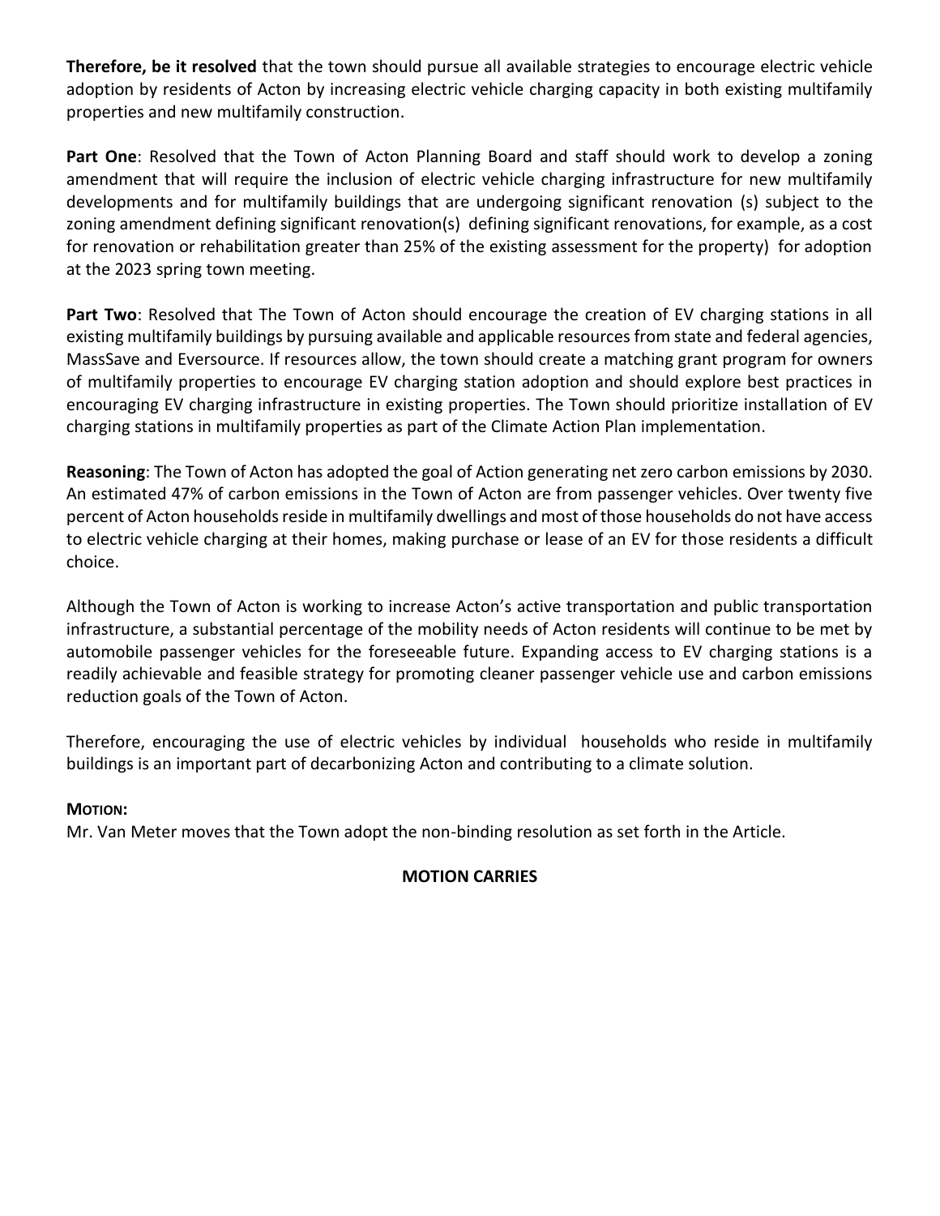**Therefore, be it resolved** that the town should pursue all available strategies to encourage electric vehicle adoption by residents of Acton by increasing electric vehicle charging capacity in both existing multifamily properties and new multifamily construction.

Part One: Resolved that the Town of Acton Planning Board and staff should work to develop a zoning amendment that will require the inclusion of electric vehicle charging infrastructure for new multifamily developments and for multifamily buildings that are undergoing significant renovation (s) subject to the zoning amendment defining significant renovation(s) defining significant renovations, for example, as a cost for renovation or rehabilitation greater than 25% of the existing assessment for the property) for adoption at the 2023 spring town meeting.

Part Two: Resolved that The Town of Acton should encourage the creation of EV charging stations in all existing multifamily buildings by pursuing available and applicable resources from state and federal agencies, MassSave and Eversource. If resources allow, the town should create a matching grant program for owners of multifamily properties to encourage EV charging station adoption and should explore best practices in encouraging EV charging infrastructure in existing properties. The Town should prioritize installation of EV charging stations in multifamily properties as part of the Climate Action Plan implementation.

**Reasoning**: The Town of Acton has adopted the goal of Action generating net zero carbon emissions by 2030. An estimated 47% of carbon emissions in the Town of Acton are from passenger vehicles. Over twenty five percent of Acton households reside in multifamily dwellings and most of those households do not have access to electric vehicle charging at their homes, making purchase or lease of an EV for those residents a difficult choice.

Although the Town of Acton is working to increase Acton's active transportation and public transportation infrastructure, a substantial percentage of the mobility needs of Acton residents will continue to be met by automobile passenger vehicles for the foreseeable future. Expanding access to EV charging stations is a readily achievable and feasible strategy for promoting cleaner passenger vehicle use and carbon emissions reduction goals of the Town of Acton.

Therefore, encouraging the use of electric vehicles by individual households who reside in multifamily buildings is an important part of decarbonizing Acton and contributing to a climate solution.

# **MOTION:**

Mr. Van Meter moves that the Town adopt the non-binding resolution as set forth in the Article.

# **MOTION CARRIES**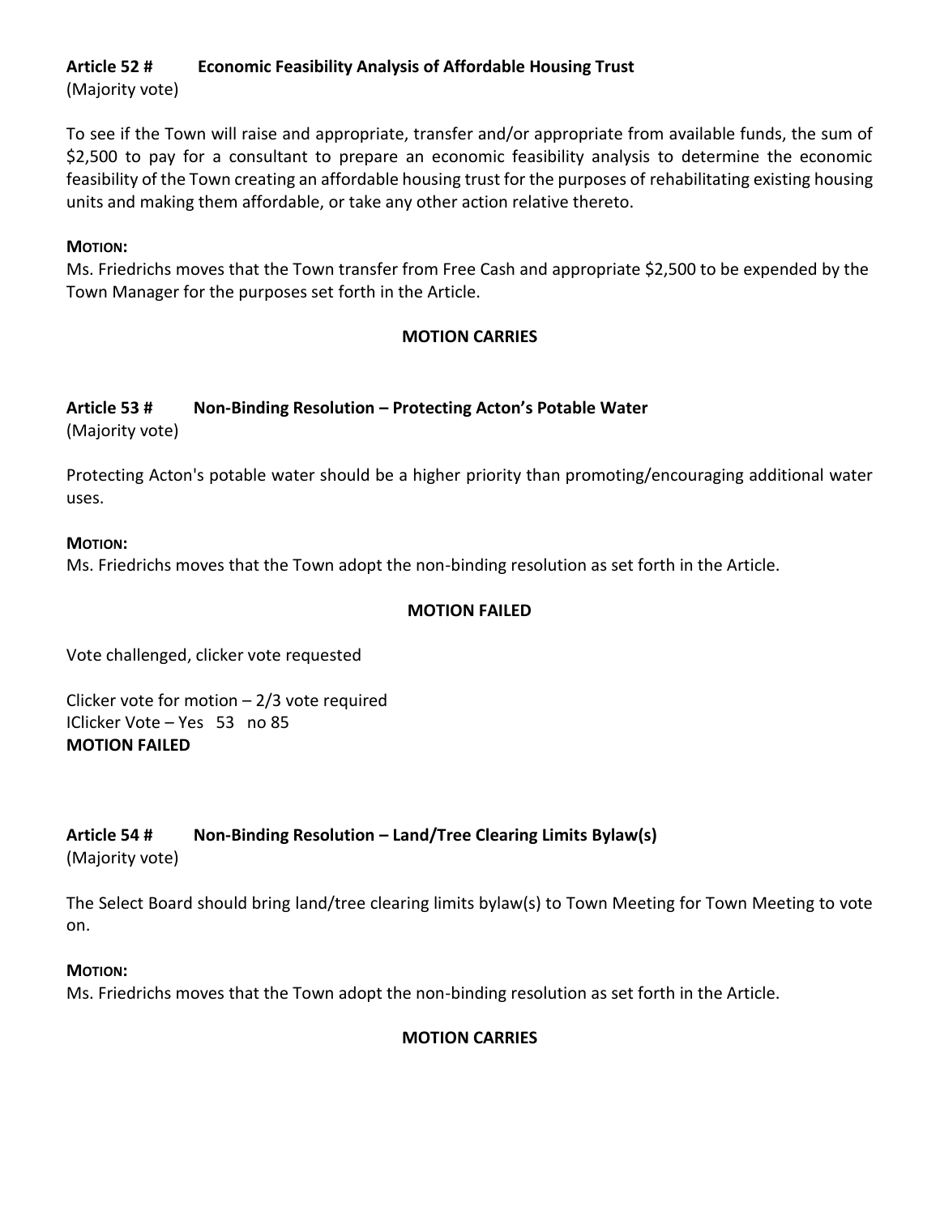# **Article 52 # Economic Feasibility Analysis of Affordable Housing Trust**

(Majority vote)

To see if the Town will raise and appropriate, transfer and/or appropriate from available funds, the sum of \$2,500 to pay for a consultant to prepare an economic feasibility analysis to determine the economic feasibility of the Town creating an affordable housing trust for the purposes of rehabilitating existing housing units and making them affordable, or take any other action relative thereto.

# **MOTION:**

Ms. Friedrichs moves that the Town transfer from Free Cash and appropriate \$2,500 to be expended by the Town Manager for the purposes set forth in the Article.

# **MOTION CARRIES**

# **Article 53 # Non-Binding Resolution – Protecting Acton's Potable Water**

(Majority vote)

Protecting Acton's potable water should be a higher priority than promoting/encouraging additional water uses.

## **MOTION:**

Ms. Friedrichs moves that the Town adopt the non-binding resolution as set forth in the Article.

## **MOTION FAILED**

Vote challenged, clicker vote requested

Clicker vote for motion  $-2/3$  vote required IClicker Vote – Yes 53 no 85 **MOTION FAILED**

# **Article 54 # Non-Binding Resolution – Land/Tree Clearing Limits Bylaw(s)**

(Majority vote)

The Select Board should bring land/tree clearing limits bylaw(s) to Town Meeting for Town Meeting to vote on.

# **MOTION:**

Ms. Friedrichs moves that the Town adopt the non-binding resolution as set forth in the Article.

# **MOTION CARRIES**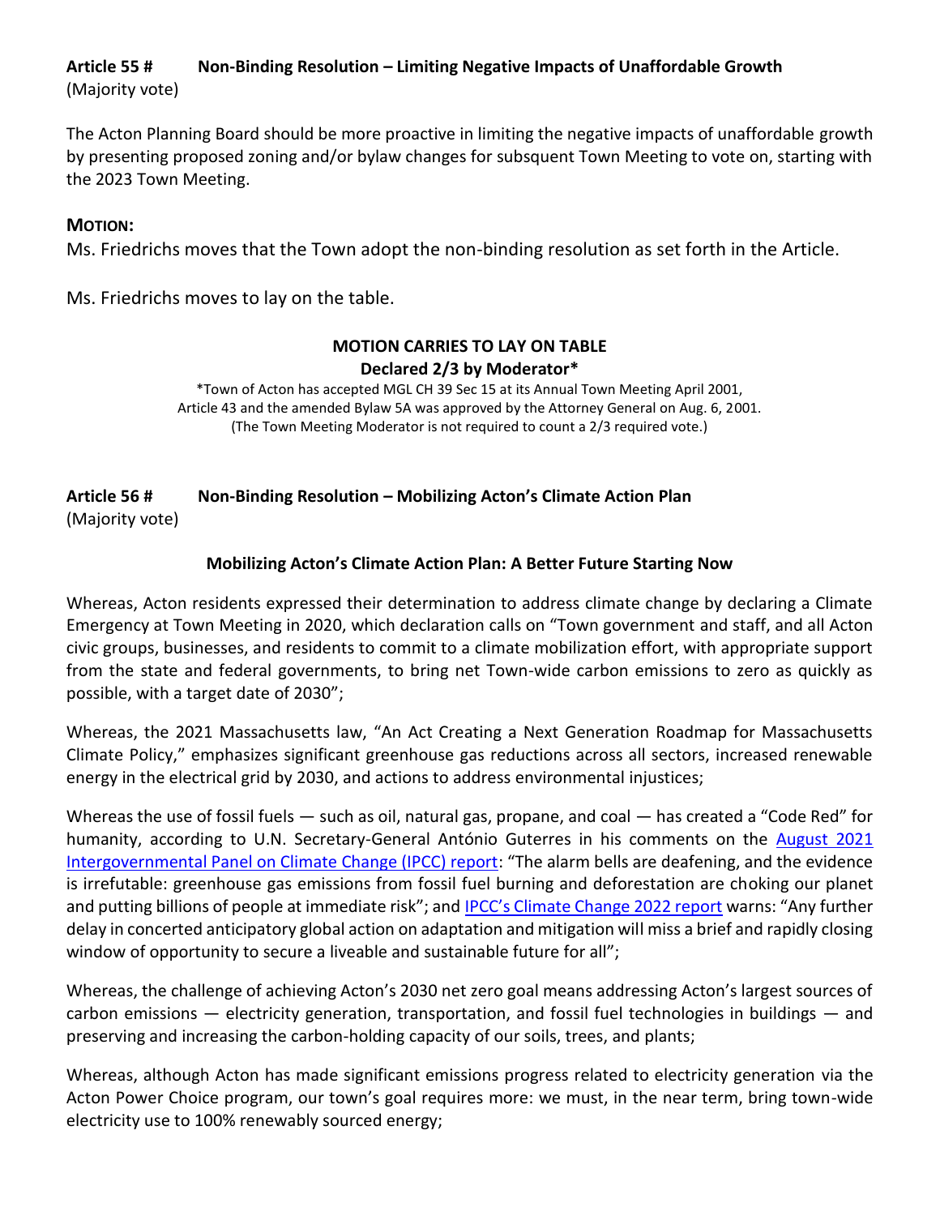# **Article 55 # Non-Binding Resolution – Limiting Negative Impacts of Unaffordable Growth** (Majority vote)

The Acton Planning Board should be more proactive in limiting the negative impacts of unaffordable growth by presenting proposed zoning and/or bylaw changes for subsquent Town Meeting to vote on, starting with the 2023 Town Meeting.

## **MOTION:**

Ms. Friedrichs moves that the Town adopt the non-binding resolution as set forth in the Article.

Ms. Friedrichs moves to lay on the table.

## **MOTION CARRIES TO LAY ON TABLE Declared 2/3 by Moderator\***

\*Town of Acton has accepted MGL CH 39 Sec 15 at its Annual Town Meeting April 2001, Article 43 and the amended Bylaw 5A was approved by the Attorney General on Aug. 6, 2001. (The Town Meeting Moderator is not required to count a 2/3 required vote.)

# **Article 56 # Non-Binding Resolution – Mobilizing Acton's Climate Action Plan**

(Majority vote)

# **Mobilizing Acton's Climate Action Plan: A Better Future Starting Now**

Whereas, Acton residents expressed their determination to address climate change by declaring a Climate Emergency at Town Meeting in 2020, which declaration calls on "Town government and staff, and all Acton civic groups, businesses, and residents to commit to a climate mobilization effort, with appropriate support from the state and federal governments, to bring net Town-wide carbon emissions to zero as quickly as possible, with a target date of 2030";

Whereas, the 2021 Massachusetts law, "An Act Creating a Next Generation Roadmap for Massachusetts Climate Policy," emphasizes significant greenhouse gas reductions across all sectors, increased renewable energy in the electrical grid by 2030, and actions to address environmental injustices;

Whereas the use of fossil fuels — such as oil, natural gas, propane, and coal — has created a "Code Red" for humanity, according to U.N. Secretary-General António Guterres in his comments on the August 2021 [Intergovernmental Panel on Climate Change \(IPCC\) report](https://www.ipcc.ch/report/ar6/wg1/): "The alarm bells are deafening, and the evidence is irrefutable: greenhouse gas emissions from fossil fuel burning and deforestation are choking our planet and putting billions of people at immediate risk"; an[d IPCC's Climate Change 2022 report](https://www.ipcc.ch/report/ar6/wg2/) warns: "Any further delay in concerted anticipatory global action on adaptation and mitigation will miss a brief and rapidly closing window of opportunity to secure a liveable and sustainable future for all";

Whereas, the challenge of achieving Acton's 2030 net zero goal means addressing Acton's largest sources of carbon emissions — electricity generation, transportation, and fossil fuel technologies in buildings — and preserving and increasing the carbon-holding capacity of our soils, trees, and plants;

Whereas, although Acton has made significant emissions progress related to electricity generation via the Acton Power Choice program, our town's goal requires more: we must, in the near term, bring town-wide electricity use to 100% renewably sourced energy;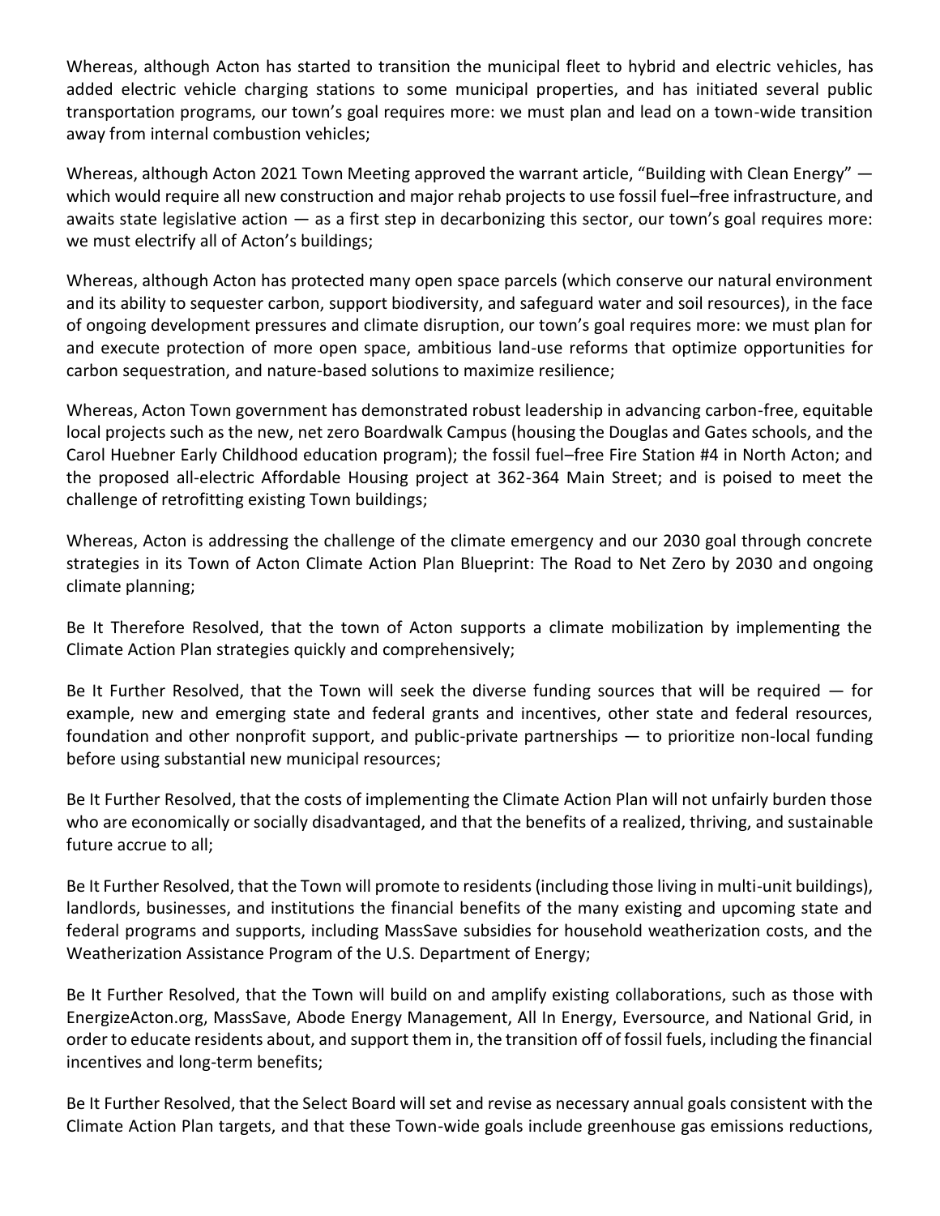Whereas, although Acton has started to transition the municipal fleet to hybrid and electric vehicles, has added electric vehicle charging stations to some municipal properties, and has initiated several public transportation programs, our town's goal requires more: we must plan and lead on a town-wide transition away from internal combustion vehicles;

Whereas, although Acton 2021 Town Meeting approved the warrant article, "Building with Clean Energy" which would require all new construction and major rehab projects to use fossil fuel–free infrastructure, and awaits state legislative action — as a first step in decarbonizing this sector, our town's goal requires more: we must electrify all of Acton's buildings;

Whereas, although Acton has protected many open space parcels (which conserve our natural environment and its ability to sequester carbon, support biodiversity, and safeguard water and soil resources), in the face of ongoing development pressures and climate disruption, our town's goal requires more: we must plan for and execute protection of more open space, ambitious land-use reforms that optimize opportunities for carbon sequestration, and nature-based solutions to maximize resilience;

Whereas, Acton Town government has demonstrated robust leadership in advancing carbon-free, equitable local projects such as the new, net zero Boardwalk Campus (housing the Douglas and Gates schools, and the Carol Huebner Early Childhood education program); the fossil fuel–free Fire Station #4 in North Acton; and the proposed all-electric Affordable Housing project at 362-364 Main Street; and is poised to meet the challenge of retrofitting existing Town buildings;

Whereas, Acton is addressing the challenge of the climate emergency and our 2030 goal through concrete strategies in its Town of Acton Climate Action Plan Blueprint: The Road to Net Zero by 2030 and ongoing climate planning;

Be It Therefore Resolved, that the town of Acton supports a climate mobilization by implementing the Climate Action Plan strategies quickly and comprehensively;

Be It Further Resolved, that the Town will seek the diverse funding sources that will be required — for example, new and emerging state and federal grants and incentives, other state and federal resources, foundation and other nonprofit support, and public-private partnerships — to prioritize non-local funding before using substantial new municipal resources;

Be It Further Resolved, that the costs of implementing the Climate Action Plan will not unfairly burden those who are economically or socially disadvantaged, and that the benefits of a realized, thriving, and sustainable future accrue to all;

Be It Further Resolved, that the Town will promote to residents (including those living in multi-unit buildings), landlords, businesses, and institutions the financial benefits of the many existing and upcoming state and federal programs and supports, including MassSave subsidies for household weatherization costs, and the Weatherization Assistance Program of the U.S. Department of Energy;

Be It Further Resolved, that the Town will build on and amplify existing collaborations, such as those with EnergizeActon.org, MassSave, Abode Energy Management, All In Energy, Eversource, and National Grid, in order to educate residents about, and support them in, the transition off of fossil fuels, including the financial incentives and long-term benefits;

Be It Further Resolved, that the Select Board will set and revise as necessary annual goals consistent with the Climate Action Plan targets, and that these Town-wide goals include greenhouse gas emissions reductions,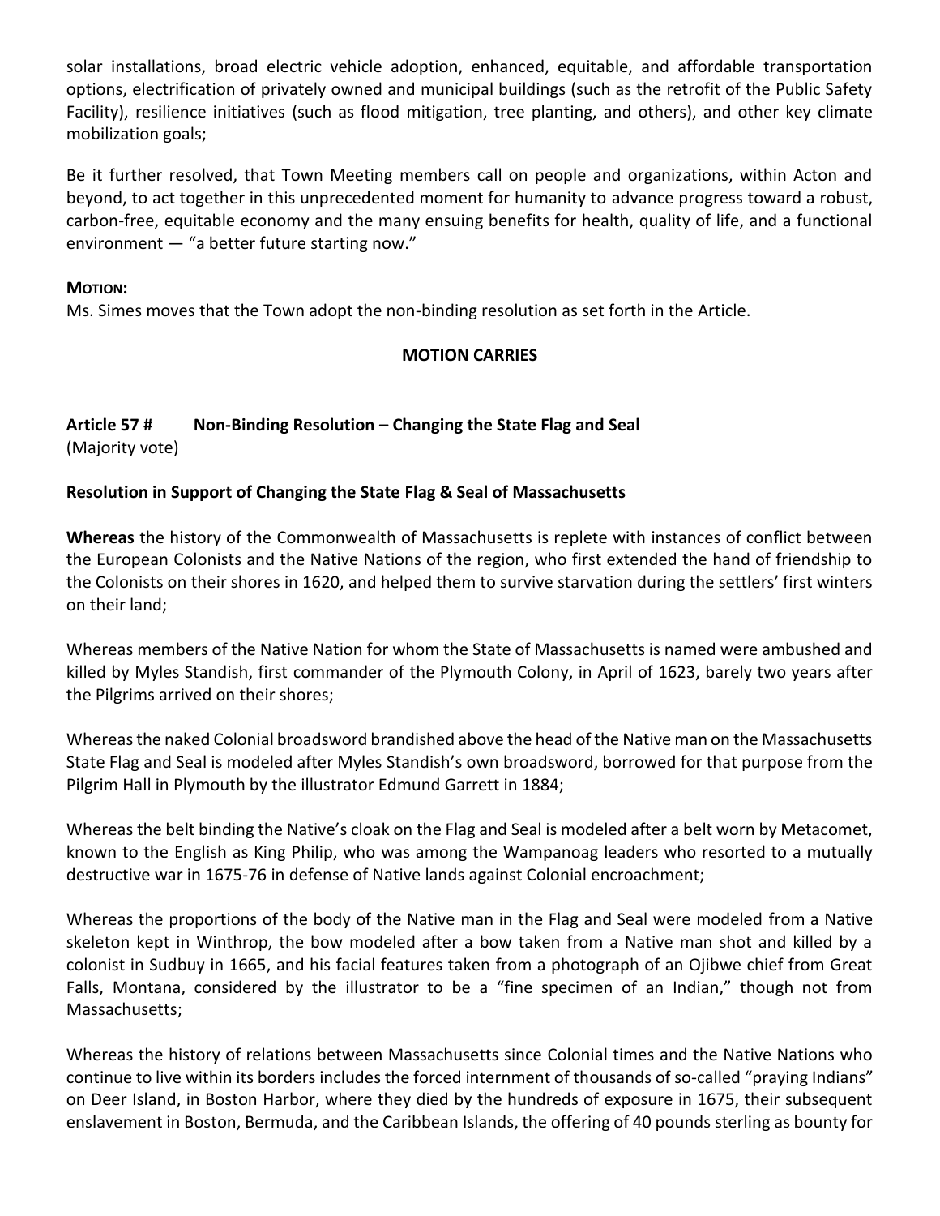solar installations, broad electric vehicle adoption, enhanced, equitable, and affordable transportation options, electrification of privately owned and municipal buildings (such as the retrofit of the Public Safety Facility), resilience initiatives (such as flood mitigation, tree planting, and others), and other key climate mobilization goals;

Be it further resolved, that Town Meeting members call on people and organizations, within Acton and beyond, to act together in this unprecedented moment for humanity to advance progress toward a robust, carbon-free, equitable economy and the many ensuing benefits for health, quality of life, and a functional environment — "a better future starting now."

### **MOTION:**

Ms. Simes moves that the Town adopt the non-binding resolution as set forth in the Article.

## **MOTION CARRIES**

# **Article 57 # Non-Binding Resolution – Changing the State Flag and Seal**

(Majority vote)

## **Resolution in Support of Changing the State Flag & Seal of Massachusetts**

**Whereas** the history of the Commonwealth of Massachusetts is replete with instances of conflict between the European Colonists and the Native Nations of the region, who first extended the hand of friendship to the Colonists on their shores in 1620, and helped them to survive starvation during the settlers' first winters on their land;

Whereas members of the Native Nation for whom the State of Massachusetts is named were ambushed and killed by Myles Standish, first commander of the Plymouth Colony, in April of 1623, barely two years after the Pilgrims arrived on their shores;

Whereas the naked Colonial broadsword brandished above the head of the Native man on the Massachusetts State Flag and Seal is modeled after Myles Standish's own broadsword, borrowed for that purpose from the Pilgrim Hall in Plymouth by the illustrator Edmund Garrett in 1884;

Whereas the belt binding the Native's cloak on the Flag and Seal is modeled after a belt worn by Metacomet, known to the English as King Philip, who was among the Wampanoag leaders who resorted to a mutually destructive war in 1675-76 in defense of Native lands against Colonial encroachment;

Whereas the proportions of the body of the Native man in the Flag and Seal were modeled from a Native skeleton kept in Winthrop, the bow modeled after a bow taken from a Native man shot and killed by a colonist in Sudbuy in 1665, and his facial features taken from a photograph of an Ojibwe chief from Great Falls, Montana, considered by the illustrator to be a "fine specimen of an Indian," though not from Massachusetts;

Whereas the history of relations between Massachusetts since Colonial times and the Native Nations who continue to live within its borders includes the forced internment of thousands of so-called "praying Indians" on Deer Island, in Boston Harbor, where they died by the hundreds of exposure in 1675, their subsequent enslavement in Boston, Bermuda, and the Caribbean Islands, the offering of 40 pounds sterling as bounty for